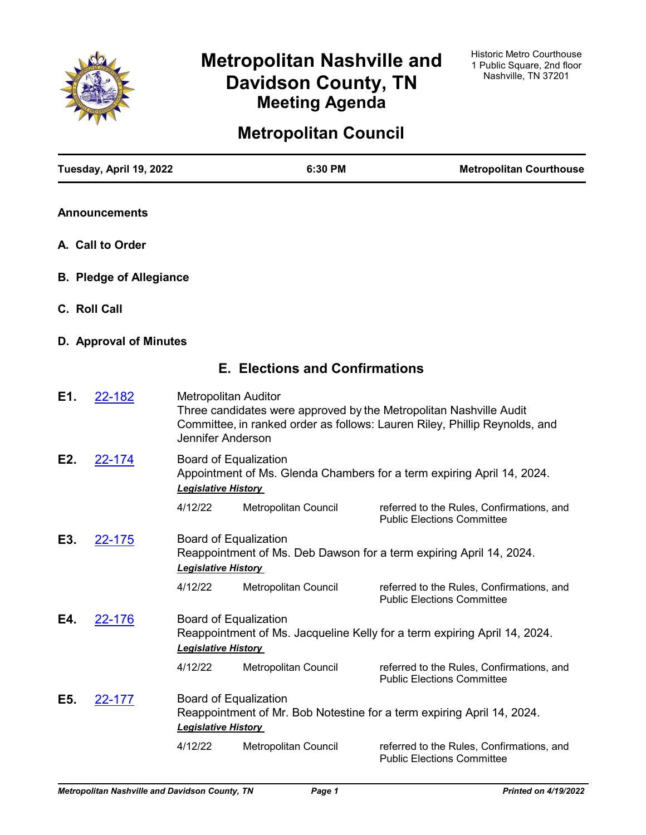

# **Metropolitan Nashville and Davidson County, TN Meeting Agenda**

# **Metropolitan Council**

|     | Tuesday, April 19, 2022        |                                                  | 6:30 PM                               | <b>Metropolitan Courthouse</b>                                                                                                                   |  |  |
|-----|--------------------------------|--------------------------------------------------|---------------------------------------|--------------------------------------------------------------------------------------------------------------------------------------------------|--|--|
|     | <b>Announcements</b>           |                                                  |                                       |                                                                                                                                                  |  |  |
|     | A. Call to Order               |                                                  |                                       |                                                                                                                                                  |  |  |
|     | <b>B. Pledge of Allegiance</b> |                                                  |                                       |                                                                                                                                                  |  |  |
|     | C. Roll Call                   |                                                  |                                       |                                                                                                                                                  |  |  |
|     | D. Approval of Minutes         |                                                  |                                       |                                                                                                                                                  |  |  |
|     |                                |                                                  | <b>E. Elections and Confirmations</b> |                                                                                                                                                  |  |  |
| E1. | 22-182                         | <b>Metropolitan Auditor</b><br>Jennifer Anderson |                                       | Three candidates were approved by the Metropolitan Nashville Audit<br>Committee, in ranked order as follows: Lauren Riley, Phillip Reynolds, and |  |  |
| E2. | <u>22-174</u>                  | <b>Legislative History</b>                       | Board of Equalization                 | Appointment of Ms. Glenda Chambers for a term expiring April 14, 2024.                                                                           |  |  |
|     |                                | 4/12/22                                          | Metropolitan Council                  | referred to the Rules, Confirmations, and<br><b>Public Elections Committee</b>                                                                   |  |  |
| E3. | <u>22-175</u>                  | <b>Legislative History</b>                       | Board of Equalization                 | Reappointment of Ms. Deb Dawson for a term expiring April 14, 2024.                                                                              |  |  |
|     |                                | 4/12/22                                          | Metropolitan Council                  | referred to the Rules, Confirmations, and<br><b>Public Elections Committee</b>                                                                   |  |  |
| E4. | 22-176                         | <b>Legislative History</b>                       | <b>Board of Equalization</b>          | Reappointment of Ms. Jacqueline Kelly for a term expiring April 14, 2024.                                                                        |  |  |
|     |                                | 4/12/22                                          | Metropolitan Council                  | referred to the Rules, Confirmations, and<br><b>Public Elections Committee</b>                                                                   |  |  |
| E5. | <u>22-177</u>                  | <b>Legislative History</b>                       | <b>Board of Equalization</b>          | Reappointment of Mr. Bob Notestine for a term expiring April 14, 2024.                                                                           |  |  |
|     |                                | 4/12/22                                          | Metropolitan Council                  | referred to the Rules, Confirmations, and<br><b>Public Elections Committee</b>                                                                   |  |  |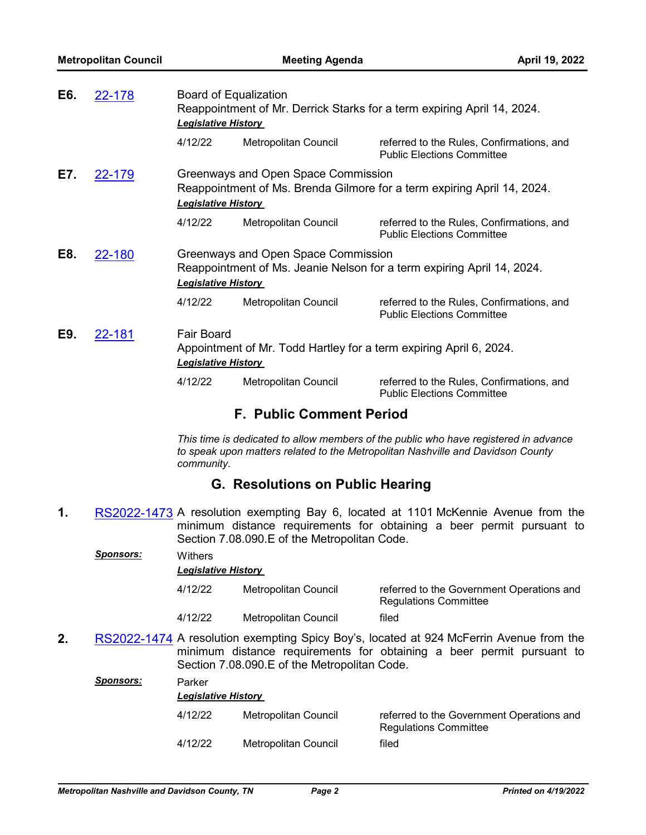| E6. | 22-178 | <b>Legislative History</b>                      | Board of Equalization<br>Reappointment of Mr. Derrick Starks for a term expiring April 14, 2024. |                                                                                |  |
|-----|--------|-------------------------------------------------|--------------------------------------------------------------------------------------------------|--------------------------------------------------------------------------------|--|
|     |        | 4/12/22                                         | Metropolitan Council                                                                             | referred to the Rules, Confirmations, and<br><b>Public Elections Committee</b> |  |
| E7. | 22-179 | <b>Legislative History</b>                      | Greenways and Open Space Commission                                                              | Reappointment of Ms. Brenda Gilmore for a term expiring April 14, 2024.        |  |
|     |        | 4/12/22                                         | Metropolitan Council                                                                             | referred to the Rules, Confirmations, and<br><b>Public Elections Committee</b> |  |
| E8. | 22-180 | <b>Legislative History</b>                      | Greenways and Open Space Commission                                                              | Reappointment of Ms. Jeanie Nelson for a term expiring April 14, 2024.         |  |
|     |        | 4/12/22                                         | Metropolitan Council                                                                             | referred to the Rules, Confirmations, and<br><b>Public Elections Committee</b> |  |
| E9. | 22-181 | <b>Fair Board</b><br><b>Legislative History</b> |                                                                                                  | Appointment of Mr. Todd Hartley for a term expiring April 6, 2024.             |  |
|     |        | 4/12/22                                         | <b>Metropolitan Council</b>                                                                      | referred to the Rules, Confirmations, and<br><b>Public Elections Committee</b> |  |

# **F. Public Comment Period**

*This time is dedicated to allow members of the public who have registered in advance to speak upon matters related to the Metropolitan Nashville and Davidson County community.*

# **G. Resolutions on Public Hearing**

**1.** [RS2022-1473](http://nashville.legistar.com/gateway.aspx?m=l&id=/matter.aspx?key=14343) A resolution exempting Bay 6, located at 1101 McKennie Avenue from the minimum distance requirements for obtaining a beer permit pursuant to Section 7.08.090.E of the Metropolitan Code.

|    | <b>Sponsors:</b> | Withers<br><b>Legislative History</b> |                                             |                                                                                                                                                                  |
|----|------------------|---------------------------------------|---------------------------------------------|------------------------------------------------------------------------------------------------------------------------------------------------------------------|
|    |                  | 4/12/22                               | Metropolitan Council                        | referred to the Government Operations and<br><b>Regulations Committee</b>                                                                                        |
|    |                  | 4/12/22                               | Metropolitan Council                        | filed                                                                                                                                                            |
| 2. |                  |                                       | Section 7.08.090 E of the Metropolitan Code | RS2022-1474 A resolution exempting Spicy Boy's, located at 924 McFerrin Avenue from the<br>minimum distance requirements for obtaining a beer permit pursuant to |

|           |         | <u> 88811 - 18811 - 1892 - 1992 - 1993 - 1994 - 1994 - 1994 - 1994 - 1994 - 1994 - 1994 - 1994 - 1994 - 1994 - 1</u> |                                                                           |  |  |  |  |  |
|-----------|---------|----------------------------------------------------------------------------------------------------------------------|---------------------------------------------------------------------------|--|--|--|--|--|
| Sponsors: | Parker  | <b>Legislative History</b>                                                                                           |                                                                           |  |  |  |  |  |
|           | 4/12/22 | Metropolitan Council                                                                                                 | referred to the Government Operations and<br><b>Regulations Committee</b> |  |  |  |  |  |
|           | 4/12/22 | Metropolitan Council                                                                                                 | filed                                                                     |  |  |  |  |  |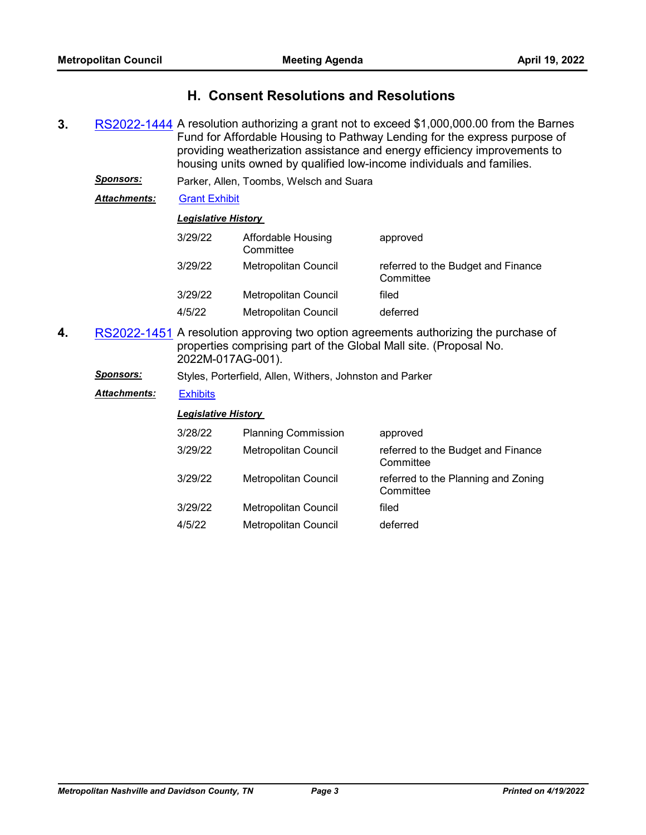# **H. Consent Resolutions and Resolutions**

**3.** [RS2022-1444](http://nashville.legistar.com/gateway.aspx?m=l&id=/matter.aspx?key=14312) A resolution authorizing a grant not to exceed \$1,000,000.00 from the Barnes Fund for Affordable Housing to Pathway Lending for the express purpose of providing weatherization assistance and energy efficiency improvements to housing units owned by qualified low-income individuals and families.

| <b>Sponsors:</b> |  |  | Parker, Allen, Toombs, Welsch and Suara |  |  |  |
|------------------|--|--|-----------------------------------------|--|--|--|
|------------------|--|--|-----------------------------------------|--|--|--|

*Attachments:* [Grant Exhibit](http://nashville.legistar.com/gateway.aspx?M=F&ID=bb3b81e0-1361-49ee-ab9b-37624b19c52f.pdf)

#### *Legislative History*

| 3/29/22 | Affordable Housing<br>Committee | approved                                        |
|---------|---------------------------------|-------------------------------------------------|
| 3/29/22 | Metropolitan Council            | referred to the Budget and Finance<br>Committee |
| 3/29/22 | Metropolitan Council            | filed                                           |
| 4/5/22  | Metropolitan Council            | deferred                                        |

- **4.** [RS2022-1451](http://nashville.legistar.com/gateway.aspx?m=l&id=/matter.aspx?key=14324) A resolution approving two option agreements authorizing the purchase of properties comprising part of the Global Mall site. (Proposal No. 2022M-017AG-001).
	- *Sponsors:* Styles, Porterfield, Allen, Withers, Johnston and Parker

### *Attachments:* [Exhibits](http://nashville.legistar.com/gateway.aspx?M=F&ID=9776e8d0-7b7f-448f-81e1-be90d4e8b7c3.pdf)

| 3/28/22 | <b>Planning Commission</b>  | approved                                         |
|---------|-----------------------------|--------------------------------------------------|
| 3/29/22 | Metropolitan Council        | referred to the Budget and Finance<br>Committee  |
| 3/29/22 | Metropolitan Council        | referred to the Planning and Zoning<br>Committee |
| 3/29/22 | <b>Metropolitan Council</b> | filed                                            |
| 4/5/22  | <b>Metropolitan Council</b> | deferred                                         |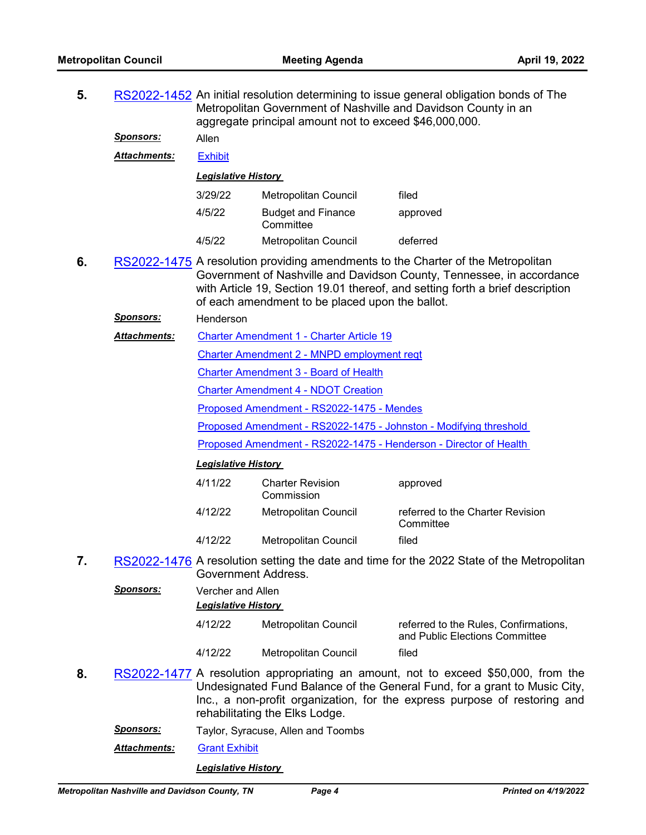| 5. |                     | RS2022-1452 An initial resolution determining to issue general obligation bonds of The<br>Metropolitan Government of Nashville and Davidson County in an<br>aggregate principal amount not to exceed \$46,000,000. |                                                                   |                                                                                                                                                                                                                                              |  |  |  |
|----|---------------------|--------------------------------------------------------------------------------------------------------------------------------------------------------------------------------------------------------------------|-------------------------------------------------------------------|----------------------------------------------------------------------------------------------------------------------------------------------------------------------------------------------------------------------------------------------|--|--|--|
|    | <u>Sponsors:</u>    | Allen                                                                                                                                                                                                              |                                                                   |                                                                                                                                                                                                                                              |  |  |  |
|    | <b>Attachments:</b> | <b>Exhibit</b>                                                                                                                                                                                                     |                                                                   |                                                                                                                                                                                                                                              |  |  |  |
|    |                     | <b>Legislative History</b>                                                                                                                                                                                         |                                                                   |                                                                                                                                                                                                                                              |  |  |  |
|    |                     | 3/29/22                                                                                                                                                                                                            | <b>Metropolitan Council</b>                                       | filed                                                                                                                                                                                                                                        |  |  |  |
|    |                     | 4/5/22                                                                                                                                                                                                             | <b>Budget and Finance</b><br>Committee                            | approved                                                                                                                                                                                                                                     |  |  |  |
|    |                     | 4/5/22                                                                                                                                                                                                             | Metropolitan Council                                              | deferred                                                                                                                                                                                                                                     |  |  |  |
| 6. |                     |                                                                                                                                                                                                                    | of each amendment to be placed upon the ballot.                   | RS2022-1475 A resolution providing amendments to the Charter of the Metropolitan<br>Government of Nashville and Davidson County, Tennessee, in accordance<br>with Article 19, Section 19.01 thereof, and setting forth a brief description   |  |  |  |
|    | <b>Sponsors:</b>    | Henderson                                                                                                                                                                                                          |                                                                   |                                                                                                                                                                                                                                              |  |  |  |
|    | <b>Attachments:</b> |                                                                                                                                                                                                                    | <b>Charter Amendment 1 - Charter Article 19</b>                   |                                                                                                                                                                                                                                              |  |  |  |
|    |                     |                                                                                                                                                                                                                    | Charter Amendment 2 - MNPD employment reqt                        |                                                                                                                                                                                                                                              |  |  |  |
|    |                     |                                                                                                                                                                                                                    | <b>Charter Amendment 3 - Board of Health</b>                      |                                                                                                                                                                                                                                              |  |  |  |
|    |                     |                                                                                                                                                                                                                    | <b>Charter Amendment 4 - NDOT Creation</b>                        |                                                                                                                                                                                                                                              |  |  |  |
|    |                     |                                                                                                                                                                                                                    | Proposed Amendment - RS2022-1475 - Mendes                         |                                                                                                                                                                                                                                              |  |  |  |
|    |                     |                                                                                                                                                                                                                    | Proposed Amendment - RS2022-1475 - Johnston - Modifying threshold |                                                                                                                                                                                                                                              |  |  |  |
|    |                     | Proposed Amendment - RS2022-1475 - Henderson - Director of Health                                                                                                                                                  |                                                                   |                                                                                                                                                                                                                                              |  |  |  |
|    |                     | <b>Legislative History</b>                                                                                                                                                                                         |                                                                   |                                                                                                                                                                                                                                              |  |  |  |
|    |                     | 4/11/22                                                                                                                                                                                                            | <b>Charter Revision</b><br>Commission                             | approved                                                                                                                                                                                                                                     |  |  |  |
|    |                     | 4/12/22                                                                                                                                                                                                            | Metropolitan Council                                              | referred to the Charter Revision<br>Committee                                                                                                                                                                                                |  |  |  |
|    |                     | 4/12/22                                                                                                                                                                                                            | Metropolitan Council                                              | filed                                                                                                                                                                                                                                        |  |  |  |
| 7. |                     | Government Address.                                                                                                                                                                                                |                                                                   | RS2022-1476 A resolution setting the date and time for the 2022 State of the Metropolitan                                                                                                                                                    |  |  |  |
|    | <u>Sponsors:</u>    | Vercher and Allen<br><b>Legislative History</b>                                                                                                                                                                    |                                                                   |                                                                                                                                                                                                                                              |  |  |  |
|    |                     | 4/12/22                                                                                                                                                                                                            | Metropolitan Council                                              | referred to the Rules, Confirmations,<br>and Public Elections Committee                                                                                                                                                                      |  |  |  |
|    |                     | 4/12/22                                                                                                                                                                                                            | <b>Metropolitan Council</b>                                       | filed                                                                                                                                                                                                                                        |  |  |  |
| 8. |                     |                                                                                                                                                                                                                    | rehabilitating the Elks Lodge.                                    | RS2022-1477 A resolution appropriating an amount, not to exceed \$50,000, from the<br>Undesignated Fund Balance of the General Fund, for a grant to Music City,<br>Inc., a non-profit organization, for the express purpose of restoring and |  |  |  |
|    | <u>Sponsors:</u>    |                                                                                                                                                                                                                    | Taylor, Syracuse, Allen and Toombs                                |                                                                                                                                                                                                                                              |  |  |  |
|    |                     |                                                                                                                                                                                                                    |                                                                   |                                                                                                                                                                                                                                              |  |  |  |

*Attachments:* [Grant Exhibit](http://nashville.legistar.com/gateway.aspx?M=F&ID=16654369-1298-412d-946f-786935dd61e5.pdf)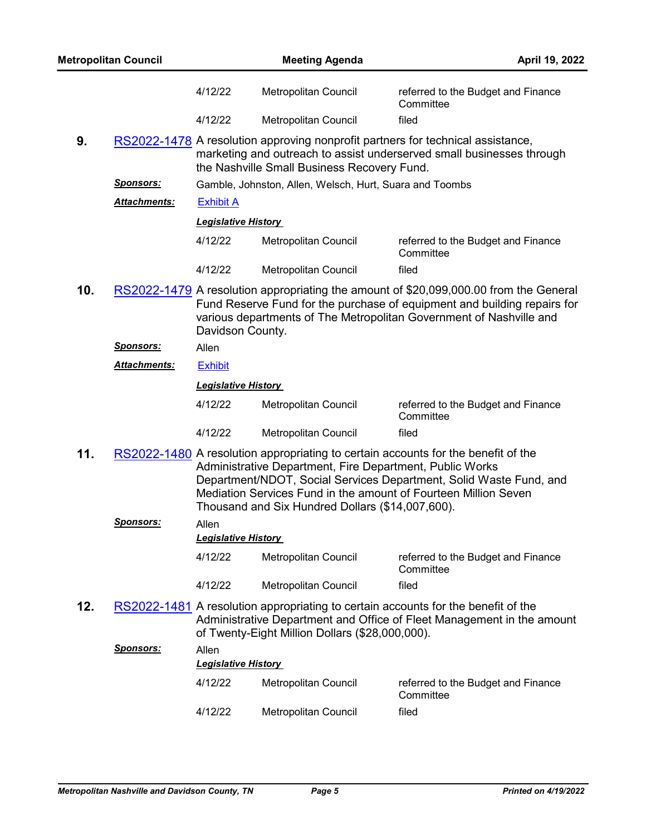|     | <b>Metropolitan Council</b> |                            | <b>Meeting Agenda</b>                                                                                                                                                                                                                                                                                                                      |                                                 | April 19, 2022 |
|-----|-----------------------------|----------------------------|--------------------------------------------------------------------------------------------------------------------------------------------------------------------------------------------------------------------------------------------------------------------------------------------------------------------------------------------|-------------------------------------------------|----------------|
|     |                             | 4/12/22                    | Metropolitan Council                                                                                                                                                                                                                                                                                                                       | referred to the Budget and Finance<br>Committee |                |
|     |                             | 4/12/22                    | Metropolitan Council                                                                                                                                                                                                                                                                                                                       | filed                                           |                |
| 9.  |                             |                            | RS2022-1478 A resolution approving nonprofit partners for technical assistance,<br>marketing and outreach to assist underserved small businesses through<br>the Nashville Small Business Recovery Fund.                                                                                                                                    |                                                 |                |
|     | <b>Sponsors:</b>            |                            | Gamble, Johnston, Allen, Welsch, Hurt, Suara and Toombs                                                                                                                                                                                                                                                                                    |                                                 |                |
|     | <b>Attachments:</b>         | <b>Exhibit A</b>           |                                                                                                                                                                                                                                                                                                                                            |                                                 |                |
|     |                             | <b>Legislative History</b> |                                                                                                                                                                                                                                                                                                                                            |                                                 |                |
|     |                             | 4/12/22                    | Metropolitan Council                                                                                                                                                                                                                                                                                                                       | referred to the Budget and Finance<br>Committee |                |
|     |                             | 4/12/22                    | Metropolitan Council                                                                                                                                                                                                                                                                                                                       | filed                                           |                |
| 10. |                             | Davidson County.           | RS2022-1479 A resolution appropriating the amount of \$20,099,000.00 from the General<br>Fund Reserve Fund for the purchase of equipment and building repairs for<br>various departments of The Metropolitan Government of Nashville and                                                                                                   |                                                 |                |
|     | <u>Sponsors:</u>            | Allen                      |                                                                                                                                                                                                                                                                                                                                            |                                                 |                |
|     | <b>Attachments:</b>         | <b>Exhibit</b>             |                                                                                                                                                                                                                                                                                                                                            |                                                 |                |
|     |                             | <b>Legislative History</b> |                                                                                                                                                                                                                                                                                                                                            |                                                 |                |
|     |                             | 4/12/22                    | Metropolitan Council                                                                                                                                                                                                                                                                                                                       | referred to the Budget and Finance<br>Committee |                |
|     |                             | 4/12/22                    | Metropolitan Council                                                                                                                                                                                                                                                                                                                       | filed                                           |                |
| 11. |                             |                            | RS2022-1480 A resolution appropriating to certain accounts for the benefit of the<br>Administrative Department, Fire Department, Public Works<br>Department/NDOT, Social Services Department, Solid Waste Fund, and<br>Mediation Services Fund in the amount of Fourteen Million Seven<br>Thousand and Six Hundred Dollars (\$14,007,600). |                                                 |                |
|     | <u>Sponsors:</u>            | Allen                      |                                                                                                                                                                                                                                                                                                                                            |                                                 |                |
|     |                             | <b>Legislative History</b> |                                                                                                                                                                                                                                                                                                                                            |                                                 |                |
|     |                             | 4/12/22                    | Metropolitan Council                                                                                                                                                                                                                                                                                                                       | referred to the Budget and Finance<br>Committee |                |
|     |                             | 4/12/22                    | Metropolitan Council                                                                                                                                                                                                                                                                                                                       | filed                                           |                |
| 12. |                             |                            | RS2022-1481 A resolution appropriating to certain accounts for the benefit of the<br>Administrative Department and Office of Fleet Management in the amount<br>of Twenty-Eight Million Dollars (\$28,000,000).                                                                                                                             |                                                 |                |
|     | <u>Sponsors:</u>            | Allen                      |                                                                                                                                                                                                                                                                                                                                            |                                                 |                |
|     |                             | <b>Legislative History</b> |                                                                                                                                                                                                                                                                                                                                            |                                                 |                |
|     |                             | 4/12/22                    | Metropolitan Council                                                                                                                                                                                                                                                                                                                       | referred to the Budget and Finance<br>Committee |                |
|     |                             | 4/12/22                    | Metropolitan Council                                                                                                                                                                                                                                                                                                                       | filed                                           |                |
|     |                             |                            |                                                                                                                                                                                                                                                                                                                                            |                                                 |                |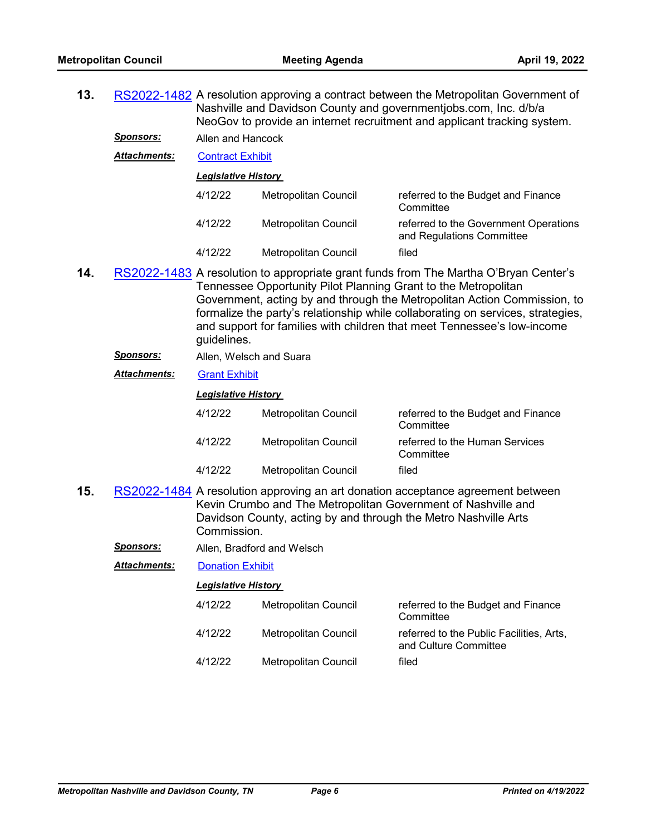| 13. |                      | RS2022-1482 A resolution approving a contract between the Metropolitan Government of<br>Nashville and Davidson County and governmentjobs.com, Inc. d/b/a<br>NeoGov to provide an internet recruitment and applicant tracking system. |                                                                 |                                                                                                                                                                                                                                                                                                                                |  |
|-----|----------------------|--------------------------------------------------------------------------------------------------------------------------------------------------------------------------------------------------------------------------------------|-----------------------------------------------------------------|--------------------------------------------------------------------------------------------------------------------------------------------------------------------------------------------------------------------------------------------------------------------------------------------------------------------------------|--|
|     | <u>Sponsors:</u>     | Allen and Hancock                                                                                                                                                                                                                    |                                                                 |                                                                                                                                                                                                                                                                                                                                |  |
|     | Attachments:         | <b>Contract Exhibit</b>                                                                                                                                                                                                              |                                                                 |                                                                                                                                                                                                                                                                                                                                |  |
|     |                      | <b>Legislative History</b>                                                                                                                                                                                                           |                                                                 |                                                                                                                                                                                                                                                                                                                                |  |
|     |                      | 4/12/22                                                                                                                                                                                                                              | Metropolitan Council                                            | referred to the Budget and Finance<br>Committee                                                                                                                                                                                                                                                                                |  |
|     |                      | 4/12/22                                                                                                                                                                                                                              | Metropolitan Council                                            | referred to the Government Operations<br>and Regulations Committee                                                                                                                                                                                                                                                             |  |
|     |                      | 4/12/22                                                                                                                                                                                                                              | Metropolitan Council                                            | filed                                                                                                                                                                                                                                                                                                                          |  |
| 14. |                      | guidelines.                                                                                                                                                                                                                          | Tennessee Opportunity Pilot Planning Grant to the Metropolitan  | RS2022-1483 A resolution to appropriate grant funds from The Martha O'Bryan Center's<br>Government, acting by and through the Metropolitan Action Commission, to<br>formalize the party's relationship while collaborating on services, strategies,<br>and support for families with children that meet Tennessee's low-income |  |
|     | <u>Sponsors:</u>     | Allen, Welsch and Suara                                                                                                                                                                                                              |                                                                 |                                                                                                                                                                                                                                                                                                                                |  |
|     | Attachments:         | <b>Grant Exhibit</b>                                                                                                                                                                                                                 |                                                                 |                                                                                                                                                                                                                                                                                                                                |  |
|     |                      | <b>Legislative History</b>                                                                                                                                                                                                           |                                                                 |                                                                                                                                                                                                                                                                                                                                |  |
|     |                      | 4/12/22                                                                                                                                                                                                                              | Metropolitan Council                                            | referred to the Budget and Finance<br>Committee                                                                                                                                                                                                                                                                                |  |
|     |                      | 4/12/22                                                                                                                                                                                                                              | Metropolitan Council                                            | referred to the Human Services<br>Committee                                                                                                                                                                                                                                                                                    |  |
|     |                      | 4/12/22                                                                                                                                                                                                                              | Metropolitan Council                                            | filed                                                                                                                                                                                                                                                                                                                          |  |
| 15. |                      | Commission.                                                                                                                                                                                                                          | Davidson County, acting by and through the Metro Nashville Arts | RS2022-1484 A resolution approving an art donation acceptance agreement between<br>Kevin Crumbo and The Metropolitan Government of Nashville and                                                                                                                                                                               |  |
|     | <u>Sponsors:</u>     |                                                                                                                                                                                                                                      | Allen, Bradford and Welsch                                      |                                                                                                                                                                                                                                                                                                                                |  |
|     | <u> Attachments:</u> | <b>Donation Exhibit</b>                                                                                                                                                                                                              |                                                                 |                                                                                                                                                                                                                                                                                                                                |  |
|     |                      | <b>Legislative History</b>                                                                                                                                                                                                           |                                                                 |                                                                                                                                                                                                                                                                                                                                |  |
|     |                      | 4/12/22                                                                                                                                                                                                                              | Metropolitan Council                                            | referred to the Budget and Finance<br>Committee                                                                                                                                                                                                                                                                                |  |
|     |                      | 4/12/22                                                                                                                                                                                                                              | <b>Metropolitan Council</b>                                     | referred to the Public Facilities, Arts,                                                                                                                                                                                                                                                                                       |  |

and Culture Committee 4/12/22 Metropolitan Council filed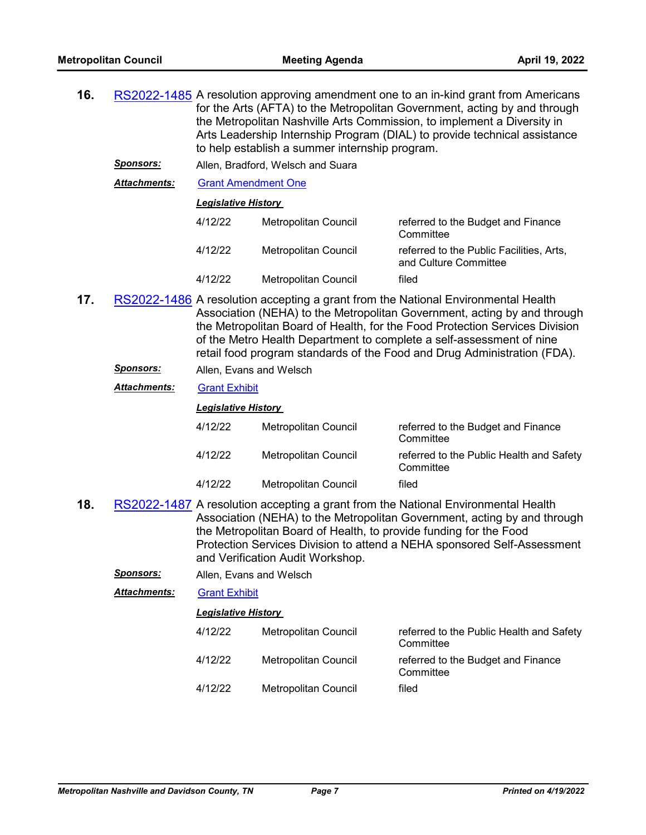| 16. |                     | RS2022-1485 A resolution approving amendment one to an in-kind grant from Americans<br>for the Arts (AFTA) to the Metropolitan Government, acting by and through<br>the Metropolitan Nashville Arts Commission, to implement a Diversity in<br>Arts Leadership Internship Program (DIAL) to provide technical assistance<br>to help establish a summer internship program.                       |                                                                                                       |                                                                                                                                                                                                                                          |  |  |  |
|-----|---------------------|--------------------------------------------------------------------------------------------------------------------------------------------------------------------------------------------------------------------------------------------------------------------------------------------------------------------------------------------------------------------------------------------------|-------------------------------------------------------------------------------------------------------|------------------------------------------------------------------------------------------------------------------------------------------------------------------------------------------------------------------------------------------|--|--|--|
|     | <u>Sponsors:</u>    | Allen, Bradford, Welsch and Suara                                                                                                                                                                                                                                                                                                                                                                |                                                                                                       |                                                                                                                                                                                                                                          |  |  |  |
|     | Attachments:        | <b>Grant Amendment One</b>                                                                                                                                                                                                                                                                                                                                                                       |                                                                                                       |                                                                                                                                                                                                                                          |  |  |  |
|     |                     | <b>Legislative History</b>                                                                                                                                                                                                                                                                                                                                                                       |                                                                                                       |                                                                                                                                                                                                                                          |  |  |  |
|     |                     | 4/12/22                                                                                                                                                                                                                                                                                                                                                                                          | Metropolitan Council                                                                                  | referred to the Budget and Finance<br>Committee                                                                                                                                                                                          |  |  |  |
|     |                     | 4/12/22                                                                                                                                                                                                                                                                                                                                                                                          | Metropolitan Council                                                                                  | referred to the Public Facilities, Arts,<br>and Culture Committee                                                                                                                                                                        |  |  |  |
|     |                     | 4/12/22                                                                                                                                                                                                                                                                                                                                                                                          | Metropolitan Council                                                                                  | filed                                                                                                                                                                                                                                    |  |  |  |
| 17. |                     | RS2022-1486 A resolution accepting a grant from the National Environmental Health<br>Association (NEHA) to the Metropolitan Government, acting by and through<br>the Metropolitan Board of Health, for the Food Protection Services Division<br>of the Metro Health Department to complete a self-assessment of nine<br>retail food program standards of the Food and Drug Administration (FDA). |                                                                                                       |                                                                                                                                                                                                                                          |  |  |  |
|     | <u>Sponsors:</u>    | Allen, Evans and Welsch                                                                                                                                                                                                                                                                                                                                                                          |                                                                                                       |                                                                                                                                                                                                                                          |  |  |  |
|     | Attachments:        | <b>Grant Exhibit</b>                                                                                                                                                                                                                                                                                                                                                                             |                                                                                                       |                                                                                                                                                                                                                                          |  |  |  |
|     |                     | <b>Legislative History</b>                                                                                                                                                                                                                                                                                                                                                                       |                                                                                                       |                                                                                                                                                                                                                                          |  |  |  |
|     |                     |                                                                                                                                                                                                                                                                                                                                                                                                  |                                                                                                       |                                                                                                                                                                                                                                          |  |  |  |
|     |                     | 4/12/22                                                                                                                                                                                                                                                                                                                                                                                          | Metropolitan Council                                                                                  | referred to the Budget and Finance<br>Committee                                                                                                                                                                                          |  |  |  |
|     |                     | 4/12/22                                                                                                                                                                                                                                                                                                                                                                                          | Metropolitan Council                                                                                  | referred to the Public Health and Safety<br>Committee                                                                                                                                                                                    |  |  |  |
|     |                     | 4/12/22                                                                                                                                                                                                                                                                                                                                                                                          | Metropolitan Council                                                                                  | filed                                                                                                                                                                                                                                    |  |  |  |
| 18. |                     |                                                                                                                                                                                                                                                                                                                                                                                                  | the Metropolitan Board of Health, to provide funding for the Food<br>and Verification Audit Workshop. | RS2022-1487 A resolution accepting a grant from the National Environmental Health<br>Association (NEHA) to the Metropolitan Government, acting by and through<br>Protection Services Division to attend a NEHA sponsored Self-Assessment |  |  |  |
|     | <u>Sponsors:</u>    | Allen, Evans and Welsch                                                                                                                                                                                                                                                                                                                                                                          |                                                                                                       |                                                                                                                                                                                                                                          |  |  |  |
|     | <b>Attachments:</b> | <b>Grant Exhibit</b>                                                                                                                                                                                                                                                                                                                                                                             |                                                                                                       |                                                                                                                                                                                                                                          |  |  |  |
|     |                     | <b>Legislative History</b>                                                                                                                                                                                                                                                                                                                                                                       |                                                                                                       |                                                                                                                                                                                                                                          |  |  |  |
|     |                     | 4/12/22                                                                                                                                                                                                                                                                                                                                                                                          | Metropolitan Council                                                                                  | referred to the Public Health and Safety<br>Committee                                                                                                                                                                                    |  |  |  |
|     |                     | 4/12/22<br>4/12/22                                                                                                                                                                                                                                                                                                                                                                               | Metropolitan Council<br>Metropolitan Council                                                          | referred to the Budget and Finance<br>Committee<br>filed                                                                                                                                                                                 |  |  |  |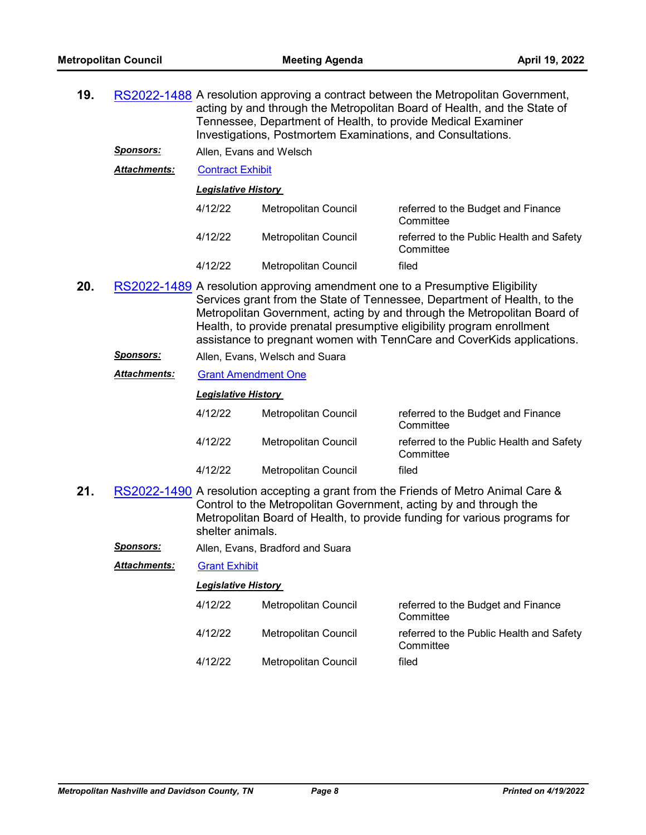| 19. |                     | RS2022-1488 A resolution approving a contract between the Metropolitan Government,<br>acting by and through the Metropolitan Board of Health, and the State of<br>Tennessee, Department of Health, to provide Medical Examiner<br>Investigations, Postmortem Examinations, and Consultations.                                                                                             |                                  |                                                                                                                                                                                                                                      |  |  |  |
|-----|---------------------|-------------------------------------------------------------------------------------------------------------------------------------------------------------------------------------------------------------------------------------------------------------------------------------------------------------------------------------------------------------------------------------------|----------------------------------|--------------------------------------------------------------------------------------------------------------------------------------------------------------------------------------------------------------------------------------|--|--|--|
|     | <b>Sponsors:</b>    |                                                                                                                                                                                                                                                                                                                                                                                           | Allen, Evans and Welsch          |                                                                                                                                                                                                                                      |  |  |  |
|     | <b>Attachments:</b> | <b>Contract Exhibit</b>                                                                                                                                                                                                                                                                                                                                                                   |                                  |                                                                                                                                                                                                                                      |  |  |  |
|     |                     | <b>Legislative History</b>                                                                                                                                                                                                                                                                                                                                                                |                                  |                                                                                                                                                                                                                                      |  |  |  |
|     |                     | 4/12/22                                                                                                                                                                                                                                                                                                                                                                                   | Metropolitan Council             | referred to the Budget and Finance<br>Committee                                                                                                                                                                                      |  |  |  |
|     |                     | 4/12/22                                                                                                                                                                                                                                                                                                                                                                                   | Metropolitan Council             | referred to the Public Health and Safety<br>Committee                                                                                                                                                                                |  |  |  |
|     |                     | 4/12/22                                                                                                                                                                                                                                                                                                                                                                                   | Metropolitan Council             | filed                                                                                                                                                                                                                                |  |  |  |
| 20. |                     | RS2022-1489 A resolution approving amendment one to a Presumptive Eligibility<br>Services grant from the State of Tennessee, Department of Health, to the<br>Metropolitan Government, acting by and through the Metropolitan Board of<br>Health, to provide prenatal presumptive eligibility program enrollment<br>assistance to pregnant women with TennCare and CoverKids applications. |                                  |                                                                                                                                                                                                                                      |  |  |  |
|     | Sponsors:           | Allen, Evans, Welsch and Suara                                                                                                                                                                                                                                                                                                                                                            |                                  |                                                                                                                                                                                                                                      |  |  |  |
|     | Attachments:        | <b>Grant Amendment One</b>                                                                                                                                                                                                                                                                                                                                                                |                                  |                                                                                                                                                                                                                                      |  |  |  |
|     |                     | <b>Legislative History</b>                                                                                                                                                                                                                                                                                                                                                                |                                  |                                                                                                                                                                                                                                      |  |  |  |
|     |                     | 4/12/22                                                                                                                                                                                                                                                                                                                                                                                   | Metropolitan Council             | referred to the Budget and Finance<br>Committee                                                                                                                                                                                      |  |  |  |
|     |                     | 4/12/22                                                                                                                                                                                                                                                                                                                                                                                   | Metropolitan Council             | referred to the Public Health and Safety<br>Committee                                                                                                                                                                                |  |  |  |
|     |                     | 4/12/22                                                                                                                                                                                                                                                                                                                                                                                   | Metropolitan Council             | filed                                                                                                                                                                                                                                |  |  |  |
| 21. |                     | shelter animals.                                                                                                                                                                                                                                                                                                                                                                          |                                  | RS2022-1490 A resolution accepting a grant from the Friends of Metro Animal Care &<br>Control to the Metropolitan Government, acting by and through the<br>Metropolitan Board of Health, to provide funding for various programs for |  |  |  |
|     | <b>Sponsors:</b>    |                                                                                                                                                                                                                                                                                                                                                                                           | Allen, Evans, Bradford and Suara |                                                                                                                                                                                                                                      |  |  |  |
|     | Attachments:        | <b>Grant Exhibit</b>                                                                                                                                                                                                                                                                                                                                                                      |                                  |                                                                                                                                                                                                                                      |  |  |  |
|     |                     | <b>Legislative History</b>                                                                                                                                                                                                                                                                                                                                                                |                                  |                                                                                                                                                                                                                                      |  |  |  |
|     |                     | 4/12/22                                                                                                                                                                                                                                                                                                                                                                                   | <b>Metropolitan Council</b>      | referred to the Budget and Finance<br>Committee                                                                                                                                                                                      |  |  |  |
|     |                     | 4/12/22                                                                                                                                                                                                                                                                                                                                                                                   | Metropolitan Council             | referred to the Public Health and Safety<br>Committee                                                                                                                                                                                |  |  |  |
|     |                     | 4/12/22                                                                                                                                                                                                                                                                                                                                                                                   | Metropolitan Council             | filed                                                                                                                                                                                                                                |  |  |  |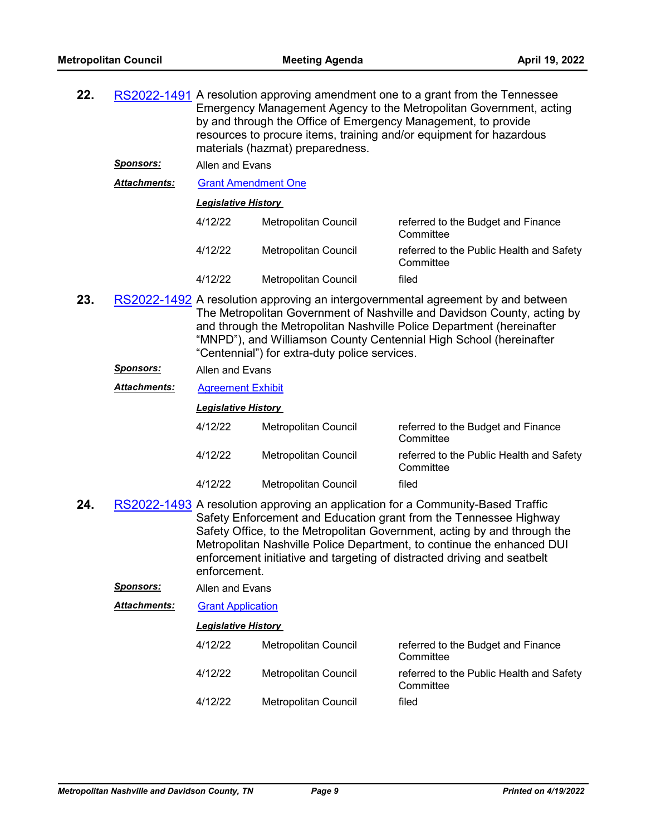| 22. |                      | RS2022-1491 A resolution approving amendment one to a grant from the Tennessee<br>Emergency Management Agency to the Metropolitan Government, acting<br>by and through the Office of Emergency Management, to provide<br>resources to procure items, training and/or equipment for hazardous<br>materials (hazmat) preparedness.                                                                      |                      |                                                       |  |
|-----|----------------------|-------------------------------------------------------------------------------------------------------------------------------------------------------------------------------------------------------------------------------------------------------------------------------------------------------------------------------------------------------------------------------------------------------|----------------------|-------------------------------------------------------|--|
|     | <b>Sponsors:</b>     | Allen and Evans                                                                                                                                                                                                                                                                                                                                                                                       |                      |                                                       |  |
|     | <u> Attachments:</u> | <b>Grant Amendment One</b>                                                                                                                                                                                                                                                                                                                                                                            |                      |                                                       |  |
|     |                      | <b>Legislative History</b>                                                                                                                                                                                                                                                                                                                                                                            |                      |                                                       |  |
|     |                      | 4/12/22                                                                                                                                                                                                                                                                                                                                                                                               | Metropolitan Council | referred to the Budget and Finance<br>Committee       |  |
|     |                      | 4/12/22                                                                                                                                                                                                                                                                                                                                                                                               | Metropolitan Council | referred to the Public Health and Safety<br>Committee |  |
|     |                      | 4/12/22                                                                                                                                                                                                                                                                                                                                                                                               | Metropolitan Council | filed                                                 |  |
| 23. |                      | RS2022-1492 A resolution approving an intergovernmental agreement by and between<br>The Metropolitan Government of Nashville and Davidson County, acting by<br>and through the Metropolitan Nashville Police Department (hereinafter<br>"MNPD"), and Williamson County Centennial High School (hereinafter<br>"Centennial") for extra-duty police services.                                           |                      |                                                       |  |
|     | <u>Sponsors:</u>     | Allen and Evans                                                                                                                                                                                                                                                                                                                                                                                       |                      |                                                       |  |
|     | <u> Attachments:</u> | <b>Agreement Exhibit</b>                                                                                                                                                                                                                                                                                                                                                                              |                      |                                                       |  |
|     |                      | <b>Legislative History</b>                                                                                                                                                                                                                                                                                                                                                                            |                      |                                                       |  |
|     |                      | 4/12/22                                                                                                                                                                                                                                                                                                                                                                                               | Metropolitan Council | referred to the Budget and Finance<br>Committee       |  |
|     |                      | 4/12/22                                                                                                                                                                                                                                                                                                                                                                                               | Metropolitan Council | referred to the Public Health and Safety<br>Committee |  |
|     |                      | 4/12/22                                                                                                                                                                                                                                                                                                                                                                                               | Metropolitan Council | filed                                                 |  |
| 24. |                      | RS2022-1493 A resolution approving an application for a Community-Based Traffic<br>Safety Enforcement and Education grant from the Tennessee Highway<br>Safety Office, to the Metropolitan Government, acting by and through the<br>Metropolitan Nashville Police Department, to continue the enhanced DUI<br>enforcement initiative and targeting of distracted driving and seatbelt<br>enforcement. |                      |                                                       |  |
|     | <u>Sponsors:</u>     | Allen and Evans                                                                                                                                                                                                                                                                                                                                                                                       |                      |                                                       |  |
|     | <u> Attachments:</u> | <b>Grant Application</b>                                                                                                                                                                                                                                                                                                                                                                              |                      |                                                       |  |
|     |                      | I egislative History                                                                                                                                                                                                                                                                                                                                                                                  |                      |                                                       |  |

| 4/12/22 | <b>Metropolitan Council</b> |
|---------|-----------------------------|

referred to the Budget and Finance Committee 4/12/22 Metropolitan Council referred to the Public Health and Safety **Committee** 

4/12/22 Metropolitan Council filed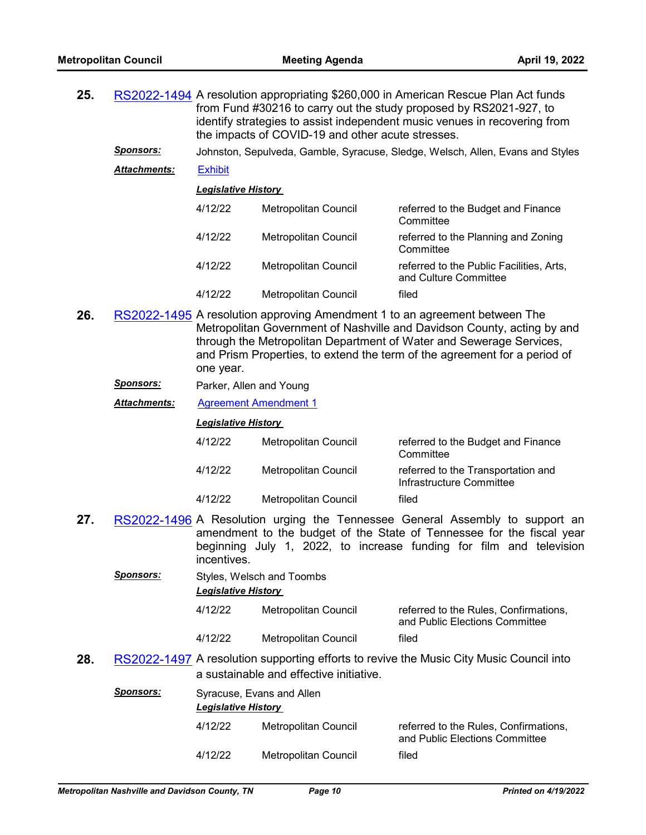| 25.                        |                     | RS2022-1494 A resolution appropriating \$260,000 in American Rescue Plan Act funds<br>from Fund #30216 to carry out the study proposed by RS2021-927, to<br>identify strategies to assist independent music venues in recovering from<br>the impacts of COVID-19 and other acute stresses. |                                                                                |                                                                   |  |  |
|----------------------------|---------------------|--------------------------------------------------------------------------------------------------------------------------------------------------------------------------------------------------------------------------------------------------------------------------------------------|--------------------------------------------------------------------------------|-------------------------------------------------------------------|--|--|
|                            | <b>Sponsors:</b>    |                                                                                                                                                                                                                                                                                            | Johnston, Sepulveda, Gamble, Syracuse, Sledge, Welsch, Allen, Evans and Styles |                                                                   |  |  |
|                            | <b>Attachments:</b> | <b>Exhibit</b>                                                                                                                                                                                                                                                                             |                                                                                |                                                                   |  |  |
| <b>Legislative History</b> |                     |                                                                                                                                                                                                                                                                                            |                                                                                |                                                                   |  |  |
|                            |                     | 4/12/22                                                                                                                                                                                                                                                                                    | Metropolitan Council                                                           | referred to the Budget and Finance<br>Committee                   |  |  |
|                            |                     | 4/12/22                                                                                                                                                                                                                                                                                    | Metropolitan Council                                                           | referred to the Planning and Zoning<br>Committee                  |  |  |
|                            |                     | 4/12/22                                                                                                                                                                                                                                                                                    | Metropolitan Council                                                           | referred to the Public Facilities, Arts,<br>and Culture Committee |  |  |
|                            |                     | 4/12/22                                                                                                                                                                                                                                                                                    | <b>Metropolitan Council</b>                                                    | filed                                                             |  |  |

- **26.** [RS2022-1495](http://nashville.legistar.com/gateway.aspx?m=l&id=/matter.aspx?key=14363) A resolution approving Amendment 1 to an agreement between The Metropolitan Government of Nashville and Davidson County, acting by and through the Metropolitan Department of Water and Sewerage Services, and Prism Properties, to extend the term of the agreement for a period of one year.
	- *Sponsors:* Parker, Allen and Young

*Attachments:* [Agreement Amendment 1](http://nashville.legistar.com/gateway.aspx?M=F&ID=402aa042-0aef-4e0e-95e3-33f8092b458e.pdf)

| 4/12/22 | Metropolitan Council | referred to the Budget and Finance<br>Committee                |
|---------|----------------------|----------------------------------------------------------------|
| 4/12/22 | Metropolitan Council | referred to the Transportation and<br>Infrastructure Committee |
| 4/12/22 | Metropolitan Council | filed                                                          |

- **27.** [RS2022-1496](http://nashville.legistar.com/gateway.aspx?m=l&id=/matter.aspx?key=14395) A Resolution urging the Tennessee General Assembly to support an amendment to the budget of the State of Tennessee for the fiscal year beginning July 1, 2022, to increase funding for film and television incentives.
- *Sponsors:* Styles, Welsch and Toombs *Legislative History*  4/12/22 Metropolitan Council referred to the Rules, Confirmations, and Public Elections Committee 4/12/22 Metropolitan Council filed 28. [RS2022-1497](http://nashville.legistar.com/gateway.aspx?m=l&id=/matter.aspx?key=14397) A resolution supporting efforts to revive the Music City Music Council into a sustainable and effective initiative.

| <b>Sponsors:</b> | Syracuse, Evans and Allen<br><b>Legislative History</b> |                      |                                                                         |  |
|------------------|---------------------------------------------------------|----------------------|-------------------------------------------------------------------------|--|
|                  | 4/12/22                                                 | Metropolitan Council | referred to the Rules, Confirmations,<br>and Public Elections Committee |  |
|                  | 4/12/22                                                 | Metropolitan Council | filed                                                                   |  |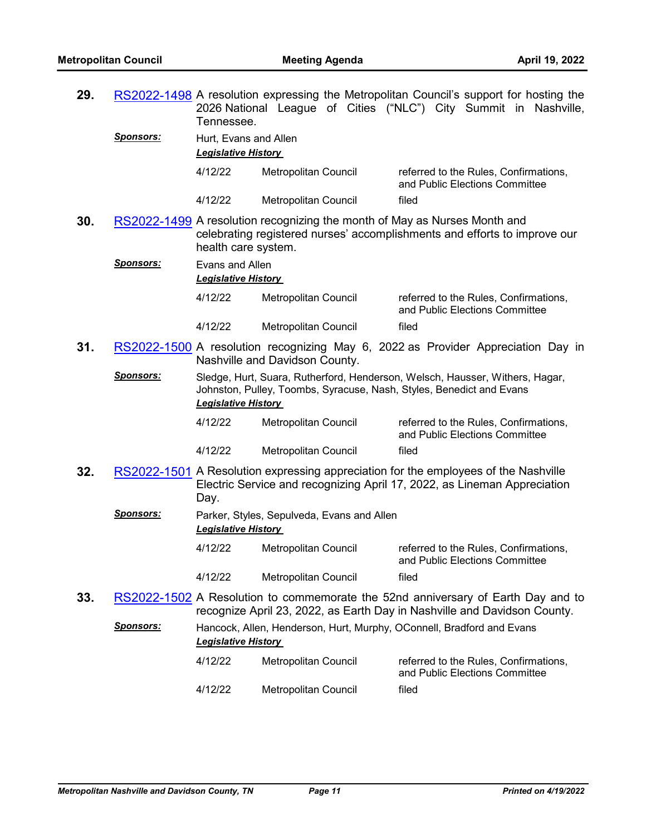| 29. |                  | Tennessee.                                          |                                                                           | RS2022-1498 A resolution expressing the Metropolitan Council's support for hosting the<br>2026 National League of Cities ("NLC") City Summit in Nashville,      |
|-----|------------------|-----------------------------------------------------|---------------------------------------------------------------------------|-----------------------------------------------------------------------------------------------------------------------------------------------------------------|
|     | <u>Sponsors:</u> | Hurt, Evans and Allen<br><b>Legislative History</b> |                                                                           |                                                                                                                                                                 |
|     |                  | 4/12/22                                             | Metropolitan Council                                                      | referred to the Rules, Confirmations,<br>and Public Elections Committee                                                                                         |
|     |                  | 4/12/22                                             | Metropolitan Council                                                      | filed                                                                                                                                                           |
| 30. |                  | health care system.                                 | RS2022-1499 A resolution recognizing the month of May as Nurses Month and | celebrating registered nurses' accomplishments and efforts to improve our                                                                                       |
|     | <u>Sponsors:</u> | Evans and Allen<br><b>Legislative History</b>       |                                                                           |                                                                                                                                                                 |
|     |                  | 4/12/22                                             | Metropolitan Council                                                      | referred to the Rules, Confirmations,<br>and Public Elections Committee                                                                                         |
|     |                  | 4/12/22                                             | Metropolitan Council                                                      | filed                                                                                                                                                           |
| 31. |                  |                                                     | Nashville and Davidson County.                                            | RS2022-1500 A resolution recognizing May 6, 2022 as Provider Appreciation Day in                                                                                |
|     | <u>Sponsors:</u> | <b>Legislative History</b>                          |                                                                           | Sledge, Hurt, Suara, Rutherford, Henderson, Welsch, Hausser, Withers, Hagar,<br>Johnston, Pulley, Toombs, Syracuse, Nash, Styles, Benedict and Evans            |
|     |                  | 4/12/22                                             | Metropolitan Council                                                      | referred to the Rules, Confirmations,<br>and Public Elections Committee                                                                                         |
|     |                  | 4/12/22                                             | Metropolitan Council                                                      | filed                                                                                                                                                           |
| 32. |                  | Day.                                                |                                                                           | RS2022-1501 A Resolution expressing appreciation for the employees of the Nashville<br>Electric Service and recognizing April 17, 2022, as Lineman Appreciation |
|     | <u>Sponsors:</u> | <b>Legislative History</b>                          | Parker, Styles, Sepulveda, Evans and Allen                                |                                                                                                                                                                 |
|     |                  | 4/12/22                                             | Metropolitan Council                                                      | referred to the Rules, Confirmations,<br>and Public Elections Committee                                                                                         |
|     |                  | 4/12/22                                             | <b>Metropolitan Council</b>                                               | filed                                                                                                                                                           |
| 33. |                  |                                                     |                                                                           | RS2022-1502 A Resolution to commemorate the 52nd anniversary of Earth Day and to<br>recognize April 23, 2022, as Earth Day in Nashville and Davidson County.    |
|     | <u>Sponsors:</u> | <b>Legislative History</b>                          |                                                                           | Hancock, Allen, Henderson, Hurt, Murphy, OConnell, Bradford and Evans                                                                                           |
|     |                  | 4/12/22                                             | Metropolitan Council                                                      | referred to the Rules, Confirmations,<br>and Public Elections Committee                                                                                         |
|     |                  | 4/12/22                                             | Metropolitan Council                                                      | filed                                                                                                                                                           |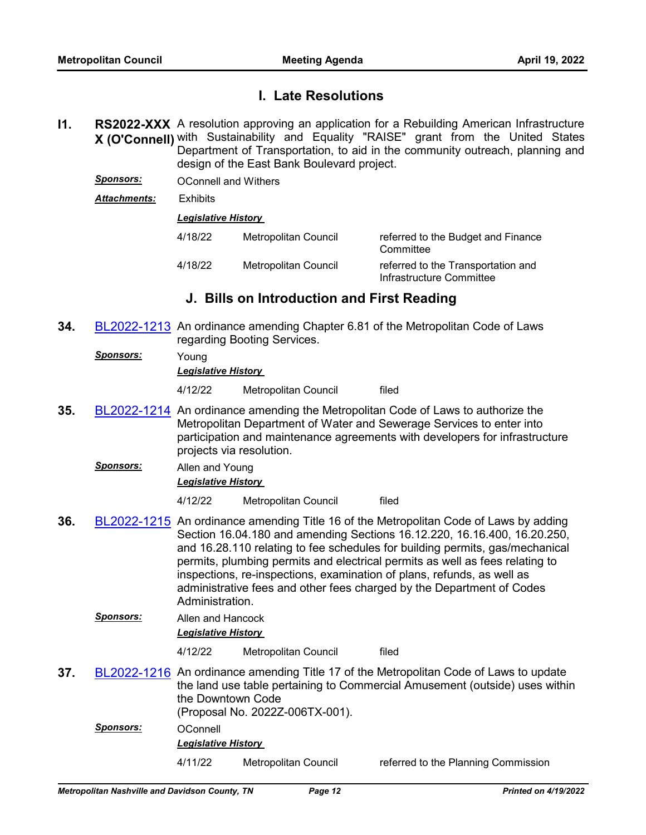# **I. Late Resolutions**

- **I1.** RS2022-XXX A resolution approving an application for a Rebuilding American Infrastructure **X (O'Connell)** with Sustainability and Equality "RAISE" grant from the United States Department of Transportation, to aid in the community outreach, planning and design of the East Bank Boulevard project.
	- *Sponsors:* OConnell and Withers
	- *Attachments:* Exhibits

#### *Legislative History*

| 4/18/22 | Metropolitan Council | referred to the Budget and Finance<br>Committee                |
|---------|----------------------|----------------------------------------------------------------|
| 4/18/22 | Metropolitan Council | referred to the Transportation and<br>Infrastructure Committee |

# **J. Bills on Introduction and First Reading**

- **34.** [BL2022-1213](http://nashville.legistar.com/gateway.aspx?m=l&id=/matter.aspx?key=14393) An ordinance amending Chapter 6.81 of the Metropolitan Code of Laws regarding Booting Services.
	- *Sponsors:* Young

#### *Legislative History*

4/12/22 Metropolitan Council filed

- **35.** [BL2022-1214](http://nashville.legistar.com/gateway.aspx?m=l&id=/matter.aspx?key=14354) An ordinance amending the Metropolitan Code of Laws to authorize the Metropolitan Department of Water and Sewerage Services to enter into participation and maintenance agreements with developers for infrastructure projects via resolution.
	- *Sponsors:* Allen and Young *Legislative History*

4/12/22 Metropolitan Council filed

**36.** [BL2022-1215](http://nashville.legistar.com/gateway.aspx?m=l&id=/matter.aspx?key=14378) An ordinance amending Title 16 of the Metropolitan Code of Laws by adding Section 16.04.180 and amending Sections 16.12.220, 16.16.400, 16.20.250, and 16.28.110 relating to fee schedules for building permits, gas/mechanical permits, plumbing permits and electrical permits as well as fees relating to inspections, re-inspections, examination of plans, refunds, as well as administrative fees and other fees charged by the Department of Codes Administration.

# *Sponsors:* Allen and Hancock *Legislative History*

4/12/22 Metropolitan Council filed

- **37.** [BL2022-1216](http://nashville.legistar.com/gateway.aspx?m=l&id=/matter.aspx?key=14314) An ordinance amending Title 17 of the Metropolitan Code of Laws to update the land use table pertaining to Commercial Amusement (outside) uses within the Downtown Code (Proposal No. 2022Z-006TX-001).
	- *Sponsors:* OConnell *Legislative History*

4/11/22 Metropolitan Council referred to the Planning Commission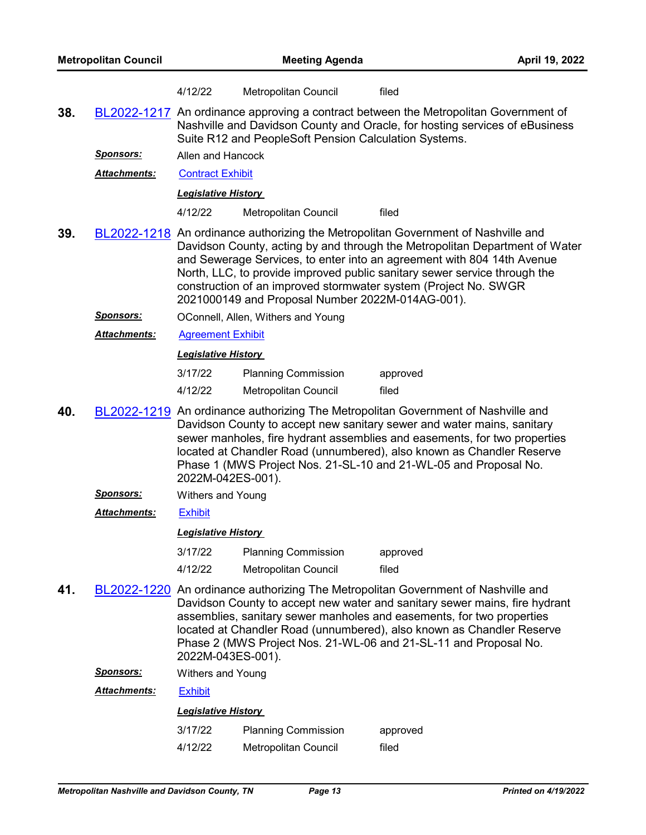| 4/12/22 | Metropolitan Council | filed |
|---------|----------------------|-------|
|---------|----------------------|-------|

**38.** [BL2022-1217](http://nashville.legistar.com/gateway.aspx?m=l&id=/matter.aspx?key=14368) An ordinance approving a contract between the Metropolitan Government of Nashville and Davidson County and Oracle, for hosting services of eBusiness Suite R12 and PeopleSoft Pension Calculation Systems.

*Sponsors:* Allen and Hancock

Attachments: [Contract Exhibit](http://nashville.legistar.com/gateway.aspx?M=F&ID=dcf2ceca-eb4d-42a6-a3e9-ab80ee1e5495.pdf)

#### *Legislative History*

4/12/22 Metropolitan Council filed

- **39.** [BL2022-1218](http://nashville.legistar.com/gateway.aspx?m=l&id=/matter.aspx?key=14355) An ordinance authorizing the Metropolitan Government of Nashville and Davidson County, acting by and through the Metropolitan Department of Water and Sewerage Services, to enter into an agreement with 804 14th Avenue North, LLC, to provide improved public sanitary sewer service through the construction of an improved stormwater system (Project No. SWGR 2021000149 and Proposal Number 2022M-014AG-001).
	- *Sponsors:* OConnell, Allen, Withers and Young
	- *Attachments:* [Agreement Exhibit](http://nashville.legistar.com/gateway.aspx?M=F&ID=27a57169-e6c7-4e62-a5b0-e0b8f5435feb.pdf)

### *Legislative History*

| 3/17/22 | <b>Planning Commission</b> | approved |
|---------|----------------------------|----------|
| 4/12/22 | Metropolitan Council       | filed    |

- **40.** [BL2022-1219](http://nashville.legistar.com/gateway.aspx?m=l&id=/matter.aspx?key=14347) An ordinance authorizing The Metropolitan Government of Nashville and Davidson County to accept new sanitary sewer and water mains, sanitary sewer manholes, fire hydrant assemblies and easements, for two properties located at Chandler Road (unnumbered), also known as Chandler Reserve Phase 1 (MWS Project Nos. 21-SL-10 and 21-WL-05 and Proposal No. 2022M-042ES-001).
	- *Sponsors:* Withers and Young
	- *Attachments:* [Exhibit](http://nashville.legistar.com/gateway.aspx?M=F&ID=65d50f91-c484-4ac8-9550-7e15c84167c1.pdf)

#### *Legislative History*

| 3/17/22 | <b>Planning Commission</b> | approved |
|---------|----------------------------|----------|
| 4/12/22 | Metropolitan Council       | filed    |

**41.** [BL2022-1220](http://nashville.legistar.com/gateway.aspx?m=l&id=/matter.aspx?key=14349) An ordinance authorizing The Metropolitan Government of Nashville and Davidson County to accept new water and sanitary sewer mains, fire hydrant assemblies, sanitary sewer manholes and easements, for two properties located at Chandler Road (unnumbered), also known as Chandler Reserve Phase 2 (MWS Project Nos. 21-WL-06 and 21-SL-11 and Proposal No. 2022M-043ES-001).

| Sponsors: | Withers and Young |
|-----------|-------------------|
|-----------|-------------------|

#### *Attachments:* [Exhibit](http://nashville.legistar.com/gateway.aspx?M=F&ID=240c8d34-9099-4db3-a2db-b4602d7cb391.pdf)

| 3/17/22 | <b>Planning Commission</b> | approved |
|---------|----------------------------|----------|
| 4/12/22 | Metropolitan Council       | filed    |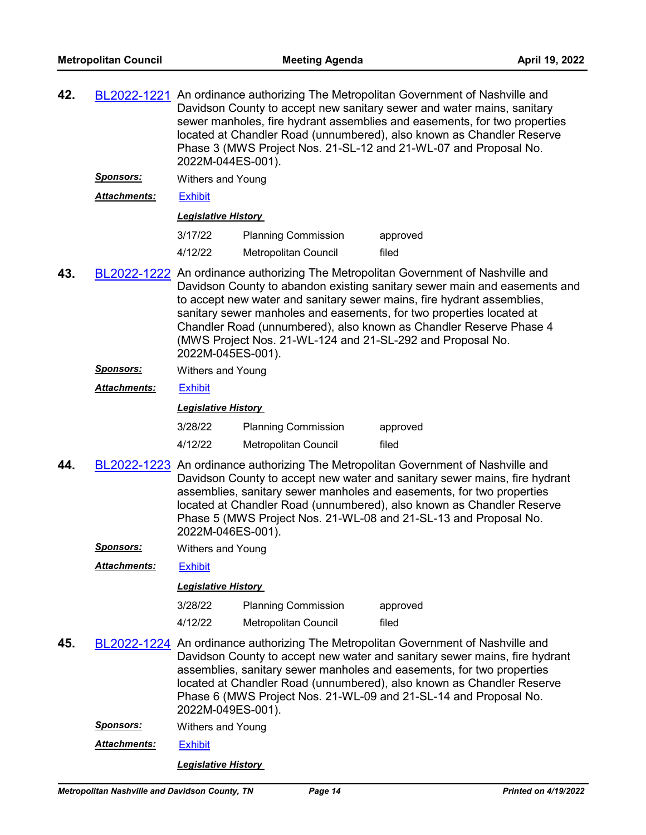- **42.** [BL2022-1221](http://nashville.legistar.com/gateway.aspx?m=l&id=/matter.aspx?key=14348) An ordinance authorizing The Metropolitan Government of Nashville and Davidson County to accept new sanitary sewer and water mains, sanitary sewer manholes, fire hydrant assemblies and easements, for two properties located at Chandler Road (unnumbered), also known as Chandler Reserve Phase 3 (MWS Project Nos. 21-SL-12 and 21-WL-07 and Proposal No. 2022M-044ES-001).
	- *Sponsors:* Withers and Young

*Attachments:* [Exhibit](http://nashville.legistar.com/gateway.aspx?M=F&ID=f1f6fe6b-77bb-47ed-879d-5b18537bb3a0.pdf)

#### *Legislative History*

| 3/17/22 | <b>Planning Commission</b> | approved |
|---------|----------------------------|----------|
| 4/12/22 | Metropolitan Council       | filed    |

- **43.** [BL2022-1222](http://nashville.legistar.com/gateway.aspx?m=l&id=/matter.aspx?key=14359) An ordinance authorizing The Metropolitan Government of Nashville and Davidson County to abandon existing sanitary sewer main and easements and to accept new water and sanitary sewer mains, fire hydrant assemblies, sanitary sewer manholes and easements, for two properties located at Chandler Road (unnumbered), also known as Chandler Reserve Phase 4 (MWS Project Nos. 21-WL-124 and 21-SL-292 and Proposal No. 2022M-045ES-001).
	- *Sponsors:* Withers and Young

### *Attachments:* [Exhibit](http://nashville.legistar.com/gateway.aspx?M=F&ID=8c2cb7af-aded-4b0c-9c5c-422c5b33de17.pdf)

#### *Legislative History*

| 3/28/22 | <b>Planning Commission</b> | approved |
|---------|----------------------------|----------|
| 4/12/22 | Metropolitan Council       | filed    |

- **44.** [BL2022-1223](http://nashville.legistar.com/gateway.aspx?m=l&id=/matter.aspx?key=14358) An ordinance authorizing The Metropolitan Government of Nashville and Davidson County to accept new water and sanitary sewer mains, fire hydrant assemblies, sanitary sewer manholes and easements, for two properties located at Chandler Road (unnumbered), also known as Chandler Reserve Phase 5 (MWS Project Nos. 21-WL-08 and 21-SL-13 and Proposal No. 2022M-046ES-001).
	- *Sponsors:* Withers and Young

*Attachments:* [Exhibit](http://nashville.legistar.com/gateway.aspx?M=F&ID=467849c1-4ec1-4500-b8f9-7301a4145a75.pdf)

#### *Legislative History*

| 3/28/22 | <b>Planning Commission</b> | approved |
|---------|----------------------------|----------|
| 4/12/22 | Metropolitan Council       | filed    |

- **45.** [BL2022-1224](http://nashville.legistar.com/gateway.aspx?m=l&id=/matter.aspx?key=14357) An ordinance authorizing The Metropolitan Government of Nashville and Davidson County to accept new water and sanitary sewer mains, fire hydrant assemblies, sanitary sewer manholes and easements, for two properties located at Chandler Road (unnumbered), also known as Chandler Reserve Phase 6 (MWS Project Nos. 21-WL-09 and 21-SL-14 and Proposal No. 2022M-049ES-001).
	- *Sponsors:* Withers and Young
	- *Attachments:* [Exhibit](http://nashville.legistar.com/gateway.aspx?M=F&ID=28e6234f-462c-411f-9c25-0b3b04254c07.pdf)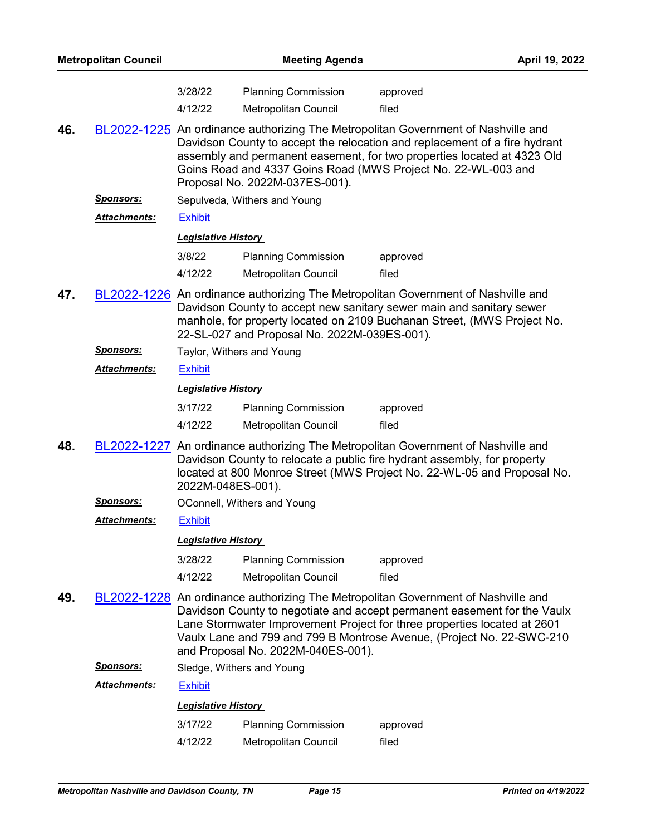| <b>Metropolitan Council</b> |                      | <b>Meeting Agenda</b>                                                                                                                                                                                                                                                                                                                                    |                                                    |                                                                                                                                                                                                                                                                                                             | April 19, 2022 |
|-----------------------------|----------------------|----------------------------------------------------------------------------------------------------------------------------------------------------------------------------------------------------------------------------------------------------------------------------------------------------------------------------------------------------------|----------------------------------------------------|-------------------------------------------------------------------------------------------------------------------------------------------------------------------------------------------------------------------------------------------------------------------------------------------------------------|----------------|
|                             |                      | 3/28/22<br>4/12/22                                                                                                                                                                                                                                                                                                                                       | <b>Planning Commission</b><br>Metropolitan Council | approved<br>filed                                                                                                                                                                                                                                                                                           |                |
| 46.                         |                      |                                                                                                                                                                                                                                                                                                                                                          | Proposal No. 2022M-037ES-001).                     | BL2022-1225 An ordinance authorizing The Metropolitan Government of Nashville and<br>Davidson County to accept the relocation and replacement of a fire hydrant<br>assembly and permanent easement, for two properties located at 4323 Old<br>Goins Road and 4337 Goins Road (MWS Project No. 22-WL-003 and |                |
|                             | <b>Sponsors:</b>     |                                                                                                                                                                                                                                                                                                                                                          | Sepulveda, Withers and Young                       |                                                                                                                                                                                                                                                                                                             |                |
|                             | <b>Attachments:</b>  | <b>Exhibit</b>                                                                                                                                                                                                                                                                                                                                           |                                                    |                                                                                                                                                                                                                                                                                                             |                |
|                             |                      | <b>Legislative History</b>                                                                                                                                                                                                                                                                                                                               |                                                    |                                                                                                                                                                                                                                                                                                             |                |
|                             |                      | 3/8/22                                                                                                                                                                                                                                                                                                                                                   | <b>Planning Commission</b>                         | approved                                                                                                                                                                                                                                                                                                    |                |
|                             |                      | 4/12/22                                                                                                                                                                                                                                                                                                                                                  | Metropolitan Council                               | filed                                                                                                                                                                                                                                                                                                       |                |
| 47.                         |                      |                                                                                                                                                                                                                                                                                                                                                          | 22-SL-027 and Proposal No. 2022M-039ES-001).       | BL2022-1226 An ordinance authorizing The Metropolitan Government of Nashville and<br>Davidson County to accept new sanitary sewer main and sanitary sewer<br>manhole, for property located on 2109 Buchanan Street, (MWS Project No.                                                                        |                |
|                             | <b>Sponsors:</b>     |                                                                                                                                                                                                                                                                                                                                                          | Taylor, Withers and Young                          |                                                                                                                                                                                                                                                                                                             |                |
|                             | <b>Attachments:</b>  | <b>Exhibit</b>                                                                                                                                                                                                                                                                                                                                           |                                                    |                                                                                                                                                                                                                                                                                                             |                |
|                             |                      | <b>Legislative History</b>                                                                                                                                                                                                                                                                                                                               |                                                    |                                                                                                                                                                                                                                                                                                             |                |
|                             |                      | 3/17/22<br>4/12/22                                                                                                                                                                                                                                                                                                                                       | <b>Planning Commission</b><br>Metropolitan Council | approved<br>filed                                                                                                                                                                                                                                                                                           |                |
| 48.                         |                      | 2022M-048ES-001).                                                                                                                                                                                                                                                                                                                                        |                                                    | BL2022-1227 An ordinance authorizing The Metropolitan Government of Nashville and<br>Davidson County to relocate a public fire hydrant assembly, for property<br>located at 800 Monroe Street (MWS Project No. 22-WL-05 and Proposal No.                                                                    |                |
|                             | <b>Sponsors:</b>     |                                                                                                                                                                                                                                                                                                                                                          | OConnell, Withers and Young                        |                                                                                                                                                                                                                                                                                                             |                |
|                             | <u> Attachments:</u> | <b>Exhibit</b>                                                                                                                                                                                                                                                                                                                                           |                                                    |                                                                                                                                                                                                                                                                                                             |                |
|                             |                      | <b>Legislative History</b>                                                                                                                                                                                                                                                                                                                               |                                                    |                                                                                                                                                                                                                                                                                                             |                |
|                             |                      | 3/28/22                                                                                                                                                                                                                                                                                                                                                  | <b>Planning Commission</b>                         | approved                                                                                                                                                                                                                                                                                                    |                |
|                             |                      | 4/12/22                                                                                                                                                                                                                                                                                                                                                  | Metropolitan Council                               | filed                                                                                                                                                                                                                                                                                                       |                |
| 49.                         |                      | BL2022-1228 An ordinance authorizing The Metropolitan Government of Nashville and<br>Davidson County to negotiate and accept permanent easement for the Vaulx<br>Lane Stormwater Improvement Project for three properties located at 2601<br>Vaulx Lane and 799 and 799 B Montrose Avenue, (Project No. 22-SWC-210<br>and Proposal No. 2022M-040ES-001). |                                                    |                                                                                                                                                                                                                                                                                                             |                |
|                             | <u>Sponsors:</u>     |                                                                                                                                                                                                                                                                                                                                                          | Sledge, Withers and Young                          |                                                                                                                                                                                                                                                                                                             |                |
|                             | <b>Attachments:</b>  | <b>Exhibit</b>                                                                                                                                                                                                                                                                                                                                           |                                                    |                                                                                                                                                                                                                                                                                                             |                |
|                             |                      | <b>Legislative History</b>                                                                                                                                                                                                                                                                                                                               |                                                    |                                                                                                                                                                                                                                                                                                             |                |
|                             |                      | 3/17/22                                                                                                                                                                                                                                                                                                                                                  | <b>Planning Commission</b>                         | approved                                                                                                                                                                                                                                                                                                    |                |
|                             |                      | 4/12/22                                                                                                                                                                                                                                                                                                                                                  | Metropolitan Council                               | filed                                                                                                                                                                                                                                                                                                       |                |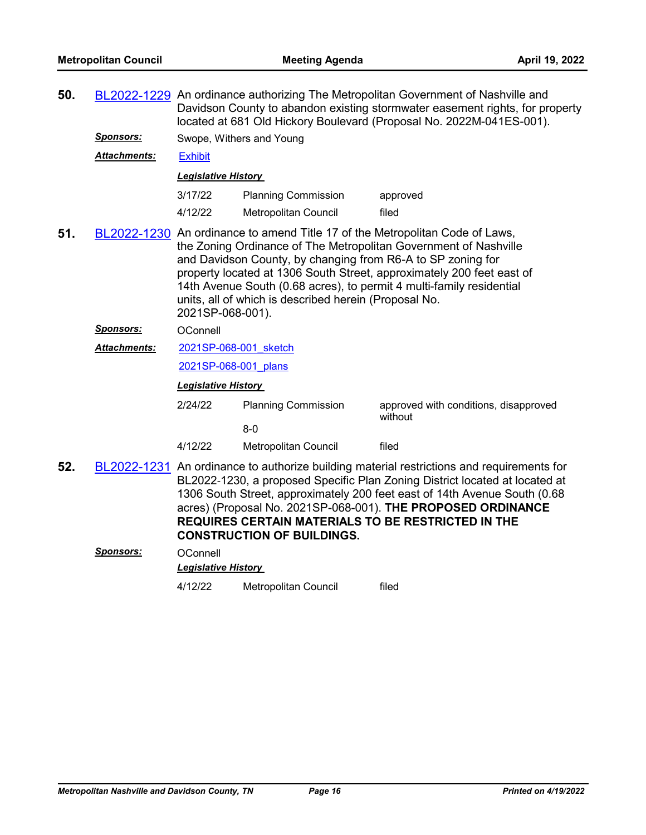| 50.                                                                                                                                                                                                                                                                                                                                                                                                                                                  |                     | BL2022-1229 An ordinance authorizing The Metropolitan Government of Nashville and<br>Davidson County to abandon existing stormwater easement rights, for property<br>located at 681 Old Hickory Boulevard (Proposal No. 2022M-041ES-001). |                                     |                                                                                                                                                                                                                                                                                                                                                                                    |  |
|------------------------------------------------------------------------------------------------------------------------------------------------------------------------------------------------------------------------------------------------------------------------------------------------------------------------------------------------------------------------------------------------------------------------------------------------------|---------------------|-------------------------------------------------------------------------------------------------------------------------------------------------------------------------------------------------------------------------------------------|-------------------------------------|------------------------------------------------------------------------------------------------------------------------------------------------------------------------------------------------------------------------------------------------------------------------------------------------------------------------------------------------------------------------------------|--|
|                                                                                                                                                                                                                                                                                                                                                                                                                                                      | <b>Sponsors:</b>    |                                                                                                                                                                                                                                           | Swope, Withers and Young            |                                                                                                                                                                                                                                                                                                                                                                                    |  |
|                                                                                                                                                                                                                                                                                                                                                                                                                                                      | <b>Attachments:</b> | <b>Exhibit</b>                                                                                                                                                                                                                            |                                     |                                                                                                                                                                                                                                                                                                                                                                                    |  |
|                                                                                                                                                                                                                                                                                                                                                                                                                                                      |                     | <b>Legislative History</b>                                                                                                                                                                                                                |                                     |                                                                                                                                                                                                                                                                                                                                                                                    |  |
|                                                                                                                                                                                                                                                                                                                                                                                                                                                      |                     | 3/17/22                                                                                                                                                                                                                                   | <b>Planning Commission</b>          | approved                                                                                                                                                                                                                                                                                                                                                                           |  |
|                                                                                                                                                                                                                                                                                                                                                                                                                                                      |                     | 4/12/22                                                                                                                                                                                                                                   | Metropolitan Council                | filed                                                                                                                                                                                                                                                                                                                                                                              |  |
| BL2022-1230 An ordinance to amend Title 17 of the Metropolitan Code of Laws,<br>51.<br>the Zoning Ordinance of The Metropolitan Government of Nashville<br>and Davidson County, by changing from R6-A to SP zoning for<br>property located at 1306 South Street, approximately 200 feet east of<br>14th Avenue South (0.68 acres), to permit 4 multi-family residential<br>units, all of which is described herein (Proposal No.<br>2021SP-068-001). |                     |                                                                                                                                                                                                                                           |                                     |                                                                                                                                                                                                                                                                                                                                                                                    |  |
|                                                                                                                                                                                                                                                                                                                                                                                                                                                      | <b>Sponsors:</b>    | OConnell                                                                                                                                                                                                                                  |                                     |                                                                                                                                                                                                                                                                                                                                                                                    |  |
|                                                                                                                                                                                                                                                                                                                                                                                                                                                      | Attachments:        | 2021SP-068-001 sketch                                                                                                                                                                                                                     |                                     |                                                                                                                                                                                                                                                                                                                                                                                    |  |
|                                                                                                                                                                                                                                                                                                                                                                                                                                                      |                     | 2021SP-068-001 plans                                                                                                                                                                                                                      |                                     |                                                                                                                                                                                                                                                                                                                                                                                    |  |
|                                                                                                                                                                                                                                                                                                                                                                                                                                                      |                     | <b>Legislative History</b>                                                                                                                                                                                                                |                                     |                                                                                                                                                                                                                                                                                                                                                                                    |  |
|                                                                                                                                                                                                                                                                                                                                                                                                                                                      |                     | 2/24/22                                                                                                                                                                                                                                   | <b>Planning Commission</b><br>$8-0$ | approved with conditions, disapproved<br>without                                                                                                                                                                                                                                                                                                                                   |  |
|                                                                                                                                                                                                                                                                                                                                                                                                                                                      |                     | 4/12/22                                                                                                                                                                                                                                   | Metropolitan Council                | filed                                                                                                                                                                                                                                                                                                                                                                              |  |
| 52.                                                                                                                                                                                                                                                                                                                                                                                                                                                  |                     |                                                                                                                                                                                                                                           | <b>CONSTRUCTION OF BUILDINGS.</b>   | BL2022-1231 An ordinance to authorize building material restrictions and requirements for<br>BL2022-1230, a proposed Specific Plan Zoning District located at located at<br>1306 South Street, approximately 200 feet east of 14th Avenue South (0.68<br>acres) (Proposal No. 2021SP-068-001). THE PROPOSED ORDINANCE<br><b>REQUIRES CERTAIN MATERIALS TO BE RESTRICTED IN THE</b> |  |

*Sponsors:* OConnell *Legislative History*  4/12/22 Metropolitan Council filed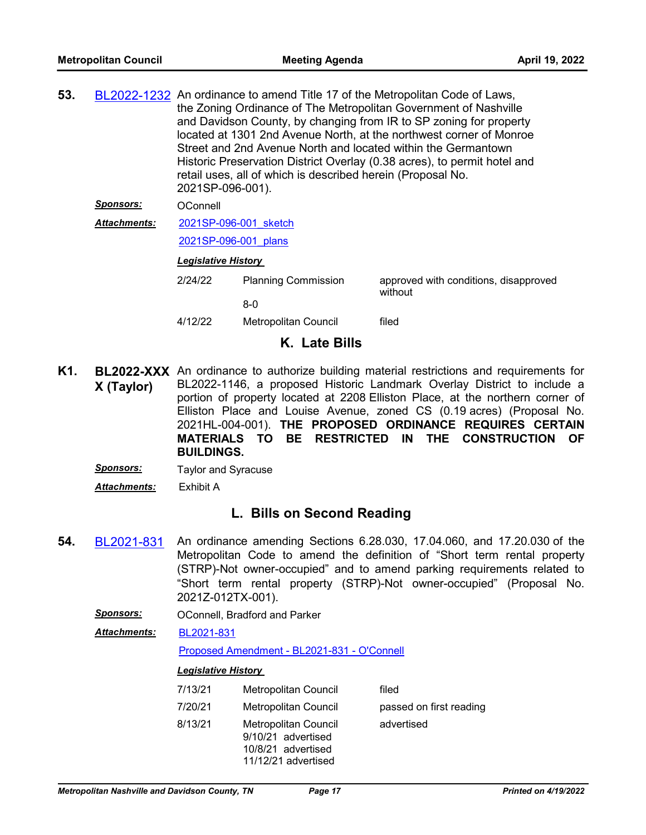| 53. |                     | BL2022-1232 An ordinance to amend Title 17 of the Metropolitan Code of Laws,<br>the Zoning Ordinance of The Metropolitan Government of Nashville<br>and Davidson County, by changing from IR to SP zoning for property<br>located at 1301 2nd Avenue North, at the northwest corner of Monroe<br>Street and 2nd Avenue North and located within the Germantown<br>Historic Preservation District Overlay (0.38 acres), to permit hotel and<br>retail uses, all of which is described herein (Proposal No.<br>2021SP-096-001). |                            |                                                  |  |
|-----|---------------------|-------------------------------------------------------------------------------------------------------------------------------------------------------------------------------------------------------------------------------------------------------------------------------------------------------------------------------------------------------------------------------------------------------------------------------------------------------------------------------------------------------------------------------|----------------------------|--------------------------------------------------|--|
|     | Sponsors:           | OConnell                                                                                                                                                                                                                                                                                                                                                                                                                                                                                                                      |                            |                                                  |  |
|     | <b>Attachments:</b> | 2021SP-096-001 sketch<br>2021SP-096-001 plans                                                                                                                                                                                                                                                                                                                                                                                                                                                                                 |                            |                                                  |  |
|     |                     |                                                                                                                                                                                                                                                                                                                                                                                                                                                                                                                               |                            |                                                  |  |
|     |                     | <b>Legislative History</b>                                                                                                                                                                                                                                                                                                                                                                                                                                                                                                    |                            |                                                  |  |
|     |                     | 2/24/22                                                                                                                                                                                                                                                                                                                                                                                                                                                                                                                       | <b>Planning Commission</b> | approved with conditions, disapproved<br>without |  |
|     |                     |                                                                                                                                                                                                                                                                                                                                                                                                                                                                                                                               | $8-0$                      |                                                  |  |
|     |                     | 4/12/22                                                                                                                                                                                                                                                                                                                                                                                                                                                                                                                       | Metropolitan Council       | filed                                            |  |

## **K. Late Bills**

- K1. **BL2022-XXX** An ordinance to authorize building material restrictions and requirements for **X (Taylor)** BL2022-1146, a proposed Historic Landmark Overlay District to include a portion of property located at 2208 Elliston Place, at the northern corner of Elliston Place and Louise Avenue, zoned CS (0.19 acres) (Proposal No. 2021HL-004-001). **THE PROPOSED ORDINANCE REQUIRES CERTAIN MATERIALS TO BE RESTRICTED IN THE CONSTRUCTION OF BUILDINGS.**
	- *Sponsors:* Taylor and Syracuse
	- *Attachments:* Exhibit A

# **L. Bills on Second Reading**

- **54.** [BL2021-831](http://nashville.legistar.com/gateway.aspx?m=l&id=/matter.aspx?key=13385) An ordinance amending Sections 6.28.030, 17.04.060, and 17.20.030 of the Metropolitan Code to amend the definition of "Short term rental property (STRP)-Not owner-occupied" and to amend parking requirements related to "Short term rental property (STRP)-Not owner-occupied" (Proposal No. 2021Z-012TX-001).
	- *Sponsors:* OConnell, Bradford and Parker
	- [BL2021-831](http://nashville.legistar.com/gateway.aspx?M=F&ID=49d963cd-8766-410a-8b99-94d76216ea0c.pdf) *Attachments:*

[Proposed Amendment - BL2021-831 - O'Connell](http://nashville.legistar.com/gateway.aspx?M=F&ID=7ca30744-2a91-4254-bd72-37259645f711.docx)

| 7/13/21 | Metropolitan Council                                                                    | filed                   |
|---------|-----------------------------------------------------------------------------------------|-------------------------|
| 7/20/21 | <b>Metropolitan Council</b>                                                             | passed on first reading |
| 8/13/21 | Metropolitan Council<br>9/10/21 advertised<br>10/8/21 advertised<br>11/12/21 advertised | advertised              |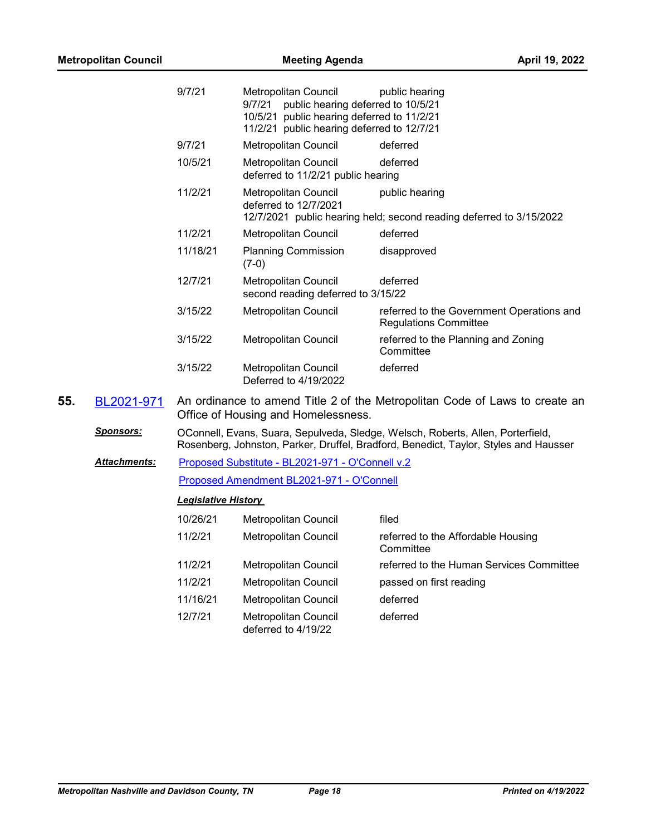| <b>Metropolitan Council</b> |                     |                            | April 19, 2022                                                                                                                                                   |                                                                                                                                                                         |  |
|-----------------------------|---------------------|----------------------------|------------------------------------------------------------------------------------------------------------------------------------------------------------------|-------------------------------------------------------------------------------------------------------------------------------------------------------------------------|--|
|                             |                     | 9/7/21                     | Metropolitan Council<br>public hearing deferred to 10/5/21<br>9/7/21<br>10/5/21 public hearing deferred to 11/2/21<br>11/2/21 public hearing deferred to 12/7/21 | public hearing                                                                                                                                                          |  |
|                             |                     | 9/7/21                     | Metropolitan Council                                                                                                                                             | deferred                                                                                                                                                                |  |
|                             |                     | 10/5/21                    | Metropolitan Council<br>deferred to 11/2/21 public hearing                                                                                                       | deferred                                                                                                                                                                |  |
|                             |                     | 11/2/21                    | Metropolitan Council<br>deferred to 12/7/2021                                                                                                                    | public hearing<br>12/7/2021 public hearing held; second reading deferred to 3/15/2022                                                                                   |  |
|                             |                     | 11/2/21                    | Metropolitan Council                                                                                                                                             | deferred                                                                                                                                                                |  |
|                             |                     | 11/18/21                   | <b>Planning Commission</b><br>$(7-0)$                                                                                                                            | disapproved                                                                                                                                                             |  |
|                             |                     | 12/7/21                    | Metropolitan Council<br>second reading deferred to 3/15/22                                                                                                       | deferred                                                                                                                                                                |  |
|                             |                     | 3/15/22                    | Metropolitan Council                                                                                                                                             | referred to the Government Operations and<br><b>Regulations Committee</b>                                                                                               |  |
|                             |                     | 3/15/22                    | Metropolitan Council                                                                                                                                             | referred to the Planning and Zoning<br>Committee                                                                                                                        |  |
|                             |                     | 3/15/22                    | Metropolitan Council<br>Deferred to 4/19/2022                                                                                                                    | deferred                                                                                                                                                                |  |
| 55.                         | BL2021-971          |                            | Office of Housing and Homelessness.                                                                                                                              | An ordinance to amend Title 2 of the Metropolitan Code of Laws to create an                                                                                             |  |
|                             | <b>Sponsors:</b>    |                            |                                                                                                                                                                  | OConnell, Evans, Suara, Sepulveda, Sledge, Welsch, Roberts, Allen, Porterfield,<br>Rosenberg, Johnston, Parker, Druffel, Bradford, Benedict, Taylor, Styles and Hausser |  |
|                             | <b>Attachments:</b> |                            | Proposed Substitute - BL2021-971 - O'Connell v.2                                                                                                                 |                                                                                                                                                                         |  |
|                             |                     |                            | Proposed Amendment BL2021-971 - O'Connell                                                                                                                        |                                                                                                                                                                         |  |
|                             |                     | <b>Legislative History</b> |                                                                                                                                                                  |                                                                                                                                                                         |  |
|                             |                     | 10/26/21                   | Metropolitan Council                                                                                                                                             | filed                                                                                                                                                                   |  |
|                             |                     | 11/2/21                    | Metropolitan Council                                                                                                                                             | referred to the Affordable Housing<br>Committee                                                                                                                         |  |
|                             |                     | 11/2/21                    | Metropolitan Council                                                                                                                                             | referred to the Human Services Committee                                                                                                                                |  |
|                             |                     | 11/2/21                    | Metropolitan Council                                                                                                                                             | passed on first reading                                                                                                                                                 |  |
|                             |                     | 11/16/21                   | Metropolitan Council                                                                                                                                             | deferred                                                                                                                                                                |  |
|                             |                     | 12/7/21                    | <b>Metropolitan Council</b><br>deferred to 4/19/22                                                                                                               | deferred                                                                                                                                                                |  |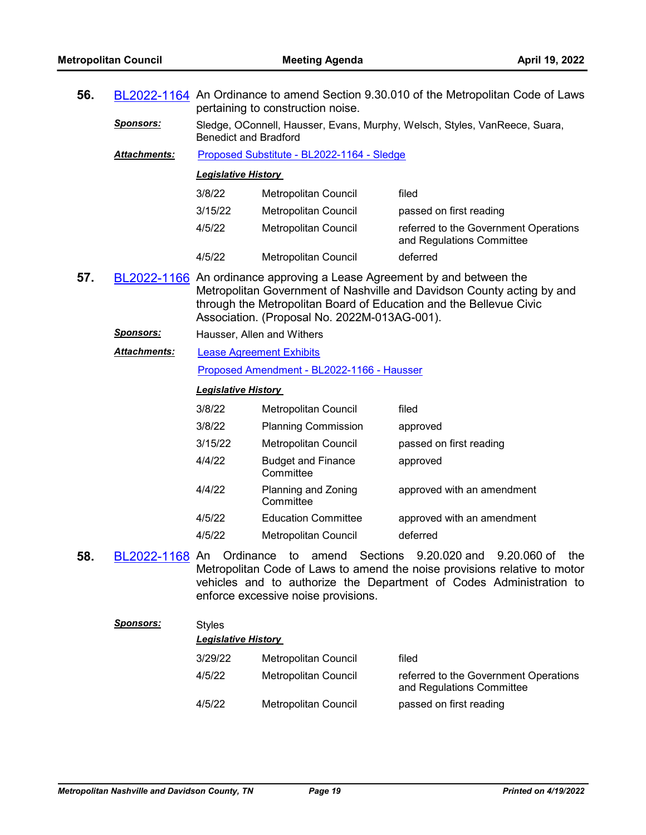| 56. |                  | BL2022-1164 An Ordinance to amend Section 9.30.010 of the Metropolitan Code of Laws<br>pertaining to construction noise.                                                                                                                                                |                                                              |                                                                                                                                                                                                  |  |
|-----|------------------|-------------------------------------------------------------------------------------------------------------------------------------------------------------------------------------------------------------------------------------------------------------------------|--------------------------------------------------------------|--------------------------------------------------------------------------------------------------------------------------------------------------------------------------------------------------|--|
|     | <b>Sponsors:</b> | Sledge, OConnell, Hausser, Evans, Murphy, Welsch, Styles, VanReece, Suara,<br><b>Benedict and Bradford</b>                                                                                                                                                              |                                                              |                                                                                                                                                                                                  |  |
|     | Attachments:     |                                                                                                                                                                                                                                                                         | Proposed Substitute - BL2022-1164 - Sledge                   |                                                                                                                                                                                                  |  |
|     |                  | <b>Legislative History</b>                                                                                                                                                                                                                                              |                                                              |                                                                                                                                                                                                  |  |
|     |                  | 3/8/22                                                                                                                                                                                                                                                                  | Metropolitan Council                                         | filed                                                                                                                                                                                            |  |
|     |                  | 3/15/22                                                                                                                                                                                                                                                                 | Metropolitan Council                                         | passed on first reading                                                                                                                                                                          |  |
|     |                  | 4/5/22                                                                                                                                                                                                                                                                  | Metropolitan Council                                         | referred to the Government Operations<br>and Regulations Committee                                                                                                                               |  |
|     |                  | 4/5/22                                                                                                                                                                                                                                                                  | Metropolitan Council                                         | deferred                                                                                                                                                                                         |  |
| 57. |                  | BL2022-1166 An ordinance approving a Lease Agreement by and between the<br>Metropolitan Government of Nashville and Davidson County acting by and<br>through the Metropolitan Board of Education and the Bellevue Civic<br>Association. (Proposal No. 2022M-013AG-001). |                                                              |                                                                                                                                                                                                  |  |
|     | <u>Sponsors:</u> |                                                                                                                                                                                                                                                                         | Hausser, Allen and Withers                                   |                                                                                                                                                                                                  |  |
|     | Attachments:     |                                                                                                                                                                                                                                                                         | <b>Lease Agreement Exhibits</b>                              |                                                                                                                                                                                                  |  |
|     |                  |                                                                                                                                                                                                                                                                         | Proposed Amendment - BL2022-1166 - Hausser                   |                                                                                                                                                                                                  |  |
|     |                  | <b>Legislative History</b>                                                                                                                                                                                                                                              |                                                              |                                                                                                                                                                                                  |  |
|     |                  | 3/8/22                                                                                                                                                                                                                                                                  | Metropolitan Council                                         | filed                                                                                                                                                                                            |  |
|     |                  | 3/8/22                                                                                                                                                                                                                                                                  | <b>Planning Commission</b>                                   | approved                                                                                                                                                                                         |  |
|     |                  | 3/15/22                                                                                                                                                                                                                                                                 | Metropolitan Council                                         | passed on first reading                                                                                                                                                                          |  |
|     |                  | 4/4/22                                                                                                                                                                                                                                                                  | <b>Budget and Finance</b><br>Committee                       | approved                                                                                                                                                                                         |  |
|     |                  | 4/4/22                                                                                                                                                                                                                                                                  | Planning and Zoning<br>Committee                             | approved with an amendment                                                                                                                                                                       |  |
|     |                  | 4/5/22                                                                                                                                                                                                                                                                  | <b>Education Committee</b>                                   | approved with an amendment                                                                                                                                                                       |  |
|     |                  | 4/5/22                                                                                                                                                                                                                                                                  | Metropolitan Council                                         | deferred                                                                                                                                                                                         |  |
| 58. | BL2022-1168 An   |                                                                                                                                                                                                                                                                         | Ordinance to<br>amend<br>enforce excessive noise provisions. | Sections 9.20.020 and<br>9.20.060 of<br>the.<br>Metropolitan Code of Laws to amend the noise provisions relative to motor<br>vehicles and to authorize the Department of Codes Administration to |  |

| <b>Sponsors:</b> | <b>Styles</b><br><b>Legislative History</b> |                      |                                                                    |  |  |
|------------------|---------------------------------------------|----------------------|--------------------------------------------------------------------|--|--|
|                  | 3/29/22                                     | Metropolitan Council | filed                                                              |  |  |
|                  | 4/5/22                                      | Metropolitan Council | referred to the Government Operations<br>and Regulations Committee |  |  |
|                  | 4/5/22                                      | Metropolitan Council | passed on first reading                                            |  |  |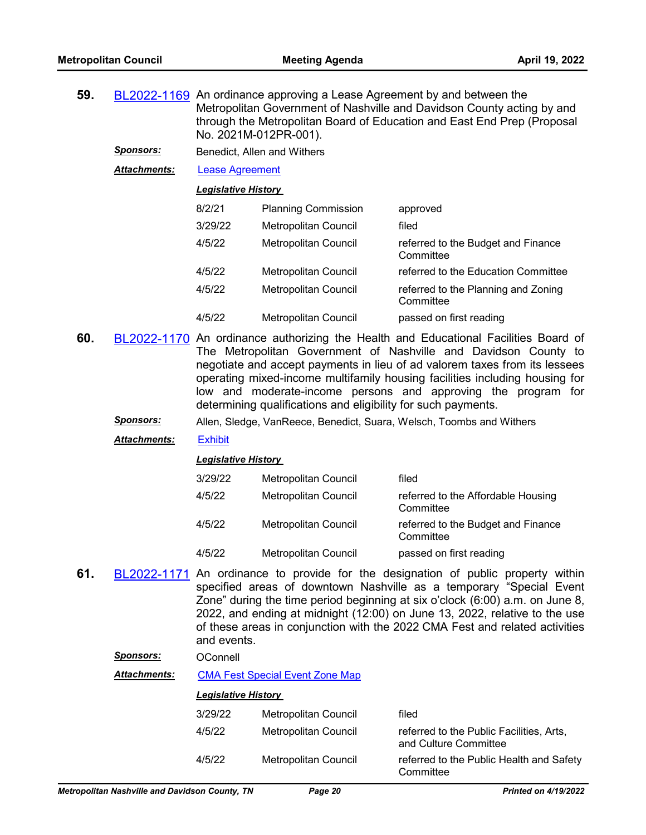| 59. |                     | BL2022-1169 An ordinance approving a Lease Agreement by and between the<br>Metropolitan Government of Nashville and Davidson County acting by and<br>through the Metropolitan Board of Education and East End Prep (Proposal<br>No. 2021M-012PR-001). |                             |                                                  |  |  |
|-----|---------------------|-------------------------------------------------------------------------------------------------------------------------------------------------------------------------------------------------------------------------------------------------------|-----------------------------|--------------------------------------------------|--|--|
|     | <b>Sponsors:</b>    |                                                                                                                                                                                                                                                       | Benedict, Allen and Withers |                                                  |  |  |
|     | <b>Attachments:</b> | Lease Agreement                                                                                                                                                                                                                                       |                             |                                                  |  |  |
|     |                     | <b>Legislative History</b>                                                                                                                                                                                                                            |                             |                                                  |  |  |
|     |                     | 8/2/21                                                                                                                                                                                                                                                | <b>Planning Commission</b>  | approved                                         |  |  |
|     |                     | 3/29/22                                                                                                                                                                                                                                               | <b>Metropolitan Council</b> | filed                                            |  |  |
|     |                     | 4/5/22                                                                                                                                                                                                                                                | <b>Metropolitan Council</b> | referred to the Budget and Finance<br>Committee  |  |  |
|     |                     | 4/5/22                                                                                                                                                                                                                                                | Metropolitan Council        | referred to the Education Committee              |  |  |
|     |                     | 4/5/22                                                                                                                                                                                                                                                | Metropolitan Council        | referred to the Planning and Zoning<br>Committee |  |  |

**60.** [BL2022-1170](http://nashville.legistar.com/gateway.aspx?m=l&id=/matter.aspx?key=14341) An ordinance authorizing the Health and Educational Facilities Board of The Metropolitan Government of Nashville and Davidson County to negotiate and accept payments in lieu of ad valorem taxes from its lessees operating mixed-income multifamily housing facilities including housing for low and moderate-income persons and approving the program for determining qualifications and eligibility for such payments.

4/5/22 Metropolitan Council passed on first reading

*Sponsors:* Allen, Sledge, VanReece, Benedict, Suara, Welsch, Toombs and Withers

*Attachments:* [Exhibit](http://nashville.legistar.com/gateway.aspx?M=F&ID=22a02de4-2577-4ebb-86f4-c6f55d21c512.docx)

*Legislative History* 

| 3/29/22 | <b>Metropolitan Council</b> | filed                                           |
|---------|-----------------------------|-------------------------------------------------|
| 4/5/22  | Metropolitan Council        | referred to the Affordable Housing<br>Committee |
| 4/5/22  | Metropolitan Council        | referred to the Budget and Finance<br>Committee |
| 4/5/22  | <b>Metropolitan Council</b> | passed on first reading                         |

**61.** [BL2022-1171](http://nashville.legistar.com/gateway.aspx?m=l&id=/matter.aspx?key=14292) An ordinance to provide for the designation of public property within specified areas of downtown Nashville as a temporary "Special Event Zone" during the time period beginning at six o'clock (6:00) a.m. on June 8, 2022, and ending at midnight (12:00) on June 13, 2022, relative to the use of these areas in conjunction with the 2022 CMA Fest and related activities and events.

| OConnell |
|----------|
|          |

*Attachments:* [CMA Fest Special Event Zone Map](http://nashville.legistar.com/gateway.aspx?M=F&ID=03b39215-5cab-470d-a61e-19a26ad3f49c.docx)

| <b>Metropolitan Nashville and Davidson County. TN</b> | Page 20                            | <b>Printed on 4/19/2022</b>                                       |
|-------------------------------------------------------|------------------------------------|-------------------------------------------------------------------|
| 4/5/22                                                | Metropolitan Council               | referred to the Public Health and Safety<br>Committee             |
| 4/5/22                                                | Metropolitan Council               | referred to the Public Facilities, Arts,<br>and Culture Committee |
| 3/29/22                                               | Metropolitan Council               | filed                                                             |
|                                                       | <b>Legislative History</b>         |                                                                   |
| Allachingins.                                         | CIVIA FEST OPECIAL EVENT ZUITE MAP |                                                                   |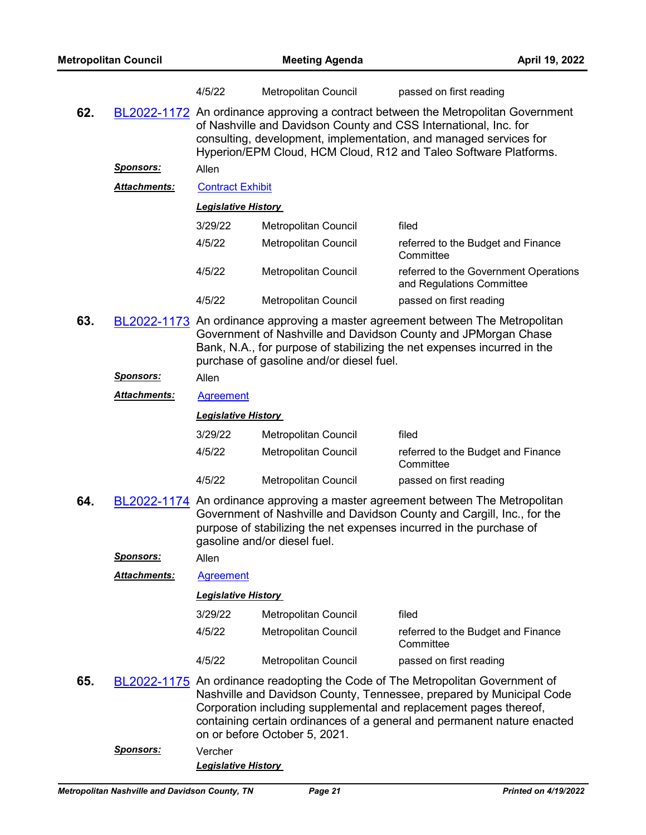|     |                     | 4/5/22                                                                                                                                                                                                                                                                                         | Metropolitan Council                     | passed on first reading                                                                                                                                                                                                                                                                                |
|-----|---------------------|------------------------------------------------------------------------------------------------------------------------------------------------------------------------------------------------------------------------------------------------------------------------------------------------|------------------------------------------|--------------------------------------------------------------------------------------------------------------------------------------------------------------------------------------------------------------------------------------------------------------------------------------------------------|
| 62. |                     | BL2022-1172 An ordinance approving a contract between the Metropolitan Government<br>of Nashville and Davidson County and CSS International, Inc. for<br>consulting, development, implementation, and managed services for<br>Hyperion/EPM Cloud, HCM Cloud, R12 and Taleo Software Platforms. |                                          |                                                                                                                                                                                                                                                                                                        |
|     | <u>Sponsors:</u>    | Allen                                                                                                                                                                                                                                                                                          |                                          |                                                                                                                                                                                                                                                                                                        |
|     | Attachments:        | <b>Contract Exhibit</b>                                                                                                                                                                                                                                                                        |                                          |                                                                                                                                                                                                                                                                                                        |
|     |                     | <b>Legislative History</b>                                                                                                                                                                                                                                                                     |                                          |                                                                                                                                                                                                                                                                                                        |
|     |                     | 3/29/22                                                                                                                                                                                                                                                                                        | Metropolitan Council                     | filed                                                                                                                                                                                                                                                                                                  |
|     |                     | 4/5/22                                                                                                                                                                                                                                                                                         | Metropolitan Council                     | referred to the Budget and Finance<br>Committee                                                                                                                                                                                                                                                        |
|     |                     | 4/5/22                                                                                                                                                                                                                                                                                         | Metropolitan Council                     | referred to the Government Operations<br>and Regulations Committee                                                                                                                                                                                                                                     |
|     |                     | 4/5/22                                                                                                                                                                                                                                                                                         | Metropolitan Council                     | passed on first reading                                                                                                                                                                                                                                                                                |
| 63. |                     |                                                                                                                                                                                                                                                                                                | purchase of gasoline and/or diesel fuel. | BL2022-1173 An ordinance approving a master agreement between The Metropolitan<br>Government of Nashville and Davidson County and JPMorgan Chase<br>Bank, N.A., for purpose of stabilizing the net expenses incurred in the                                                                            |
|     | <u>Sponsors:</u>    | Allen                                                                                                                                                                                                                                                                                          |                                          |                                                                                                                                                                                                                                                                                                        |
|     | <b>Attachments:</b> | <b>Agreement</b>                                                                                                                                                                                                                                                                               |                                          |                                                                                                                                                                                                                                                                                                        |
|     |                     | <b>Legislative History</b>                                                                                                                                                                                                                                                                     |                                          |                                                                                                                                                                                                                                                                                                        |
|     |                     | 3/29/22                                                                                                                                                                                                                                                                                        | Metropolitan Council                     | filed                                                                                                                                                                                                                                                                                                  |
|     |                     | 4/5/22                                                                                                                                                                                                                                                                                         | Metropolitan Council                     | referred to the Budget and Finance<br>Committee                                                                                                                                                                                                                                                        |
|     |                     | 4/5/22                                                                                                                                                                                                                                                                                         | Metropolitan Council                     | passed on first reading                                                                                                                                                                                                                                                                                |
| 64. |                     |                                                                                                                                                                                                                                                                                                | gasoline and/or diesel fuel.             | BL2022-1174 An ordinance approving a master agreement between The Metropolitan<br>Government of Nashville and Davidson County and Cargill, Inc., for the<br>purpose of stabilizing the net expenses incurred in the purchase of                                                                        |
|     | <u>Sponsors:</u>    | Allen                                                                                                                                                                                                                                                                                          |                                          |                                                                                                                                                                                                                                                                                                        |
|     | Attachments:        | <b>Agreement</b>                                                                                                                                                                                                                                                                               |                                          |                                                                                                                                                                                                                                                                                                        |
|     |                     | <b>Legislative History</b>                                                                                                                                                                                                                                                                     |                                          |                                                                                                                                                                                                                                                                                                        |
|     |                     | 3/29/22                                                                                                                                                                                                                                                                                        | Metropolitan Council                     | filed                                                                                                                                                                                                                                                                                                  |
|     |                     | 4/5/22                                                                                                                                                                                                                                                                                         | Metropolitan Council                     | referred to the Budget and Finance<br>Committee                                                                                                                                                                                                                                                        |
|     |                     | 4/5/22                                                                                                                                                                                                                                                                                         | Metropolitan Council                     | passed on first reading                                                                                                                                                                                                                                                                                |
| 65. |                     |                                                                                                                                                                                                                                                                                                | on or before October 5, 2021.            | BL2022-1175 An ordinance readopting the Code of The Metropolitan Government of<br>Nashville and Davidson County, Tennessee, prepared by Municipal Code<br>Corporation including supplemental and replacement pages thereof,<br>containing certain ordinances of a general and permanent nature enacted |
|     | <u>Sponsors:</u>    | Vercher<br><b>Legislative History</b>                                                                                                                                                                                                                                                          |                                          |                                                                                                                                                                                                                                                                                                        |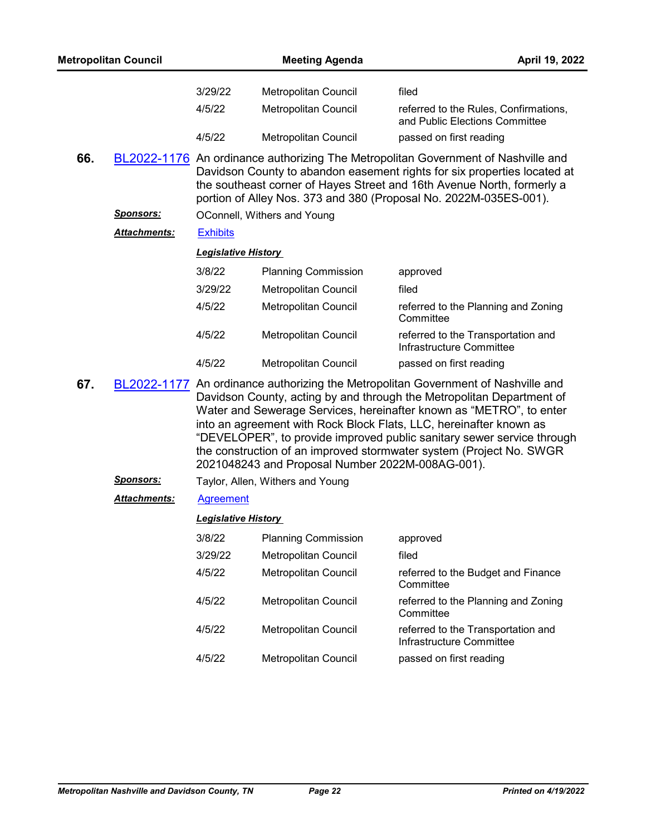|     | <b>Metropolitan Council</b> |                            | <b>Meeting Agenda</b>                            | April 19, 2022                                                                                                                                                                                                                                                                                                                                                                                                                                           |
|-----|-----------------------------|----------------------------|--------------------------------------------------|----------------------------------------------------------------------------------------------------------------------------------------------------------------------------------------------------------------------------------------------------------------------------------------------------------------------------------------------------------------------------------------------------------------------------------------------------------|
|     |                             | 3/29/22                    | Metropolitan Council                             | filed                                                                                                                                                                                                                                                                                                                                                                                                                                                    |
|     |                             | 4/5/22                     | Metropolitan Council                             | referred to the Rules, Confirmations,<br>and Public Elections Committee                                                                                                                                                                                                                                                                                                                                                                                  |
|     |                             | 4/5/22                     | Metropolitan Council                             | passed on first reading                                                                                                                                                                                                                                                                                                                                                                                                                                  |
| 66. |                             |                            |                                                  | BL2022-1176 An ordinance authorizing The Metropolitan Government of Nashville and<br>Davidson County to abandon easement rights for six properties located at<br>the southeast corner of Hayes Street and 16th Avenue North, formerly a<br>portion of Alley Nos. 373 and 380 (Proposal No. 2022M-035ES-001).                                                                                                                                             |
|     | <u>Sponsors:</u>            |                            | OConnell, Withers and Young                      |                                                                                                                                                                                                                                                                                                                                                                                                                                                          |
|     | <b>Attachments:</b>         | <b>Exhibits</b>            |                                                  |                                                                                                                                                                                                                                                                                                                                                                                                                                                          |
|     |                             | <b>Legislative History</b> |                                                  |                                                                                                                                                                                                                                                                                                                                                                                                                                                          |
|     |                             | 3/8/22                     | <b>Planning Commission</b>                       | approved                                                                                                                                                                                                                                                                                                                                                                                                                                                 |
|     |                             | 3/29/22                    | Metropolitan Council                             | filed                                                                                                                                                                                                                                                                                                                                                                                                                                                    |
|     |                             | 4/5/22                     | Metropolitan Council                             | referred to the Planning and Zoning<br>Committee                                                                                                                                                                                                                                                                                                                                                                                                         |
|     |                             | 4/5/22                     | Metropolitan Council                             | referred to the Transportation and<br>Infrastructure Committee                                                                                                                                                                                                                                                                                                                                                                                           |
|     |                             | 4/5/22                     | Metropolitan Council                             | passed on first reading                                                                                                                                                                                                                                                                                                                                                                                                                                  |
| 67. |                             |                            | 2021048243 and Proposal Number 2022M-008AG-001). | BL2022-1177 An ordinance authorizing the Metropolitan Government of Nashville and<br>Davidson County, acting by and through the Metropolitan Department of<br>Water and Sewerage Services, hereinafter known as "METRO", to enter<br>into an agreement with Rock Block Flats, LLC, hereinafter known as<br>"DEVELOPER", to provide improved public sanitary sewer service through<br>the construction of an improved stormwater system (Project No. SWGR |
|     | <b>Sponsors:</b>            |                            | Taylor, Allen, Withers and Young                 |                                                                                                                                                                                                                                                                                                                                                                                                                                                          |
|     | Attachments:                | <b>Agreement</b>           |                                                  |                                                                                                                                                                                                                                                                                                                                                                                                                                                          |
|     |                             | <b>Legislative History</b> |                                                  |                                                                                                                                                                                                                                                                                                                                                                                                                                                          |
|     |                             | 3/8/22                     | <b>Planning Commission</b>                       | approved                                                                                                                                                                                                                                                                                                                                                                                                                                                 |
|     |                             | 3/29/22                    | Metropolitan Council                             | filed                                                                                                                                                                                                                                                                                                                                                                                                                                                    |
|     |                             | 4/5/22                     | Metropolitan Council                             | referred to the Budget and Finance<br>Committee                                                                                                                                                                                                                                                                                                                                                                                                          |
|     |                             | 4/5/22                     | Metropolitan Council                             | referred to the Planning and Zoning<br>Committee                                                                                                                                                                                                                                                                                                                                                                                                         |
|     |                             | 4/5/22                     | Metropolitan Council                             | referred to the Transportation and<br>Infrastructure Committee                                                                                                                                                                                                                                                                                                                                                                                           |
|     |                             |                            | Metropolitan Council                             |                                                                                                                                                                                                                                                                                                                                                                                                                                                          |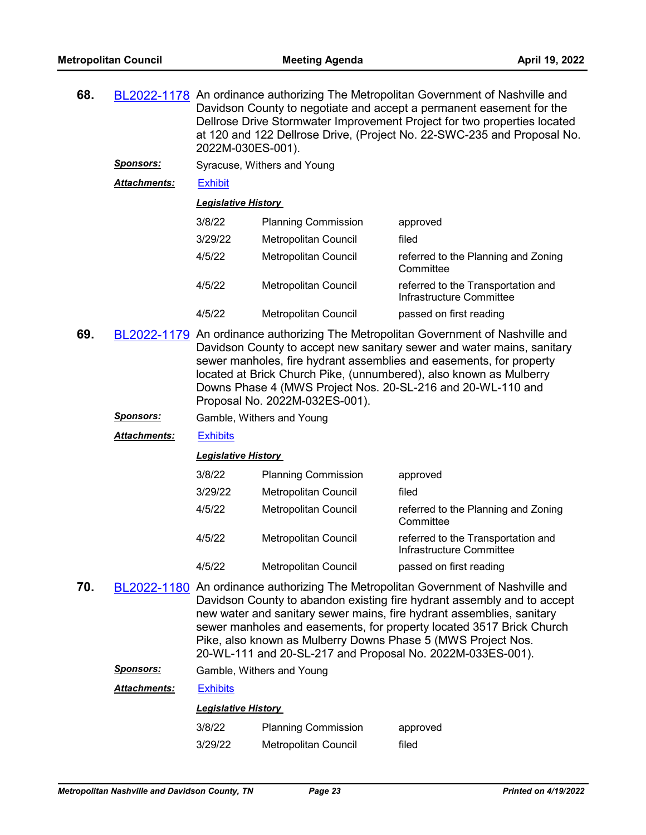| 68. |                     | BL2022-1178 An ordinance authorizing The Metropolitan Government of Nashville and<br>Davidson County to negotiate and accept a permanent easement for the<br>Dellrose Drive Stormwater Improvement Project for two properties located<br>at 120 and 122 Dellrose Drive, (Project No. 22-SWC-235 and Proposal No.<br>2022M-030ES-001). |                             |                                                                |  |
|-----|---------------------|---------------------------------------------------------------------------------------------------------------------------------------------------------------------------------------------------------------------------------------------------------------------------------------------------------------------------------------|-----------------------------|----------------------------------------------------------------|--|
|     | <b>Sponsors:</b>    |                                                                                                                                                                                                                                                                                                                                       | Syracuse, Withers and Young |                                                                |  |
|     | <b>Attachments:</b> | <b>Exhibit</b>                                                                                                                                                                                                                                                                                                                        |                             |                                                                |  |
|     |                     | <b>Legislative History</b>                                                                                                                                                                                                                                                                                                            |                             |                                                                |  |
|     |                     | 3/8/22                                                                                                                                                                                                                                                                                                                                | <b>Planning Commission</b>  | approved                                                       |  |
|     |                     | 3/29/22                                                                                                                                                                                                                                                                                                                               | Metropolitan Council        | filed                                                          |  |
|     |                     | 4/5/22                                                                                                                                                                                                                                                                                                                                | Metropolitan Council        | referred to the Planning and Zoning<br>Committee               |  |
|     |                     | 4/5/22                                                                                                                                                                                                                                                                                                                                | Metropolitan Council        | referred to the Transportation and<br>Infrastructure Committee |  |
|     |                     | 4/5/22                                                                                                                                                                                                                                                                                                                                | Metropolitan Council        | passed on first reading                                        |  |
|     |                     |                                                                                                                                                                                                                                                                                                                                       |                             |                                                                |  |

- **69.** [BL2022-1179](http://nashville.legistar.com/gateway.aspx?m=l&id=/matter.aspx?key=14284) An ordinance authorizing The Metropolitan Government of Nashville and Davidson County to accept new sanitary sewer and water mains, sanitary sewer manholes, fire hydrant assemblies and easements, for property located at Brick Church Pike, (unnumbered), also known as Mulberry Downs Phase 4 (MWS Project Nos. 20-SL-216 and 20-WL-110 and Proposal No. 2022M-032ES-001).
	- *Sponsors:* Gamble, Withers and Young

*Attachments:* [Exhibits](http://nashville.legistar.com/gateway.aspx?M=F&ID=7ca89d31-4f60-4eef-94dc-21b589fc334e.pdf)

#### *Legislative History*

| 3/8/22  | <b>Planning Commission</b>  | approved                                                       |
|---------|-----------------------------|----------------------------------------------------------------|
| 3/29/22 | Metropolitan Council        | filed                                                          |
| 4/5/22  | Metropolitan Council        | referred to the Planning and Zoning<br>Committee               |
| 4/5/22  | <b>Metropolitan Council</b> | referred to the Transportation and<br>Infrastructure Committee |
| 4/5/22  | Metropolitan Council        | passed on first reading                                        |

**70.** [BL2022-1180](http://nashville.legistar.com/gateway.aspx?m=l&id=/matter.aspx?key=14283) An ordinance authorizing The Metropolitan Government of Nashville and Davidson County to abandon existing fire hydrant assembly and to accept new water and sanitary sewer mains, fire hydrant assemblies, sanitary sewer manholes and easements, for property located 3517 Brick Church Pike, also known as Mulberry Downs Phase 5 (MWS Project Nos. 20-WL-111 and 20-SL-217 and Proposal No. 2022M-033ES-001).

*Sponsors:* Gamble, Withers and Young

| Attachments: | <b>Exhibits</b> |
|--------------|-----------------|
|--------------|-----------------|

| 3/8/22  | <b>Planning Commission</b>  | approved |
|---------|-----------------------------|----------|
| 3/29/22 | <b>Metropolitan Council</b> | filed    |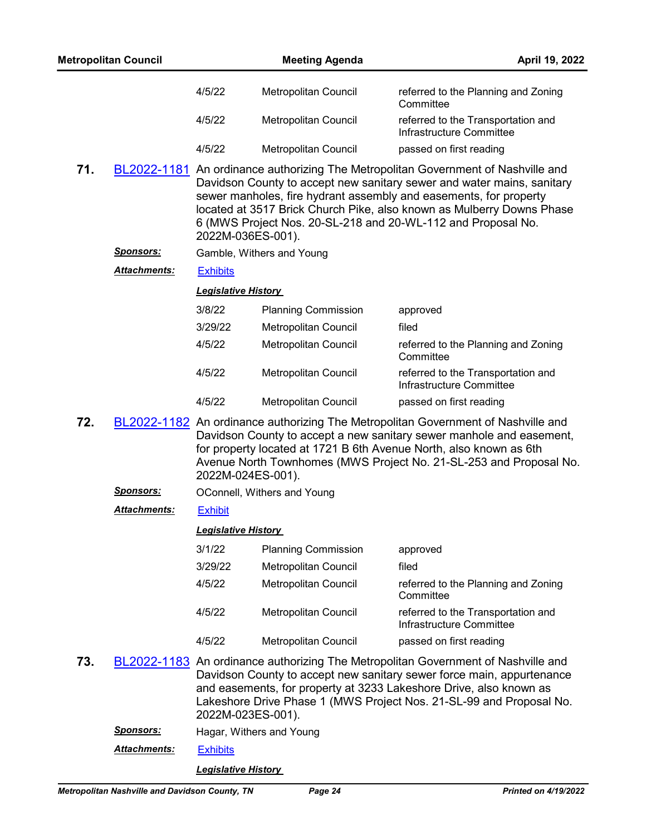| <b>Metropolitan Council</b> |                     |                                                                                                                                                                                                                                                                                                                              | <b>Meeting Agenda</b>       | April 19, 2022                                                                                                                                                                                                                                                                                                                                                            |
|-----------------------------|---------------------|------------------------------------------------------------------------------------------------------------------------------------------------------------------------------------------------------------------------------------------------------------------------------------------------------------------------------|-----------------------------|---------------------------------------------------------------------------------------------------------------------------------------------------------------------------------------------------------------------------------------------------------------------------------------------------------------------------------------------------------------------------|
|                             |                     | 4/5/22                                                                                                                                                                                                                                                                                                                       | Metropolitan Council        | referred to the Planning and Zoning<br>Committee                                                                                                                                                                                                                                                                                                                          |
|                             |                     | 4/5/22                                                                                                                                                                                                                                                                                                                       | Metropolitan Council        | referred to the Transportation and<br>Infrastructure Committee                                                                                                                                                                                                                                                                                                            |
|                             |                     | 4/5/22                                                                                                                                                                                                                                                                                                                       | Metropolitan Council        | passed on first reading                                                                                                                                                                                                                                                                                                                                                   |
| 71.                         |                     | 2022M-036ES-001).                                                                                                                                                                                                                                                                                                            |                             | BL2022-1181 An ordinance authorizing The Metropolitan Government of Nashville and<br>Davidson County to accept new sanitary sewer and water mains, sanitary<br>sewer manholes, fire hydrant assembly and easements, for property<br>located at 3517 Brick Church Pike, also known as Mulberry Downs Phase<br>6 (MWS Project Nos. 20-SL-218 and 20-WL-112 and Proposal No. |
|                             | <u>Sponsors:</u>    |                                                                                                                                                                                                                                                                                                                              | Gamble, Withers and Young   |                                                                                                                                                                                                                                                                                                                                                                           |
|                             | <b>Attachments:</b> | <b>Exhibits</b>                                                                                                                                                                                                                                                                                                              |                             |                                                                                                                                                                                                                                                                                                                                                                           |
|                             |                     | <b>Legislative History</b>                                                                                                                                                                                                                                                                                                   |                             |                                                                                                                                                                                                                                                                                                                                                                           |
|                             |                     | 3/8/22                                                                                                                                                                                                                                                                                                                       | <b>Planning Commission</b>  | approved                                                                                                                                                                                                                                                                                                                                                                  |
|                             |                     | 3/29/22                                                                                                                                                                                                                                                                                                                      | Metropolitan Council        | filed                                                                                                                                                                                                                                                                                                                                                                     |
|                             |                     | 4/5/22                                                                                                                                                                                                                                                                                                                       | Metropolitan Council        | referred to the Planning and Zoning<br>Committee                                                                                                                                                                                                                                                                                                                          |
|                             |                     | 4/5/22                                                                                                                                                                                                                                                                                                                       | Metropolitan Council        | referred to the Transportation and<br>Infrastructure Committee                                                                                                                                                                                                                                                                                                            |
|                             |                     | 4/5/22                                                                                                                                                                                                                                                                                                                       | Metropolitan Council        | passed on first reading                                                                                                                                                                                                                                                                                                                                                   |
| 72.                         |                     | BL2022-1182 An ordinance authorizing The Metropolitan Government of Nashville and<br>Davidson County to accept a new sanitary sewer manhole and easement,<br>for property located at 1721 B 6th Avenue North, also known as 6th<br>Avenue North Townhomes (MWS Project No. 21-SL-253 and Proposal No.<br>2022M-024ES-001).   |                             |                                                                                                                                                                                                                                                                                                                                                                           |
|                             | <u>Sponsors:</u>    |                                                                                                                                                                                                                                                                                                                              | OConnell, Withers and Young |                                                                                                                                                                                                                                                                                                                                                                           |
|                             | <b>Attachments:</b> | <b>Exhibit</b>                                                                                                                                                                                                                                                                                                               |                             |                                                                                                                                                                                                                                                                                                                                                                           |
|                             |                     | <b>Legislative History</b>                                                                                                                                                                                                                                                                                                   |                             |                                                                                                                                                                                                                                                                                                                                                                           |
|                             |                     | 3/1/22                                                                                                                                                                                                                                                                                                                       | <b>Planning Commission</b>  | approved                                                                                                                                                                                                                                                                                                                                                                  |
|                             |                     | 3/29/22                                                                                                                                                                                                                                                                                                                      | Metropolitan Council        | filed                                                                                                                                                                                                                                                                                                                                                                     |
|                             |                     | 4/5/22                                                                                                                                                                                                                                                                                                                       | Metropolitan Council        | referred to the Planning and Zoning<br>Committee                                                                                                                                                                                                                                                                                                                          |
|                             |                     | 4/5/22                                                                                                                                                                                                                                                                                                                       | Metropolitan Council        | referred to the Transportation and<br>Infrastructure Committee                                                                                                                                                                                                                                                                                                            |
|                             |                     | 4/5/22                                                                                                                                                                                                                                                                                                                       | Metropolitan Council        | passed on first reading                                                                                                                                                                                                                                                                                                                                                   |
| 73.                         |                     | BL2022-1183 An ordinance authorizing The Metropolitan Government of Nashville and<br>Davidson County to accept new sanitary sewer force main, appurtenance<br>and easements, for property at 3233 Lakeshore Drive, also known as<br>Lakeshore Drive Phase 1 (MWS Project Nos. 21-SL-99 and Proposal No.<br>2022M-023ES-001). |                             |                                                                                                                                                                                                                                                                                                                                                                           |
|                             | <u>Sponsors:</u>    | Hagar, Withers and Young                                                                                                                                                                                                                                                                                                     |                             |                                                                                                                                                                                                                                                                                                                                                                           |
|                             | <b>Attachments:</b> | <b>Exhibits</b>                                                                                                                                                                                                                                                                                                              |                             |                                                                                                                                                                                                                                                                                                                                                                           |
|                             |                     | <b>Legislative History</b>                                                                                                                                                                                                                                                                                                   |                             |                                                                                                                                                                                                                                                                                                                                                                           |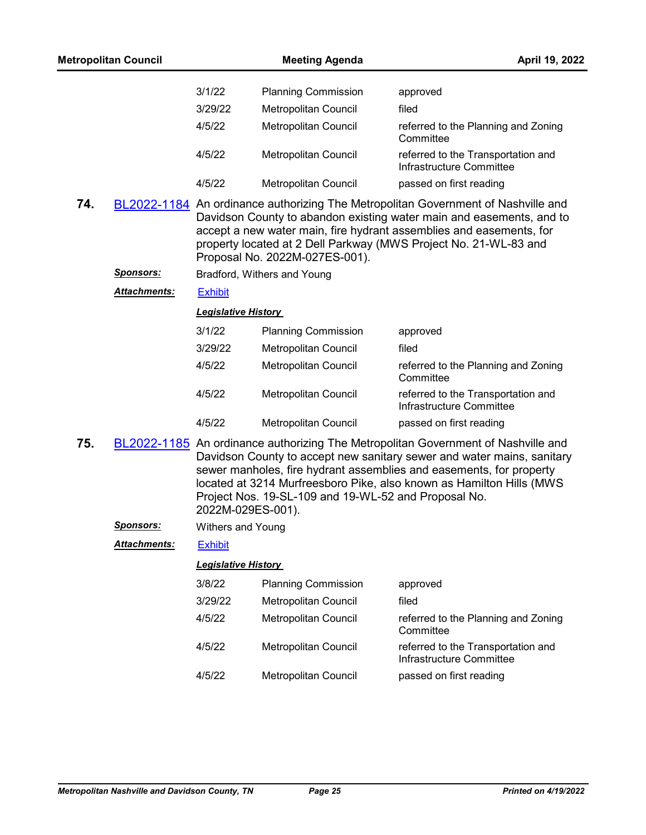|     | <b>Metropolitan Council</b> |                            | <b>Meeting Agenda</b>                                | April 19, 2022                                                                                                                                                                                                                                                                                             |
|-----|-----------------------------|----------------------------|------------------------------------------------------|------------------------------------------------------------------------------------------------------------------------------------------------------------------------------------------------------------------------------------------------------------------------------------------------------------|
|     |                             | 3/1/22                     | <b>Planning Commission</b>                           | approved                                                                                                                                                                                                                                                                                                   |
|     |                             | 3/29/22                    | Metropolitan Council                                 | filed                                                                                                                                                                                                                                                                                                      |
|     |                             | 4/5/22                     | Metropolitan Council                                 | referred to the Planning and Zoning<br>Committee                                                                                                                                                                                                                                                           |
|     |                             | 4/5/22                     | Metropolitan Council                                 | referred to the Transportation and<br>Infrastructure Committee                                                                                                                                                                                                                                             |
|     |                             | 4/5/22                     | Metropolitan Council                                 | passed on first reading                                                                                                                                                                                                                                                                                    |
| 74. |                             |                            | Proposal No. 2022M-027ES-001).                       | BL2022-1184 An ordinance authorizing The Metropolitan Government of Nashville and<br>Davidson County to abandon existing water main and easements, and to<br>accept a new water main, fire hydrant assemblies and easements, for<br>property located at 2 Dell Parkway (MWS Project No. 21-WL-83 and       |
|     | <u>Sponsors:</u>            |                            | Bradford, Withers and Young                          |                                                                                                                                                                                                                                                                                                            |
|     | <b>Attachments:</b>         | <b>Exhibit</b>             |                                                      |                                                                                                                                                                                                                                                                                                            |
|     |                             | <b>Legislative History</b> |                                                      |                                                                                                                                                                                                                                                                                                            |
|     |                             | 3/1/22                     | <b>Planning Commission</b>                           | approved                                                                                                                                                                                                                                                                                                   |
|     |                             | 3/29/22                    | Metropolitan Council                                 | filed                                                                                                                                                                                                                                                                                                      |
|     |                             | 4/5/22                     | Metropolitan Council                                 | referred to the Planning and Zoning<br>Committee                                                                                                                                                                                                                                                           |
|     |                             | 4/5/22                     | Metropolitan Council                                 | referred to the Transportation and<br>Infrastructure Committee                                                                                                                                                                                                                                             |
|     |                             | 4/5/22                     | Metropolitan Council                                 | passed on first reading                                                                                                                                                                                                                                                                                    |
| 75. |                             | 2022M-029ES-001).          | Project Nos. 19-SL-109 and 19-WL-52 and Proposal No. | BL2022-1185 An ordinance authorizing The Metropolitan Government of Nashville and<br>Davidson County to accept new sanitary sewer and water mains, sanitary<br>sewer manholes, fire hydrant assemblies and easements, for property<br>located at 3214 Murfreesboro Pike, also known as Hamilton Hills (MWS |
|     | Sponsors:                   | Withers and Young          |                                                      |                                                                                                                                                                                                                                                                                                            |
|     | Attachments:                | <b>Exhibit</b>             |                                                      |                                                                                                                                                                                                                                                                                                            |
|     |                             | <b>Legislative History</b> |                                                      |                                                                                                                                                                                                                                                                                                            |
|     |                             | 3/8/22                     | <b>Planning Commission</b>                           | approved                                                                                                                                                                                                                                                                                                   |
|     |                             | 3/29/22                    | Metropolitan Council                                 | filed                                                                                                                                                                                                                                                                                                      |
|     |                             | 4/5/22                     | Metropolitan Council                                 | referred to the Planning and Zoning<br>Committee                                                                                                                                                                                                                                                           |
|     |                             | 4/5/22                     | <b>Metropolitan Council</b>                          | referred to the Transportation and<br>Infrastructure Committee                                                                                                                                                                                                                                             |
|     |                             | 4/5/22                     | Metropolitan Council                                 | passed on first reading                                                                                                                                                                                                                                                                                    |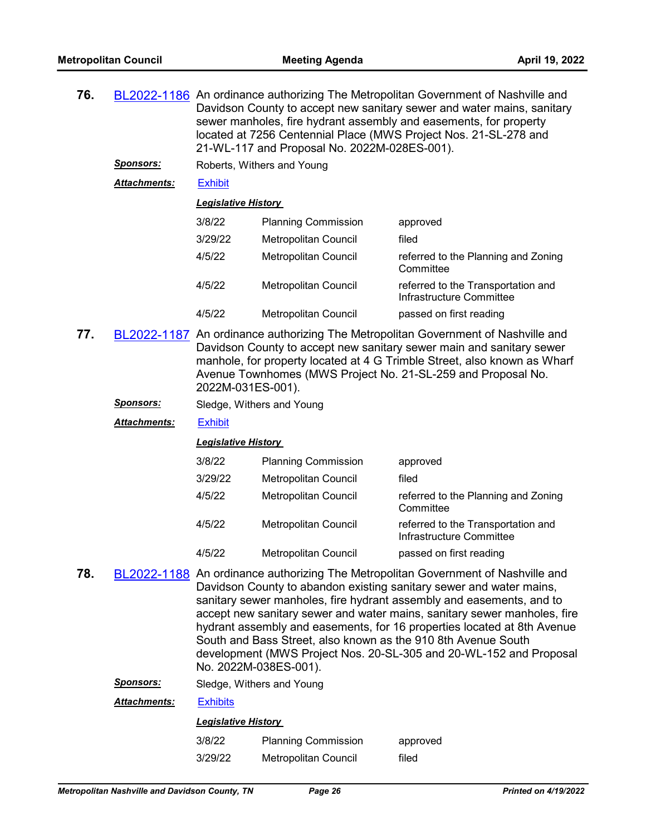| 76. |                     | BL2022-1186 An ordinance authorizing The Metropolitan Government of Nashville and<br>Davidson County to accept new sanitary sewer and water mains, sanitary<br>sewer manholes, fire hydrant assembly and easements, for property<br>located at 7256 Centennial Place (MWS Project Nos. 21-SL-278 and<br>21-WL-117 and Proposal No. 2022M-028ES-001). |                             |                                                                |  |  |
|-----|---------------------|------------------------------------------------------------------------------------------------------------------------------------------------------------------------------------------------------------------------------------------------------------------------------------------------------------------------------------------------------|-----------------------------|----------------------------------------------------------------|--|--|
|     | <b>Sponsors:</b>    |                                                                                                                                                                                                                                                                                                                                                      | Roberts, Withers and Young  |                                                                |  |  |
|     | <b>Attachments:</b> | <b>Exhibit</b>                                                                                                                                                                                                                                                                                                                                       |                             |                                                                |  |  |
|     |                     |                                                                                                                                                                                                                                                                                                                                                      | Legislative History         |                                                                |  |  |
|     |                     | 3/8/22                                                                                                                                                                                                                                                                                                                                               | <b>Planning Commission</b>  | approved                                                       |  |  |
|     |                     | 3/29/22                                                                                                                                                                                                                                                                                                                                              | <b>Metropolitan Council</b> | filed                                                          |  |  |
|     |                     | 4/5/22                                                                                                                                                                                                                                                                                                                                               | <b>Metropolitan Council</b> | referred to the Planning and Zoning<br>Committee               |  |  |
|     |                     | 4/5/22                                                                                                                                                                                                                                                                                                                                               | <b>Metropolitan Council</b> | referred to the Transportation and<br>Infrastructure Committee |  |  |
|     |                     | 4/5/22<br><b>Metropolitan Council</b><br>passed on first reading                                                                                                                                                                                                                                                                                     |                             |                                                                |  |  |
| 77. |                     | BL2022-1187 An ordinance authorizing The Metropolitan Government of Nashville and<br>Davidson County to accept new sanitary sewer main and sanitary sewer                                                                                                                                                                                            |                             |                                                                |  |  |

Davidson County to accept new sanitary sewer main and sanitary sewer manhole, for property located at 4 G Trimble Street, also known as Wharf Avenue Townhomes (MWS Project No. 21-SL-259 and Proposal No. 2022M-031ES-001).

*Sponsors:* Sledge, Withers and Young

*Attachments:* [Exhibit](http://nashville.legistar.com/gateway.aspx?M=F&ID=26420997-f999-4e85-ac06-443a876d9e75.pdf)

*Legislative History* 

| 3/8/22  | <b>Planning Commission</b>  | approved                                                       |
|---------|-----------------------------|----------------------------------------------------------------|
| 3/29/22 | Metropolitan Council        | filed                                                          |
| 4/5/22  | Metropolitan Council        | referred to the Planning and Zoning<br>Committee               |
| 4/5/22  | <b>Metropolitan Council</b> | referred to the Transportation and<br>Infrastructure Committee |
| 4/5/22  | Metropolitan Council        | passed on first reading                                        |

**78.** [BL2022-1188](http://nashville.legistar.com/gateway.aspx?m=l&id=/matter.aspx?key=14280) An ordinance authorizing The Metropolitan Government of Nashville and Davidson County to abandon existing sanitary sewer and water mains, sanitary sewer manholes, fire hydrant assembly and easements, and to accept new sanitary sewer and water mains, sanitary sewer manholes, fire hydrant assembly and easements, for 16 properties located at 8th Avenue South and Bass Street, also known as the 910 8th Avenue South development (MWS Project Nos. 20-SL-305 and 20-WL-152 and Proposal No. 2022M-038ES-001).

*Sponsors:* Sledge, Withers and Young

*Attachments:* [Exhibits](http://nashville.legistar.com/gateway.aspx?M=F&ID=f3a3abe0-dc1b-4d5e-aba4-9132f281f4b6.pdf)

| 3/8/22  | <b>Planning Commission</b> | approved |
|---------|----------------------------|----------|
| 3/29/22 | Metropolitan Council       | filed    |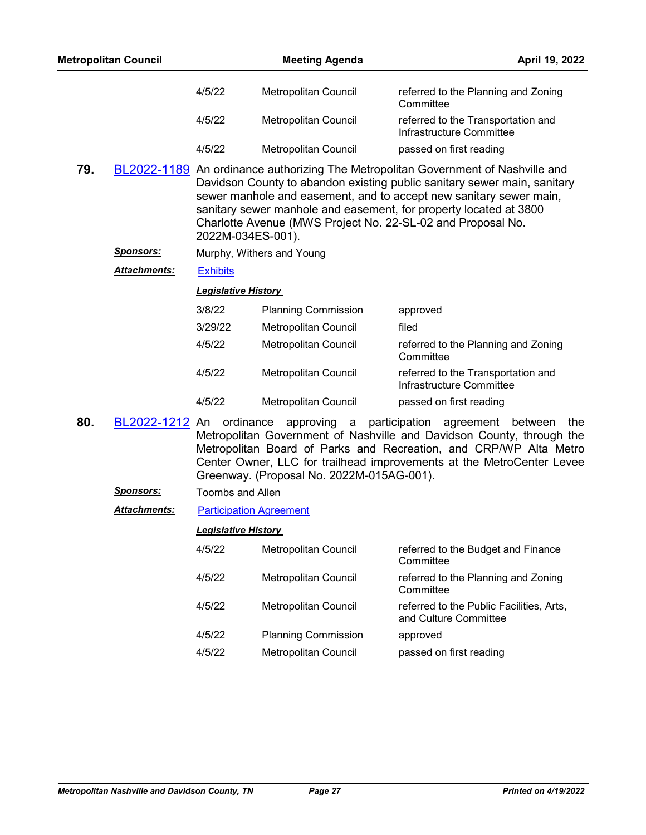|     | <b>Metropolitan Council</b> |                            | <b>Meeting Agenda</b>                                                                                                                                                                                                                                                                                                                                                   |                                                                | April 19, 2022 |
|-----|-----------------------------|----------------------------|-------------------------------------------------------------------------------------------------------------------------------------------------------------------------------------------------------------------------------------------------------------------------------------------------------------------------------------------------------------------------|----------------------------------------------------------------|----------------|
|     |                             | 4/5/22                     | Metropolitan Council                                                                                                                                                                                                                                                                                                                                                    | referred to the Planning and Zoning<br>Committee               |                |
|     |                             | 4/5/22                     | Metropolitan Council                                                                                                                                                                                                                                                                                                                                                    | referred to the Transportation and<br>Infrastructure Committee |                |
|     |                             | 4/5/22                     | Metropolitan Council                                                                                                                                                                                                                                                                                                                                                    | passed on first reading                                        |                |
| 79. |                             | 2022M-034ES-001).          | BL2022-1189 An ordinance authorizing The Metropolitan Government of Nashville and<br>Davidson County to abandon existing public sanitary sewer main, sanitary<br>sewer manhole and easement, and to accept new sanitary sewer main,<br>sanitary sewer manhole and easement, for property located at 3800<br>Charlotte Avenue (MWS Project No. 22-SL-02 and Proposal No. |                                                                |                |
|     | <b>Sponsors:</b>            |                            | Murphy, Withers and Young                                                                                                                                                                                                                                                                                                                                               |                                                                |                |
|     | <b>Attachments:</b>         | <b>Exhibits</b>            |                                                                                                                                                                                                                                                                                                                                                                         |                                                                |                |
|     |                             | <b>Legislative History</b> |                                                                                                                                                                                                                                                                                                                                                                         |                                                                |                |
|     |                             | 3/8/22                     | <b>Planning Commission</b>                                                                                                                                                                                                                                                                                                                                              | approved                                                       |                |
|     |                             | 3/29/22                    | <b>Metropolitan Council</b>                                                                                                                                                                                                                                                                                                                                             | filed                                                          |                |
|     |                             | 4/5/22                     | Metropolitan Council                                                                                                                                                                                                                                                                                                                                                    | referred to the Planning and Zoning<br>Committee               |                |
|     |                             | 4/5/22                     | Metropolitan Council                                                                                                                                                                                                                                                                                                                                                    | referred to the Transportation and<br>Infrastructure Committee |                |
|     |                             | 4/5/22                     | Metropolitan Council                                                                                                                                                                                                                                                                                                                                                    | passed on first reading                                        |                |
| Ωn  |                             |                            | DL2022 1212 An ordinance approving a participation agreement between                                                                                                                                                                                                                                                                                                    |                                                                | †h≏            |

**80.** [BL2022-1212](http://nashville.legistar.com/gateway.aspx?m=l&id=/matter.aspx?key=14342) An ordinance approving a participation agreement between the Metropolitan Government of Nashville and Davidson County, through the Metropolitan Board of Parks and Recreation, and CRP/WP Alta Metro Center Owner, LLC for trailhead improvements at the MetroCenter Levee Greenway. (Proposal No. 2022M-015AG-001).

*Sponsors:* Toombs and Allen

*Attachments:* [Participation Agreement](http://nashville.legistar.com/gateway.aspx?M=F&ID=abe370e1-8314-4e01-9a95-56c39b2cb59f.pdf)

| 4/5/22 | <b>Metropolitan Council</b> | referred to the Budget and Finance<br>Committee                   |
|--------|-----------------------------|-------------------------------------------------------------------|
| 4/5/22 | <b>Metropolitan Council</b> | referred to the Planning and Zoning<br>Committee                  |
| 4/5/22 | <b>Metropolitan Council</b> | referred to the Public Facilities, Arts,<br>and Culture Committee |
| 4/5/22 | <b>Planning Commission</b>  | approved                                                          |
| 4/5/22 | Metropolitan Council        | passed on first reading                                           |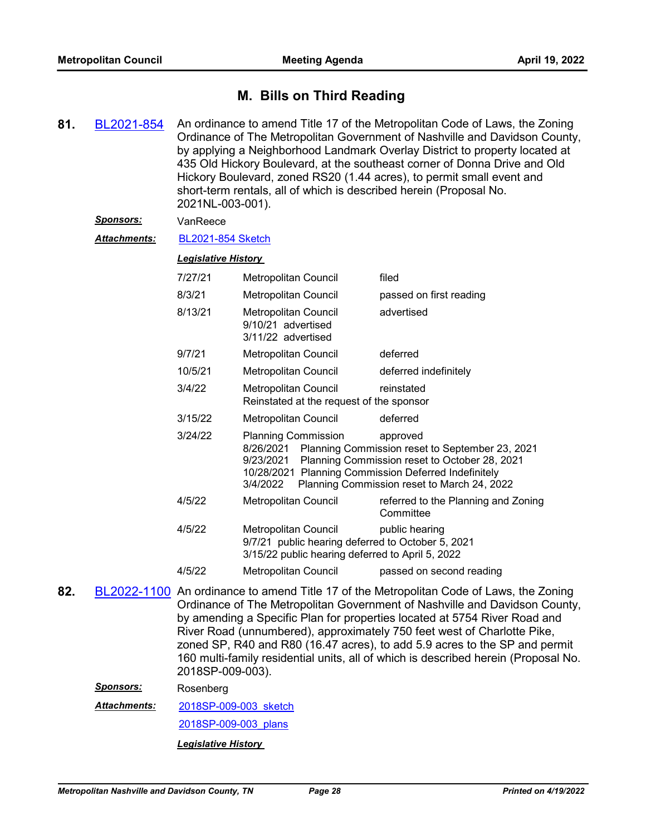# **M. Bills on Third Reading**

**81.** [BL2021-854](http://nashville.legistar.com/gateway.aspx?m=l&id=/matter.aspx?key=13414) An ordinance to amend Title 17 of the Metropolitan Code of Laws, the Zoning Ordinance of The Metropolitan Government of Nashville and Davidson County, by applying a Neighborhood Landmark Overlay District to property located at 435 Old Hickory Boulevard, at the southeast corner of Donna Drive and Old Hickory Boulevard, zoned RS20 (1.44 acres), to permit small event and short-term rentals, all of which is described herein (Proposal No. 2021NL-003-001).

## *Sponsors:* VanReece

*Attachments:* [BL2021-854 Sketch](http://nashville.legistar.com/gateway.aspx?M=F&ID=ea71ecf3-d2d5-4cf8-8097-00aa5cf76687.docx)

#### *Legislative History*

| 7/27/21 | Metropolitan Council                                                                                                          | filed                                                                                                                                                       |
|---------|-------------------------------------------------------------------------------------------------------------------------------|-------------------------------------------------------------------------------------------------------------------------------------------------------------|
| 8/3/21  | <b>Metropolitan Council</b>                                                                                                   | passed on first reading                                                                                                                                     |
| 8/13/21 | Metropolitan Council<br>9/10/21 advertised<br>3/11/22 advertised                                                              | advertised                                                                                                                                                  |
| 9/7/21  | Metropolitan Council                                                                                                          | deferred                                                                                                                                                    |
| 10/5/21 | Metropolitan Council                                                                                                          | deferred indefinitely                                                                                                                                       |
| 3/4/22  | Metropolitan Council<br>Reinstated at the request of the sponsor                                                              | reinstated                                                                                                                                                  |
| 3/15/22 | Metropolitan Council                                                                                                          | deferred                                                                                                                                                    |
| 3/24/22 | <b>Planning Commission</b><br>8/26/2021<br>9/23/2021<br>10/28/2021 Planning Commission Deferred Indefinitely<br>3/4/2022      | approved<br>Planning Commission reset to September 23, 2021<br>Planning Commission reset to October 28, 2021<br>Planning Commission reset to March 24, 2022 |
| 4/5/22  | Metropolitan Council                                                                                                          | referred to the Planning and Zoning<br>Committee                                                                                                            |
| 4/5/22  | Metropolitan Council<br>9/7/21 public hearing deferred to October 5, 2021<br>3/15/22 public hearing deferred to April 5, 2022 | public hearing                                                                                                                                              |
| 4/5/22  | Metropolitan Council                                                                                                          | passed on second reading                                                                                                                                    |

**82.** [BL2022-1100](http://nashville.legistar.com/gateway.aspx?m=l&id=/matter.aspx?key=14083) An ordinance to amend Title 17 of the Metropolitan Code of Laws, the Zoning Ordinance of The Metropolitan Government of Nashville and Davidson County, by amending a Specific Plan for properties located at 5754 River Road and River Road (unnumbered), approximately 750 feet west of Charlotte Pike, zoned SP, R40 and R80 (16.47 acres), to add 5.9 acres to the SP and permit 160 multi-family residential units, all of which is described herein (Proposal No. 2018SP-009-003).

*Sponsors:* Rosenberg

[2018SP-009-003\\_sketch](http://nashville.legistar.com/gateway.aspx?M=F&ID=25e8329a-7e69-4e8b-983e-e036e2bfca26.docx) [2018SP-009-003\\_plans](http://nashville.legistar.com/gateway.aspx?M=F&ID=f608f31c-8988-4c63-9a46-b6e75e1aea66.pdf) *Attachments: Legislative History*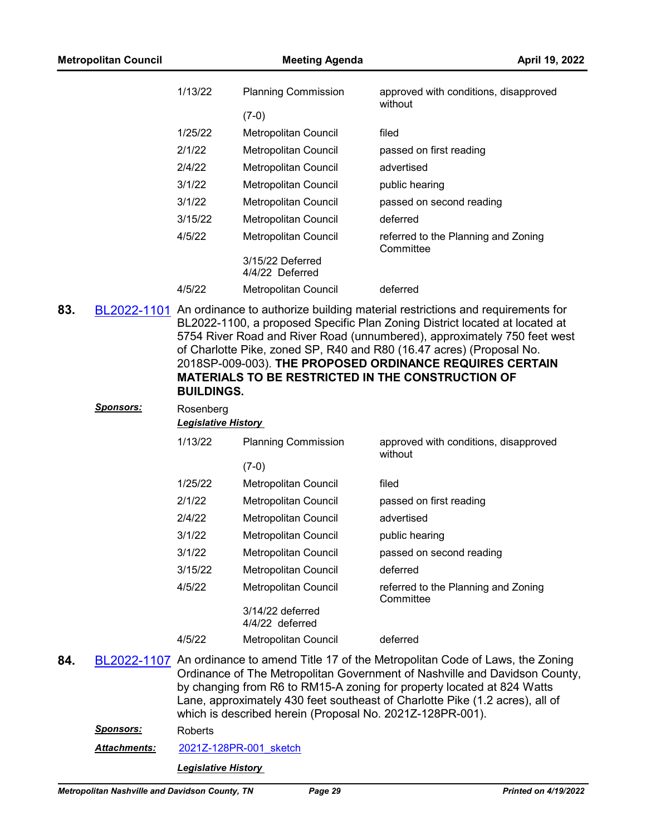| <b>Metropolitan Council</b> |         | <b>Meeting Agenda</b>               | April 19, 2022                                                                            |
|-----------------------------|---------|-------------------------------------|-------------------------------------------------------------------------------------------|
|                             | 1/13/22 | <b>Planning Commission</b>          | approved with conditions, disapproved<br>without                                          |
|                             |         | $(7-0)$                             |                                                                                           |
|                             | 1/25/22 | Metropolitan Council                | filed                                                                                     |
|                             | 2/1/22  | Metropolitan Council                | passed on first reading                                                                   |
|                             | 2/4/22  | Metropolitan Council                | advertised                                                                                |
|                             | 3/1/22  | Metropolitan Council                | public hearing                                                                            |
|                             | 3/1/22  | Metropolitan Council                | passed on second reading                                                                  |
|                             | 3/15/22 | Metropolitan Council                | deferred                                                                                  |
|                             | 4/5/22  | Metropolitan Council                | referred to the Planning and Zoning<br>Committee                                          |
|                             |         | 3/15/22 Deferred<br>4/4/22 Deferred |                                                                                           |
|                             | 4/5/22  | Metropolitan Council                | deferred                                                                                  |
| 83.                         |         |                                     | BL2022-1101 An ordinance to authorize building material restrictions and requirements for |

**83.** [BL2022-1101](http://nashville.legistar.com/gateway.aspx?m=l&id=/matter.aspx?key=14084) An ordinance to authorize building material restrictions and requirements for BL2022-1100, a proposed Specific Plan Zoning District located at located at 5754 River Road and River Road (unnumbered), approximately 750 feet west of Charlotte Pike, zoned SP, R40 and R80 (16.47 acres) (Proposal No. 2018SP-009-003). **THE PROPOSED ORDINANCE REQUIRES CERTAIN MATERIALS TO BE RESTRICTED IN THE CONSTRUCTION OF BUILDINGS.**

|     | <b>Sponsors:</b> | Rosenberg<br><b>Legislative History</b> |                                                           |                                                                                                                                                                                                                                                                                                                                 |  |  |
|-----|------------------|-----------------------------------------|-----------------------------------------------------------|---------------------------------------------------------------------------------------------------------------------------------------------------------------------------------------------------------------------------------------------------------------------------------------------------------------------------------|--|--|
|     |                  | 1/13/22                                 | <b>Planning Commission</b>                                | approved with conditions, disapproved<br>without                                                                                                                                                                                                                                                                                |  |  |
|     |                  |                                         | $(7-0)$                                                   |                                                                                                                                                                                                                                                                                                                                 |  |  |
|     |                  | 1/25/22                                 | <b>Metropolitan Council</b>                               | filed                                                                                                                                                                                                                                                                                                                           |  |  |
|     |                  | 2/1/22                                  | <b>Metropolitan Council</b>                               | passed on first reading                                                                                                                                                                                                                                                                                                         |  |  |
|     |                  | 2/4/22                                  | <b>Metropolitan Council</b>                               | advertised                                                                                                                                                                                                                                                                                                                      |  |  |
|     |                  | 3/1/22                                  | <b>Metropolitan Council</b>                               | public hearing                                                                                                                                                                                                                                                                                                                  |  |  |
|     |                  | 3/1/22                                  | Metropolitan Council                                      | passed on second reading                                                                                                                                                                                                                                                                                                        |  |  |
|     |                  | 3/15/22                                 | <b>Metropolitan Council</b>                               | deferred                                                                                                                                                                                                                                                                                                                        |  |  |
|     |                  | 4/5/22                                  | <b>Metropolitan Council</b>                               | referred to the Planning and Zoning<br>Committee                                                                                                                                                                                                                                                                                |  |  |
|     |                  |                                         | 3/14/22 deferred<br>4/4/22 deferred                       |                                                                                                                                                                                                                                                                                                                                 |  |  |
|     |                  | 4/5/22                                  | Metropolitan Council                                      | deferred                                                                                                                                                                                                                                                                                                                        |  |  |
| 84. |                  |                                         | which is described herein (Proposal No. 2021Z-128PR-001). | BL2022-1107 An ordinance to amend Title 17 of the Metropolitan Code of Laws, the Zoning<br>Ordinance of The Metropolitan Government of Nashville and Davidson County,<br>by changing from R6 to RM15-A zoning for property located at 824 Watts<br>Lane, approximately 430 feet southeast of Charlotte Pike (1.2 acres), all of |  |  |
|     | <u>Sponsors:</u> | Roberts                                 |                                                           |                                                                                                                                                                                                                                                                                                                                 |  |  |
|     | Attachments:     |                                         | 2021Z-128PR-001 sketch                                    |                                                                                                                                                                                                                                                                                                                                 |  |  |
|     |                  | <b>Legislative History</b>              |                                                           |                                                                                                                                                                                                                                                                                                                                 |  |  |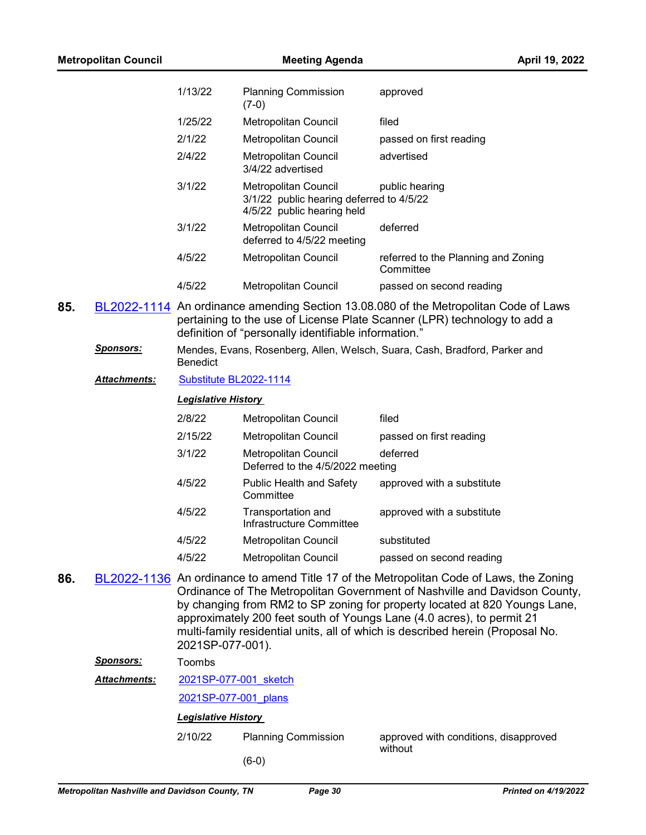|     |                      | 1/13/22                    | <b>Planning Commission</b><br>$(7-0)$                                                          | approved                                                                                                                                                                                                                                                                                                                                                                                                       |
|-----|----------------------|----------------------------|------------------------------------------------------------------------------------------------|----------------------------------------------------------------------------------------------------------------------------------------------------------------------------------------------------------------------------------------------------------------------------------------------------------------------------------------------------------------------------------------------------------------|
|     |                      | 1/25/22                    | Metropolitan Council                                                                           | filed                                                                                                                                                                                                                                                                                                                                                                                                          |
|     |                      | 2/1/22                     | Metropolitan Council                                                                           | passed on first reading                                                                                                                                                                                                                                                                                                                                                                                        |
|     |                      | 2/4/22                     | Metropolitan Council<br>3/4/22 advertised                                                      | advertised                                                                                                                                                                                                                                                                                                                                                                                                     |
|     |                      | 3/1/22                     | Metropolitan Council<br>3/1/22 public hearing deferred to 4/5/22<br>4/5/22 public hearing held | public hearing                                                                                                                                                                                                                                                                                                                                                                                                 |
|     |                      | 3/1/22                     | Metropolitan Council<br>deferred to 4/5/22 meeting                                             | deferred                                                                                                                                                                                                                                                                                                                                                                                                       |
|     |                      | 4/5/22                     | Metropolitan Council                                                                           | referred to the Planning and Zoning<br>Committee                                                                                                                                                                                                                                                                                                                                                               |
|     |                      | 4/5/22                     | Metropolitan Council                                                                           | passed on second reading                                                                                                                                                                                                                                                                                                                                                                                       |
| 85. |                      |                            | definition of "personally identifiable information."                                           | BL2022-1114 An ordinance amending Section 13.08.080 of the Metropolitan Code of Laws<br>pertaining to the use of License Plate Scanner (LPR) technology to add a                                                                                                                                                                                                                                               |
|     | <u>Sponsors:</u>     | <b>Benedict</b>            |                                                                                                | Mendes, Evans, Rosenberg, Allen, Welsch, Suara, Cash, Bradford, Parker and                                                                                                                                                                                                                                                                                                                                     |
|     | <u> Attachments:</u> | Substitute BL2022-1114     |                                                                                                |                                                                                                                                                                                                                                                                                                                                                                                                                |
|     |                      | <b>Legislative History</b> |                                                                                                |                                                                                                                                                                                                                                                                                                                                                                                                                |
|     |                      | 2/8/22                     | Metropolitan Council                                                                           | filed                                                                                                                                                                                                                                                                                                                                                                                                          |
|     |                      | 2/15/22                    | Metropolitan Council                                                                           | passed on first reading                                                                                                                                                                                                                                                                                                                                                                                        |
|     |                      | 3/1/22                     | <b>Metropolitan Council</b><br>Deferred to the 4/5/2022 meeting                                | deferred                                                                                                                                                                                                                                                                                                                                                                                                       |
|     |                      | 4/5/22                     | <b>Public Health and Safety</b><br>Committee                                                   | approved with a substitute                                                                                                                                                                                                                                                                                                                                                                                     |
|     |                      | 4/5/22                     | Transportation and<br>Infrastructure Committee                                                 | approved with a substitute                                                                                                                                                                                                                                                                                                                                                                                     |
|     |                      | 4/5/22                     | Metropolitan Council                                                                           | substituted                                                                                                                                                                                                                                                                                                                                                                                                    |
|     |                      | 4/5/22                     | Metropolitan Council                                                                           | passed on second reading                                                                                                                                                                                                                                                                                                                                                                                       |
| 86. |                      | 2021SP-077-001).           |                                                                                                | BL2022-1136 An ordinance to amend Title 17 of the Metropolitan Code of Laws, the Zoning<br>Ordinance of The Metropolitan Government of Nashville and Davidson County,<br>by changing from RM2 to SP zoning for property located at 820 Youngs Lane,<br>approximately 200 feet south of Youngs Lane (4.0 acres), to permit 21<br>multi-family residential units, all of which is described herein (Proposal No. |
|     | <b>Sponsors:</b>     | Toombs                     |                                                                                                |                                                                                                                                                                                                                                                                                                                                                                                                                |
|     | Attachments:         | 2021SP-077-001 sketch      |                                                                                                |                                                                                                                                                                                                                                                                                                                                                                                                                |
|     |                      | 2021SP-077-001 plans       |                                                                                                |                                                                                                                                                                                                                                                                                                                                                                                                                |
|     |                      | <b>Legislative History</b> |                                                                                                |                                                                                                                                                                                                                                                                                                                                                                                                                |
|     |                      | 2/10/22                    | <b>Planning Commission</b>                                                                     | approved with conditions, disapproved                                                                                                                                                                                                                                                                                                                                                                          |
|     |                      |                            | $(6-0)$                                                                                        | without                                                                                                                                                                                                                                                                                                                                                                                                        |
|     |                      |                            |                                                                                                |                                                                                                                                                                                                                                                                                                                                                                                                                |

**Metropolitan Council Meeting Agenda April 19, 2022**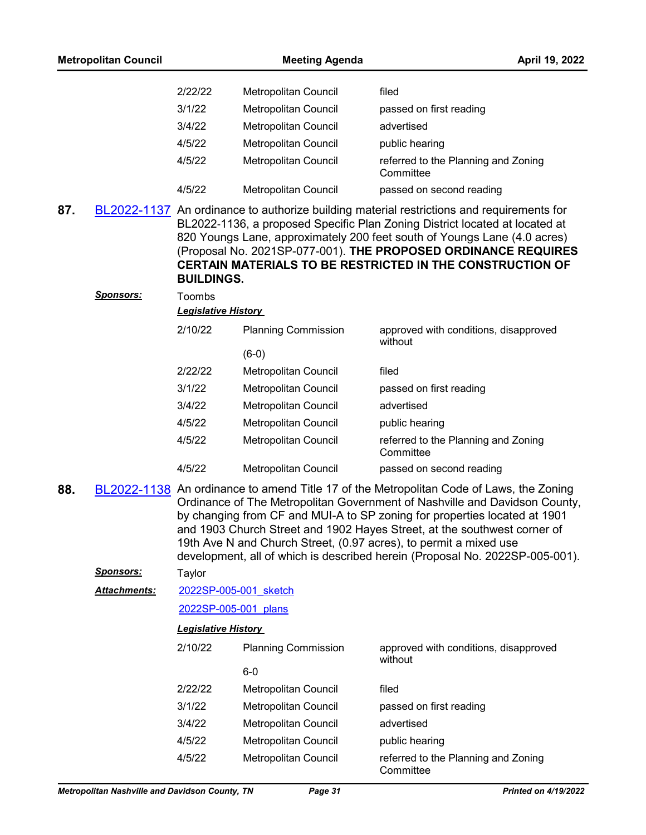|     | <b>Metropolitan Council</b>                    |                                      | <b>Meeting Agenda</b>                 | April 19, 2022                                                                                                                                                                                                                                                                                                                                                                                                                                                                      |
|-----|------------------------------------------------|--------------------------------------|---------------------------------------|-------------------------------------------------------------------------------------------------------------------------------------------------------------------------------------------------------------------------------------------------------------------------------------------------------------------------------------------------------------------------------------------------------------------------------------------------------------------------------------|
|     |                                                | 2/22/22                              | Metropolitan Council                  | filed                                                                                                                                                                                                                                                                                                                                                                                                                                                                               |
|     |                                                | 3/1/22                               | <b>Metropolitan Council</b>           | passed on first reading                                                                                                                                                                                                                                                                                                                                                                                                                                                             |
|     |                                                | 3/4/22                               | Metropolitan Council                  | advertised                                                                                                                                                                                                                                                                                                                                                                                                                                                                          |
|     |                                                | 4/5/22                               | Metropolitan Council                  | public hearing                                                                                                                                                                                                                                                                                                                                                                                                                                                                      |
|     |                                                | 4/5/22                               | <b>Metropolitan Council</b>           | referred to the Planning and Zoning<br>Committee                                                                                                                                                                                                                                                                                                                                                                                                                                    |
|     |                                                | 4/5/22                               | <b>Metropolitan Council</b>           | passed on second reading                                                                                                                                                                                                                                                                                                                                                                                                                                                            |
| 87. |                                                | <b>BUILDINGS.</b>                    |                                       | BL2022-1137 An ordinance to authorize building material restrictions and requirements for<br>BL2022-1136, a proposed Specific Plan Zoning District located at located at<br>820 Youngs Lane, approximately 200 feet south of Youngs Lane (4.0 acres)<br>(Proposal No. 2021SP-077-001). THE PROPOSED ORDINANCE REQUIRES<br><b>CERTAIN MATERIALS TO BE RESTRICTED IN THE CONSTRUCTION OF</b>                                                                                          |
|     | <b>Sponsors:</b>                               | Toombs<br><b>Legislative History</b> |                                       |                                                                                                                                                                                                                                                                                                                                                                                                                                                                                     |
|     |                                                |                                      |                                       |                                                                                                                                                                                                                                                                                                                                                                                                                                                                                     |
|     |                                                | 2/10/22                              | <b>Planning Commission</b><br>$(6-0)$ | approved with conditions, disapproved<br>without                                                                                                                                                                                                                                                                                                                                                                                                                                    |
|     |                                                | 2/22/22                              | Metropolitan Council                  | filed                                                                                                                                                                                                                                                                                                                                                                                                                                                                               |
|     |                                                | 3/1/22                               | Metropolitan Council                  | passed on first reading                                                                                                                                                                                                                                                                                                                                                                                                                                                             |
|     |                                                | 3/4/22                               | Metropolitan Council                  | advertised                                                                                                                                                                                                                                                                                                                                                                                                                                                                          |
|     |                                                | 4/5/22                               | Metropolitan Council                  | public hearing                                                                                                                                                                                                                                                                                                                                                                                                                                                                      |
|     |                                                | 4/5/22                               | Metropolitan Council                  | referred to the Planning and Zoning<br>Committee                                                                                                                                                                                                                                                                                                                                                                                                                                    |
|     |                                                | 4/5/22                               | Metropolitan Council                  | passed on second reading                                                                                                                                                                                                                                                                                                                                                                                                                                                            |
| 88. |                                                |                                      |                                       | BL2022-1138 An ordinance to amend Title 17 of the Metropolitan Code of Laws, the Zoning<br>Ordinance of The Metropolitan Government of Nashville and Davidson County,<br>by changing from CF and MUI-A to SP zoning for properties located at 1901<br>and 1903 Church Street and 1902 Hayes Street, at the southwest corner of<br>19th Ave N and Church Street, (0.97 acres), to permit a mixed use<br>development, all of which is described herein (Proposal No. 2022SP-005-001). |
|     | <u>Sponsors:</u>                               | Taylor                               |                                       |                                                                                                                                                                                                                                                                                                                                                                                                                                                                                     |
|     | Attachments:                                   | 2022SP-005-001 sketch                |                                       |                                                                                                                                                                                                                                                                                                                                                                                                                                                                                     |
|     |                                                | 2022SP-005-001 plans                 |                                       |                                                                                                                                                                                                                                                                                                                                                                                                                                                                                     |
|     |                                                | <b>Legislative History</b>           |                                       |                                                                                                                                                                                                                                                                                                                                                                                                                                                                                     |
|     |                                                | 2/10/22                              | <b>Planning Commission</b>            | approved with conditions, disapproved<br>without                                                                                                                                                                                                                                                                                                                                                                                                                                    |
|     |                                                |                                      | $6-0$                                 |                                                                                                                                                                                                                                                                                                                                                                                                                                                                                     |
|     |                                                | 2/22/22                              | Metropolitan Council                  | filed                                                                                                                                                                                                                                                                                                                                                                                                                                                                               |
|     |                                                | 3/1/22                               | Metropolitan Council                  | passed on first reading                                                                                                                                                                                                                                                                                                                                                                                                                                                             |
|     |                                                | 3/4/22                               | Metropolitan Council                  | advertised                                                                                                                                                                                                                                                                                                                                                                                                                                                                          |
|     |                                                | 4/5/22                               | Metropolitan Council                  | public hearing                                                                                                                                                                                                                                                                                                                                                                                                                                                                      |
|     |                                                | 4/5/22                               | Metropolitan Council                  | referred to the Planning and Zoning<br>Committee                                                                                                                                                                                                                                                                                                                                                                                                                                    |
|     | Metropolitan Nashville and Davidson County, TN |                                      | Page 31                               | Printed on 4/19/2022                                                                                                                                                                                                                                                                                                                                                                                                                                                                |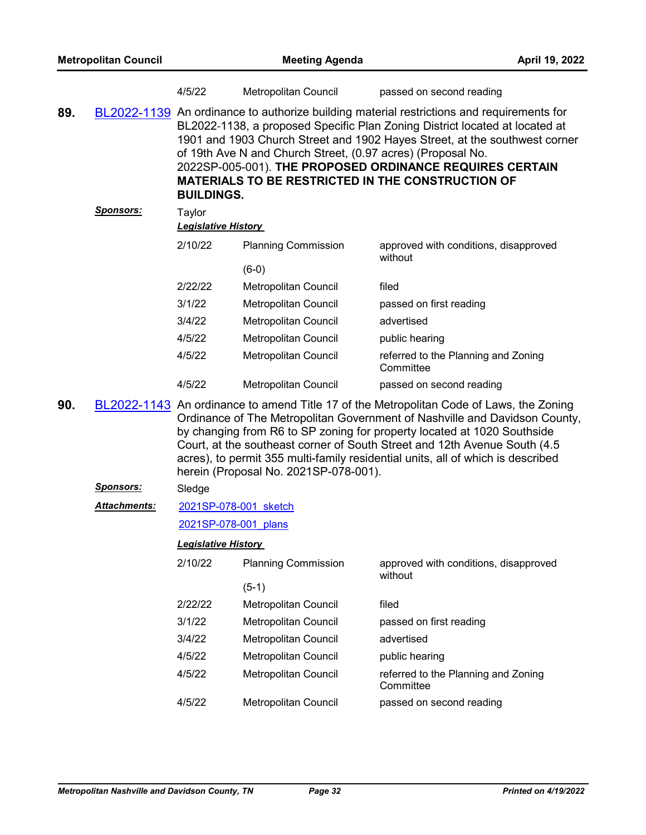|     |                  | 4/5/22                                                                                                                                                                                                                                                                                                                                                                                                                                                             | <b>Metropolitan Council</b>           | passed on second reading                                                                                                                                                                                                                                                                                                                                                                                          |  |
|-----|------------------|--------------------------------------------------------------------------------------------------------------------------------------------------------------------------------------------------------------------------------------------------------------------------------------------------------------------------------------------------------------------------------------------------------------------------------------------------------------------|---------------------------------------|-------------------------------------------------------------------------------------------------------------------------------------------------------------------------------------------------------------------------------------------------------------------------------------------------------------------------------------------------------------------------------------------------------------------|--|
| 89. |                  | BL2022-1139 An ordinance to authorize building material restrictions and requirements for<br>BL2022-1138, a proposed Specific Plan Zoning District located at located at<br>1901 and 1903 Church Street and 1902 Hayes Street, at the southwest corner<br>of 19th Ave N and Church Street, (0.97 acres) (Proposal No.<br>2022SP-005-001). THE PROPOSED ORDINANCE REQUIRES CERTAIN<br><b>MATERIALS TO BE RESTRICTED IN THE CONSTRUCTION OF</b><br><b>BUILDINGS.</b> |                                       |                                                                                                                                                                                                                                                                                                                                                                                                                   |  |
|     | <u>Sponsors:</u> | Taylor                                                                                                                                                                                                                                                                                                                                                                                                                                                             |                                       |                                                                                                                                                                                                                                                                                                                                                                                                                   |  |
|     |                  | <b>Legislative History</b>                                                                                                                                                                                                                                                                                                                                                                                                                                         |                                       |                                                                                                                                                                                                                                                                                                                                                                                                                   |  |
|     |                  | 2/10/22                                                                                                                                                                                                                                                                                                                                                                                                                                                            | <b>Planning Commission</b><br>$(6-0)$ | approved with conditions, disapproved<br>without                                                                                                                                                                                                                                                                                                                                                                  |  |
|     |                  | 2/22/22                                                                                                                                                                                                                                                                                                                                                                                                                                                            | Metropolitan Council                  | filed                                                                                                                                                                                                                                                                                                                                                                                                             |  |
|     |                  | 3/1/22                                                                                                                                                                                                                                                                                                                                                                                                                                                             | Metropolitan Council                  | passed on first reading                                                                                                                                                                                                                                                                                                                                                                                           |  |
|     |                  | 3/4/22                                                                                                                                                                                                                                                                                                                                                                                                                                                             | Metropolitan Council                  | advertised                                                                                                                                                                                                                                                                                                                                                                                                        |  |
|     |                  | 4/5/22                                                                                                                                                                                                                                                                                                                                                                                                                                                             | Metropolitan Council                  | public hearing                                                                                                                                                                                                                                                                                                                                                                                                    |  |
|     |                  | 4/5/22                                                                                                                                                                                                                                                                                                                                                                                                                                                             | Metropolitan Council                  | referred to the Planning and Zoning<br>Committee                                                                                                                                                                                                                                                                                                                                                                  |  |
|     |                  | 4/5/22                                                                                                                                                                                                                                                                                                                                                                                                                                                             | Metropolitan Council                  | passed on second reading                                                                                                                                                                                                                                                                                                                                                                                          |  |
| 90. |                  |                                                                                                                                                                                                                                                                                                                                                                                                                                                                    | herein (Proposal No. 2021SP-078-001). | BL2022-1143 An ordinance to amend Title 17 of the Metropolitan Code of Laws, the Zoning<br>Ordinance of The Metropolitan Government of Nashville and Davidson County,<br>by changing from R6 to SP zoning for property located at 1020 Southside<br>Court, at the southeast corner of South Street and 12th Avenue South (4.5)<br>acres), to permit 355 multi-family residential units, all of which is described |  |
|     | <u>Sponsors:</u> | Sledge                                                                                                                                                                                                                                                                                                                                                                                                                                                             |                                       |                                                                                                                                                                                                                                                                                                                                                                                                                   |  |
|     | Attachments:     | 2021SP-078-001 sketch                                                                                                                                                                                                                                                                                                                                                                                                                                              |                                       |                                                                                                                                                                                                                                                                                                                                                                                                                   |  |
|     |                  | 2021SP-078-001 plans                                                                                                                                                                                                                                                                                                                                                                                                                                               |                                       |                                                                                                                                                                                                                                                                                                                                                                                                                   |  |
|     |                  | <b>Legislative History</b>                                                                                                                                                                                                                                                                                                                                                                                                                                         |                                       |                                                                                                                                                                                                                                                                                                                                                                                                                   |  |
|     |                  | 2/10/22                                                                                                                                                                                                                                                                                                                                                                                                                                                            | <b>Planning Commission</b>            | approved with conditions, disapproved<br>without                                                                                                                                                                                                                                                                                                                                                                  |  |
|     |                  |                                                                                                                                                                                                                                                                                                                                                                                                                                                                    | $(5-1)$                               |                                                                                                                                                                                                                                                                                                                                                                                                                   |  |
|     |                  | 2/22/22                                                                                                                                                                                                                                                                                                                                                                                                                                                            | Metropolitan Council                  | filed                                                                                                                                                                                                                                                                                                                                                                                                             |  |
|     |                  | 3/1/22                                                                                                                                                                                                                                                                                                                                                                                                                                                             | Metropolitan Council                  | passed on first reading                                                                                                                                                                                                                                                                                                                                                                                           |  |
|     |                  | 3/4/22                                                                                                                                                                                                                                                                                                                                                                                                                                                             | Metropolitan Council                  | advertised                                                                                                                                                                                                                                                                                                                                                                                                        |  |
|     |                  | 4/5/22                                                                                                                                                                                                                                                                                                                                                                                                                                                             | Metropolitan Council                  | public hearing                                                                                                                                                                                                                                                                                                                                                                                                    |  |
|     |                  | 4/5/22                                                                                                                                                                                                                                                                                                                                                                                                                                                             | Metropolitan Council                  | referred to the Planning and Zoning<br>Committee                                                                                                                                                                                                                                                                                                                                                                  |  |
|     |                  | 4/5/22                                                                                                                                                                                                                                                                                                                                                                                                                                                             | Metropolitan Council                  | passed on second reading                                                                                                                                                                                                                                                                                                                                                                                          |  |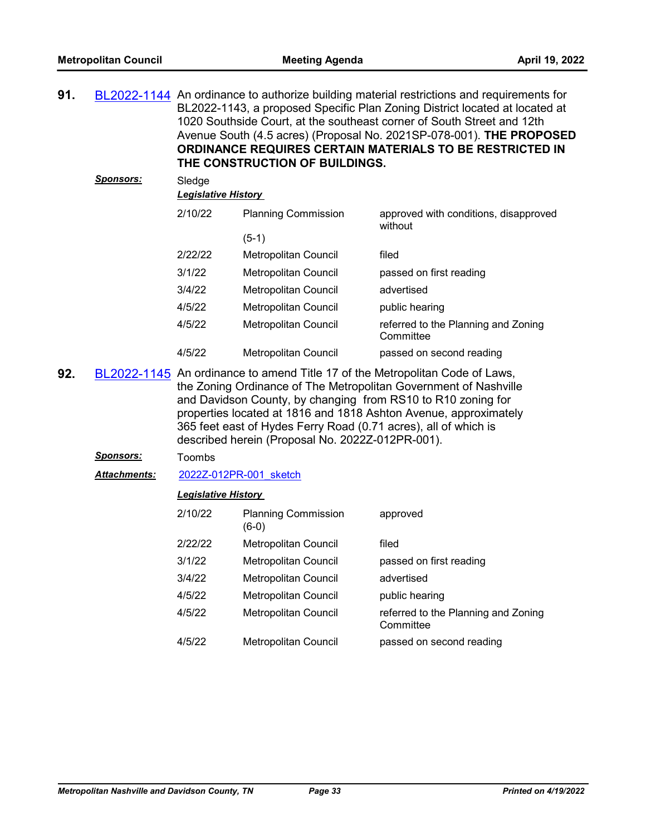| 91. |                  |                                      | THE CONSTRUCTION OF BUILDINGS. | BL2022-1144 An ordinance to authorize building material restrictions and requirements for<br>BL2022-1143, a proposed Specific Plan Zoning District located at located at<br>1020 Southside Court, at the southeast corner of South Street and 12th<br>Avenue South (4.5 acres) (Proposal No. 2021SP-078-001). THE PROPOSED<br>ORDINANCE REQUIRES CERTAIN MATERIALS TO BE RESTRICTED IN |
|-----|------------------|--------------------------------------|--------------------------------|----------------------------------------------------------------------------------------------------------------------------------------------------------------------------------------------------------------------------------------------------------------------------------------------------------------------------------------------------------------------------------------|
|     | <b>Sponsors:</b> | Sledge<br><b>Legislative History</b> |                                |                                                                                                                                                                                                                                                                                                                                                                                        |
|     |                  | 2/10/22                              | <b>Planning Commission</b>     | approved with conditions, disapproved<br>without                                                                                                                                                                                                                                                                                                                                       |
|     |                  |                                      | $(5-1)$                        |                                                                                                                                                                                                                                                                                                                                                                                        |
|     |                  | 2/22/22                              | Metropolitan Council           | filed                                                                                                                                                                                                                                                                                                                                                                                  |
|     |                  | 3/1/22                               | Metropolitan Council           | passed on first reading                                                                                                                                                                                                                                                                                                                                                                |
|     |                  | 3/4/22                               | Metropolitan Council           | advertised                                                                                                                                                                                                                                                                                                                                                                             |
|     |                  | 4/5/22                               | Metropolitan Council           | public hearing                                                                                                                                                                                                                                                                                                                                                                         |
|     |                  | 4/5/22                               | Metropolitan Council           | referred to the Planning and Zoning<br>Committee                                                                                                                                                                                                                                                                                                                                       |
|     |                  | 4/5/22                               | Metropolitan Council           | passed on second reading                                                                                                                                                                                                                                                                                                                                                               |

**92.** [BL2022-1145](http://nashville.legistar.com/gateway.aspx?m=l&id=/matter.aspx?key=14169) An ordinance to amend Title 17 of the Metropolitan Code of Laws, the Zoning Ordinance of The Metropolitan Government of Nashville and Davidson County, by changing from RS10 to R10 zoning for properties located at 1816 and 1818 Ashton Avenue, approximately 365 feet east of Hydes Ferry Road (0.71 acres), all of which is described herein (Proposal No. 2022Z-012PR-001).

#### *Sponsors:* Toombs

*Attachments:* [2022Z-012PR-001\\_sketch](http://nashville.legistar.com/gateway.aspx?M=F&ID=5432950d-5642-4b00-baeb-8cb40e2fe901.docx)

| 2/10/22 | <b>Planning Commission</b><br>(6-0) | approved                                         |
|---------|-------------------------------------|--------------------------------------------------|
| 2/22/22 | Metropolitan Council                | filed                                            |
| 3/1/22  | Metropolitan Council                | passed on first reading                          |
| 3/4/22  | <b>Metropolitan Council</b>         | advertised                                       |
| 4/5/22  | Metropolitan Council                | public hearing                                   |
| 4/5/22  | Metropolitan Council                | referred to the Planning and Zoning<br>Committee |
| 4/5/22  | Metropolitan Council                | passed on second reading                         |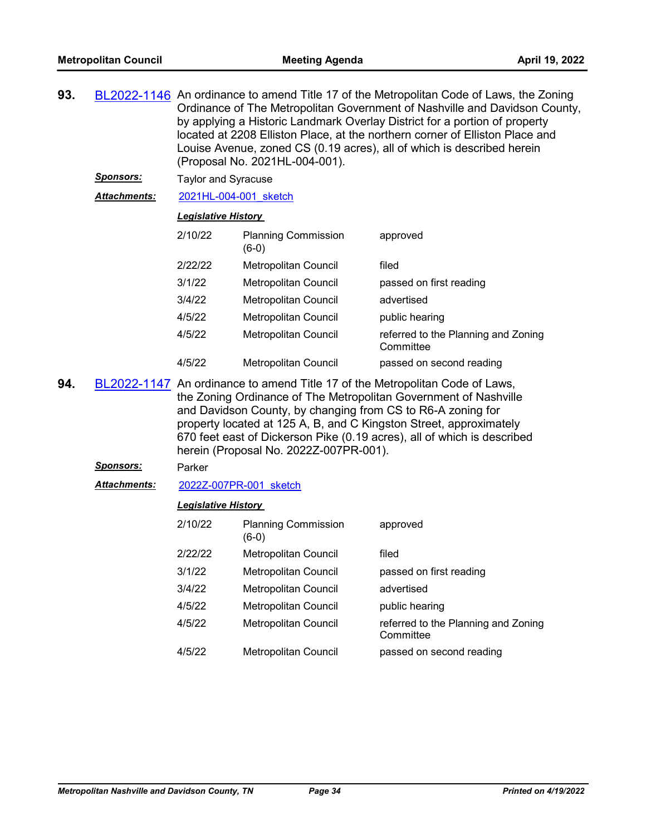| 93. |                                                                                                                                                                                                                                                                                                                                                                  | BL2022-1146 An ordinance to amend Title 17 of the Metropolitan Code of Laws, the Zoning<br>Ordinance of The Metropolitan Government of Nashville and Davidson County,<br>by applying a Historic Landmark Overlay District for a portion of property<br>located at 2208 Elliston Place, at the northern corner of Elliston Place and<br>Louise Avenue, zoned CS (0.19 acres), all of which is described herein<br>(Proposal No. 2021HL-004-001). |                                        |                                                  |  |  |  |
|-----|------------------------------------------------------------------------------------------------------------------------------------------------------------------------------------------------------------------------------------------------------------------------------------------------------------------------------------------------------------------|-------------------------------------------------------------------------------------------------------------------------------------------------------------------------------------------------------------------------------------------------------------------------------------------------------------------------------------------------------------------------------------------------------------------------------------------------|----------------------------------------|--------------------------------------------------|--|--|--|
|     | <u>Sponsors:</u>                                                                                                                                                                                                                                                                                                                                                 | <b>Taylor and Syracuse</b>                                                                                                                                                                                                                                                                                                                                                                                                                      |                                        |                                                  |  |  |  |
|     | Attachments:                                                                                                                                                                                                                                                                                                                                                     | 2021HL-004-001 sketch                                                                                                                                                                                                                                                                                                                                                                                                                           |                                        |                                                  |  |  |  |
|     |                                                                                                                                                                                                                                                                                                                                                                  | <b>Legislative History</b>                                                                                                                                                                                                                                                                                                                                                                                                                      |                                        |                                                  |  |  |  |
|     |                                                                                                                                                                                                                                                                                                                                                                  | 2/10/22                                                                                                                                                                                                                                                                                                                                                                                                                                         | <b>Planning Commission</b><br>$(6-0)$  | approved                                         |  |  |  |
|     |                                                                                                                                                                                                                                                                                                                                                                  | 2/22/22                                                                                                                                                                                                                                                                                                                                                                                                                                         | Metropolitan Council                   | filed                                            |  |  |  |
|     |                                                                                                                                                                                                                                                                                                                                                                  | 3/1/22                                                                                                                                                                                                                                                                                                                                                                                                                                          | Metropolitan Council                   | passed on first reading                          |  |  |  |
|     |                                                                                                                                                                                                                                                                                                                                                                  | 3/4/22                                                                                                                                                                                                                                                                                                                                                                                                                                          | Metropolitan Council                   | advertised                                       |  |  |  |
|     |                                                                                                                                                                                                                                                                                                                                                                  | 4/5/22                                                                                                                                                                                                                                                                                                                                                                                                                                          | Metropolitan Council                   | public hearing                                   |  |  |  |
|     |                                                                                                                                                                                                                                                                                                                                                                  | 4/5/22                                                                                                                                                                                                                                                                                                                                                                                                                                          | Metropolitan Council                   | referred to the Planning and Zoning<br>Committee |  |  |  |
|     |                                                                                                                                                                                                                                                                                                                                                                  | 4/5/22                                                                                                                                                                                                                                                                                                                                                                                                                                          | Metropolitan Council                   | passed on second reading                         |  |  |  |
| 94. | BL2022-1147 An ordinance to amend Title 17 of the Metropolitan Code of Laws,<br>the Zoning Ordinance of The Metropolitan Government of Nashville<br>and Davidson County, by changing from CS to R6-A zoning for<br>property located at 125 A, B, and C Kingston Street, approximately<br>670 feet east of Dickerson Pike (0.19 acres), all of which is described |                                                                                                                                                                                                                                                                                                                                                                                                                                                 | herein (Proposal No. 2022Z-007PR-001). |                                                  |  |  |  |
|     | <b>Sponsors:</b>                                                                                                                                                                                                                                                                                                                                                 | Parker                                                                                                                                                                                                                                                                                                                                                                                                                                          |                                        |                                                  |  |  |  |
|     | Attachments:                                                                                                                                                                                                                                                                                                                                                     | 2022Z-007PR-001 sketch                                                                                                                                                                                                                                                                                                                                                                                                                          |                                        |                                                  |  |  |  |
|     |                                                                                                                                                                                                                                                                                                                                                                  | <b>Legislative History</b>                                                                                                                                                                                                                                                                                                                                                                                                                      |                                        |                                                  |  |  |  |
|     |                                                                                                                                                                                                                                                                                                                                                                  | 2/10/22                                                                                                                                                                                                                                                                                                                                                                                                                                         | <b>Planning Commission</b><br>$(6-0)$  | approved                                         |  |  |  |
|     |                                                                                                                                                                                                                                                                                                                                                                  | 2/22/22                                                                                                                                                                                                                                                                                                                                                                                                                                         | <b>Metropolitan Council</b>            | filed                                            |  |  |  |
|     |                                                                                                                                                                                                                                                                                                                                                                  | 3/1/22                                                                                                                                                                                                                                                                                                                                                                                                                                          | Metropolitan Council                   | passed on first reading                          |  |  |  |
|     |                                                                                                                                                                                                                                                                                                                                                                  | 3/4/22                                                                                                                                                                                                                                                                                                                                                                                                                                          | Metropolitan Council                   | advertised                                       |  |  |  |
|     |                                                                                                                                                                                                                                                                                                                                                                  | 4/5/22                                                                                                                                                                                                                                                                                                                                                                                                                                          | Metropolitan Council                   | public hearing                                   |  |  |  |
|     |                                                                                                                                                                                                                                                                                                                                                                  | 4/5/22                                                                                                                                                                                                                                                                                                                                                                                                                                          | Metropolitan Council                   | referred to the Planning and Zoning<br>Committee |  |  |  |
|     |                                                                                                                                                                                                                                                                                                                                                                  | 4/5/22                                                                                                                                                                                                                                                                                                                                                                                                                                          | Metropolitan Council                   | passed on second reading                         |  |  |  |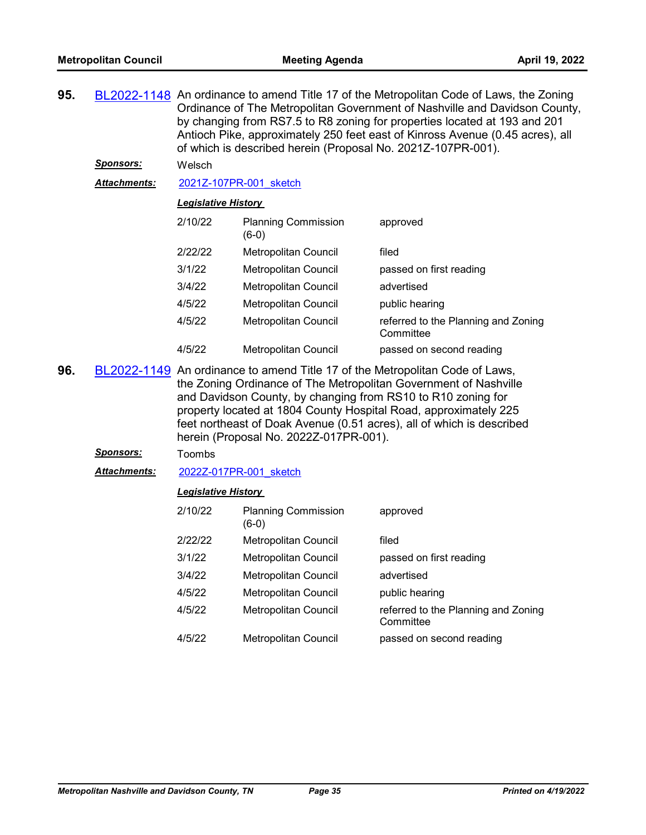| 95.                                                                         |  | BL2022-1148 An ordinance to amend Title 17 of the Metropolitan Code of Laws, the Zoning<br>Ordinance of The Metropolitan Government of Nashville and Davidson County,<br>by changing from RS7.5 to R8 zoning for properties located at 193 and 201<br>Antioch Pike, approximately 250 feet east of Kinross Avenue (0.45 acres), all<br>of which is described herein (Proposal No. 2021Z-107PR-001). |                                     |                         |
|-----------------------------------------------------------------------------|--|-----------------------------------------------------------------------------------------------------------------------------------------------------------------------------------------------------------------------------------------------------------------------------------------------------------------------------------------------------------------------------------------------------|-------------------------------------|-------------------------|
| <b>Sponsors:</b><br>Welsch<br><b>Attachments:</b><br>2021Z-107PR-001 sketch |  |                                                                                                                                                                                                                                                                                                                                                                                                     |                                     |                         |
|                                                                             |  |                                                                                                                                                                                                                                                                                                                                                                                                     |                                     |                         |
|                                                                             |  | <b>Legislative History</b>                                                                                                                                                                                                                                                                                                                                                                          |                                     |                         |
|                                                                             |  | 2/10/22                                                                                                                                                                                                                                                                                                                                                                                             | <b>Planning Commission</b><br>(6-0) | approved                |
|                                                                             |  | 2/22/22                                                                                                                                                                                                                                                                                                                                                                                             | <b>Metropolitan Council</b>         | filed                   |
|                                                                             |  | 3/1/22                                                                                                                                                                                                                                                                                                                                                                                              | Metropolitan Council                | passed on first reading |
|                                                                             |  | 3/4/22                                                                                                                                                                                                                                                                                                                                                                                              | Metropolitan Council                | advertised              |
|                                                                             |  |                                                                                                                                                                                                                                                                                                                                                                                                     |                                     |                         |

4/5/22 Metropolitan Council public hearing 4/5/22 Metropolitan Council referred to the Planning and Zoning **Committee** 

- 4/5/22 Metropolitan Council passed on second reading **96.** [BL2022-1149](http://nashville.legistar.com/gateway.aspx?m=l&id=/matter.aspx?key=14170) An ordinance to amend Title 17 of the Metropolitan Code of Laws, the Zoning Ordinance of The Metropolitan Government of Nashville and Davidson County, by changing from RS10 to R10 zoning for property located at 1804 County Hospital Road, approximately 225 feet northeast of Doak Avenue (0.51 acres), all of which is described
	- herein (Proposal No. 2022Z-017PR-001). *Sponsors:* Toombs

*Attachments:* [2022Z-017PR-001\\_sketch](http://nashville.legistar.com/gateway.aspx?M=F&ID=4369b071-92f0-4627-ab11-b434375945e1.docx)

| 2/10/22 | <b>Planning Commission</b><br>(6-0) | approved                                         |
|---------|-------------------------------------|--------------------------------------------------|
| 2/22/22 | Metropolitan Council                | filed                                            |
| 3/1/22  | Metropolitan Council                | passed on first reading                          |
| 3/4/22  | Metropolitan Council                | advertised                                       |
| 4/5/22  | Metropolitan Council                | public hearing                                   |
| 4/5/22  | Metropolitan Council                | referred to the Planning and Zoning<br>Committee |
| 4/5/22  | <b>Metropolitan Council</b>         | passed on second reading                         |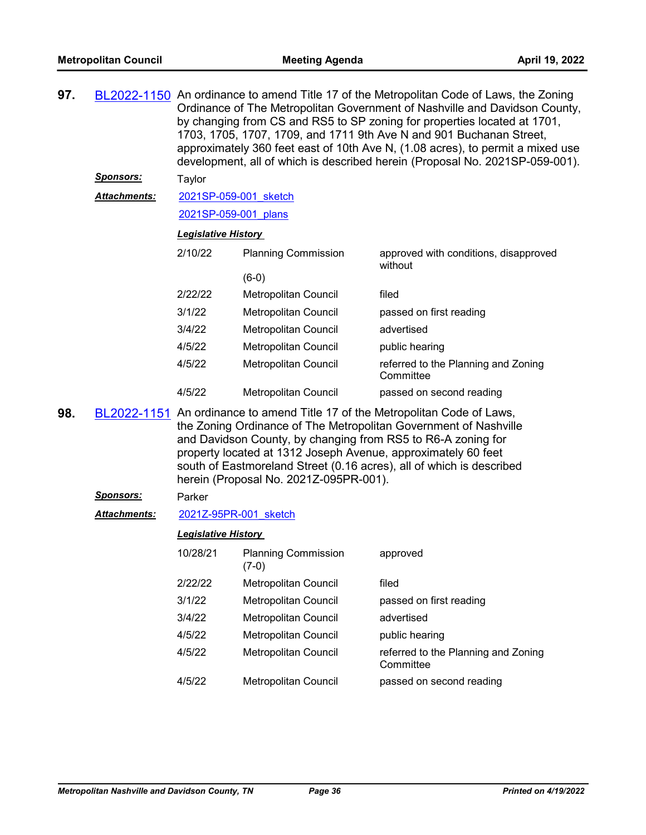| 97. |                     | BL2022-1150 An ordinance to amend Title 17 of the Metropolitan Code of Laws, the Zoning<br>Ordinance of The Metropolitan Government of Nashville and Davidson County,<br>by changing from CS and RS5 to SP zoning for properties located at 1701,<br>1703, 1705, 1707, 1709, and 1711 9th Ave N and 901 Buchanan Street,<br>approximately 360 feet east of 10th Ave N, (1.08 acres), to permit a mixed use<br>development, all of which is described herein (Proposal No. 2021SP-059-001). |                                       |                                                  |  |  |
|-----|---------------------|--------------------------------------------------------------------------------------------------------------------------------------------------------------------------------------------------------------------------------------------------------------------------------------------------------------------------------------------------------------------------------------------------------------------------------------------------------------------------------------------|---------------------------------------|--------------------------------------------------|--|--|
|     | <b>Sponsors:</b>    | Taylor                                                                                                                                                                                                                                                                                                                                                                                                                                                                                     |                                       |                                                  |  |  |
|     | Attachments:        | 2021SP-059-001 sketch                                                                                                                                                                                                                                                                                                                                                                                                                                                                      |                                       |                                                  |  |  |
|     |                     | 2021SP-059-001 plans                                                                                                                                                                                                                                                                                                                                                                                                                                                                       |                                       |                                                  |  |  |
|     |                     | <b>Legislative History</b>                                                                                                                                                                                                                                                                                                                                                                                                                                                                 |                                       |                                                  |  |  |
|     |                     | 2/10/22                                                                                                                                                                                                                                                                                                                                                                                                                                                                                    | <b>Planning Commission</b>            | approved with conditions, disapproved<br>without |  |  |
|     |                     |                                                                                                                                                                                                                                                                                                                                                                                                                                                                                            | $(6-0)$                               |                                                  |  |  |
|     |                     | 2/22/22                                                                                                                                                                                                                                                                                                                                                                                                                                                                                    | Metropolitan Council                  | filed                                            |  |  |
|     |                     | 3/1/22                                                                                                                                                                                                                                                                                                                                                                                                                                                                                     | Metropolitan Council                  | passed on first reading                          |  |  |
|     |                     | 3/4/22                                                                                                                                                                                                                                                                                                                                                                                                                                                                                     | Metropolitan Council                  | advertised                                       |  |  |
|     |                     | 4/5/22                                                                                                                                                                                                                                                                                                                                                                                                                                                                                     | Metropolitan Council                  | public hearing                                   |  |  |
|     |                     | 4/5/22                                                                                                                                                                                                                                                                                                                                                                                                                                                                                     | Metropolitan Council                  | referred to the Planning and Zoning<br>Committee |  |  |
|     |                     | 4/5/22                                                                                                                                                                                                                                                                                                                                                                                                                                                                                     | Metropolitan Council                  | passed on second reading                         |  |  |
| 98. |                     | BL2022-1151 An ordinance to amend Title 17 of the Metropolitan Code of Laws,<br>the Zoning Ordinance of The Metropolitan Government of Nashville<br>and Davidson County, by changing from RS5 to R6-A zoning for<br>property located at 1312 Joseph Avenue, approximately 60 feet<br>south of Eastmoreland Street (0.16 acres), all of which is described<br>herein (Proposal No. 2021Z-095PR-001).                                                                                        |                                       |                                                  |  |  |
|     | <u>Sponsors:</u>    | Parker                                                                                                                                                                                                                                                                                                                                                                                                                                                                                     |                                       |                                                  |  |  |
|     | <b>Attachments:</b> | 2021Z-95PR-001 sketch                                                                                                                                                                                                                                                                                                                                                                                                                                                                      |                                       |                                                  |  |  |
|     |                     | <b>Legislative History</b>                                                                                                                                                                                                                                                                                                                                                                                                                                                                 |                                       |                                                  |  |  |
|     |                     | 10/28/21                                                                                                                                                                                                                                                                                                                                                                                                                                                                                   | <b>Planning Commission</b><br>$(7-0)$ | approved                                         |  |  |
|     |                     | 2/22/22                                                                                                                                                                                                                                                                                                                                                                                                                                                                                    | Metropolitan Council                  | filed                                            |  |  |
|     |                     | 3/1/22                                                                                                                                                                                                                                                                                                                                                                                                                                                                                     | Metropolitan Council                  | passed on first reading                          |  |  |
|     |                     | 3/4/22                                                                                                                                                                                                                                                                                                                                                                                                                                                                                     | Metropolitan Council                  | advertised                                       |  |  |
|     |                     | 4/5/22                                                                                                                                                                                                                                                                                                                                                                                                                                                                                     | Metropolitan Council                  | public hearing                                   |  |  |
|     |                     | 4/5/22                                                                                                                                                                                                                                                                                                                                                                                                                                                                                     | Metropolitan Council                  | referred to the Planning and Zoning<br>Committee |  |  |
|     |                     | 4/5/22                                                                                                                                                                                                                                                                                                                                                                                                                                                                                     | Metropolitan Council                  | passed on second reading                         |  |  |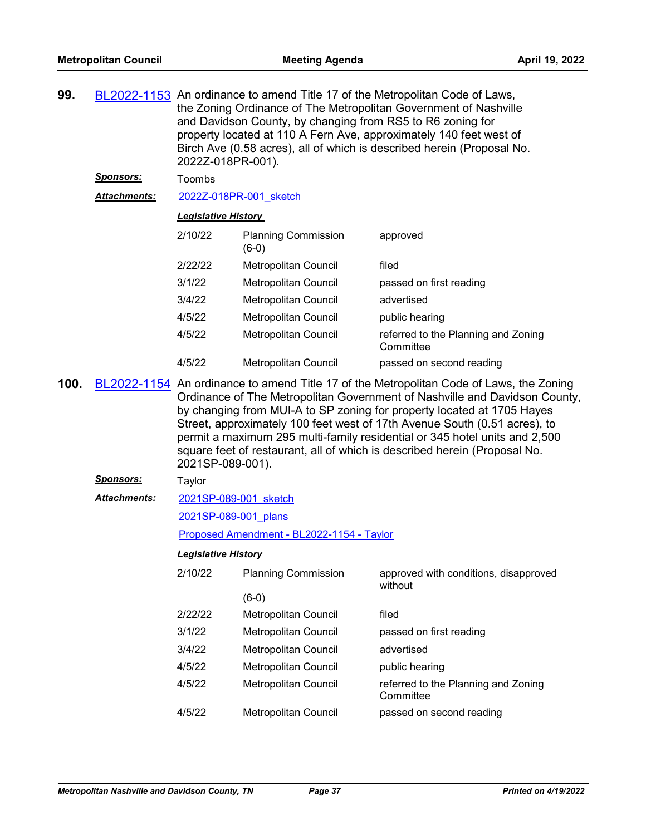|                  | BL2022-1153 An ordinance to amend Title 17 of the Metropolitan Code of Laws,<br>the Zoning Ordinance of The Metropolitan Government of Nashville<br>and Davidson County, by changing from RS5 to R6 zoning for<br>property located at 110 A Fern Ave, approximately 140 feet west of<br>Birch Ave (0.58 acres), all of which is described herein (Proposal No.<br>2022Z-018PR-001).                              |                                              |                                                                                                                        |  |  |
|------------------|------------------------------------------------------------------------------------------------------------------------------------------------------------------------------------------------------------------------------------------------------------------------------------------------------------------------------------------------------------------------------------------------------------------|----------------------------------------------|------------------------------------------------------------------------------------------------------------------------|--|--|
| <u>Sponsors:</u> | Toombs                                                                                                                                                                                                                                                                                                                                                                                                           |                                              |                                                                                                                        |  |  |
| Attachments:     | 2022Z-018PR-001 sketch                                                                                                                                                                                                                                                                                                                                                                                           |                                              |                                                                                                                        |  |  |
|                  |                                                                                                                                                                                                                                                                                                                                                                                                                  |                                              |                                                                                                                        |  |  |
|                  | 2/10/22                                                                                                                                                                                                                                                                                                                                                                                                          | <b>Planning Commission</b><br>$(6-0)$        | approved                                                                                                               |  |  |
|                  | 2/22/22                                                                                                                                                                                                                                                                                                                                                                                                          | Metropolitan Council                         | filed                                                                                                                  |  |  |
|                  | 3/1/22                                                                                                                                                                                                                                                                                                                                                                                                           | Metropolitan Council                         | passed on first reading                                                                                                |  |  |
|                  | 3/4/22                                                                                                                                                                                                                                                                                                                                                                                                           | Metropolitan Council                         | advertised                                                                                                             |  |  |
|                  | 4/5/22                                                                                                                                                                                                                                                                                                                                                                                                           | Metropolitan Council                         | public hearing                                                                                                         |  |  |
|                  | 4/5/22                                                                                                                                                                                                                                                                                                                                                                                                           | Metropolitan Council                         | referred to the Planning and Zoning<br>Committee                                                                       |  |  |
|                  | 4/5/22                                                                                                                                                                                                                                                                                                                                                                                                           | Metropolitan Council                         | passed on second reading                                                                                               |  |  |
|                  | Ordinance of The Metropolitan Government of Nashville and Davidson County,<br>by changing from MUI-A to SP zoning for property located at 1705 Hayes<br>Street, approximately 100 feet west of 17th Avenue South (0.51 acres), to<br>permit a maximum 295 multi-family residential or 345 hotel units and 2,500<br>square feet of restaurant, all of which is described herein (Proposal No.<br>2021SP-089-001). |                                              |                                                                                                                        |  |  |
|                  |                                                                                                                                                                                                                                                                                                                                                                                                                  |                                              |                                                                                                                        |  |  |
| <u>Sponsors:</u> | Taylor                                                                                                                                                                                                                                                                                                                                                                                                           |                                              |                                                                                                                        |  |  |
| Attachments:     | 2021SP-089-001 sketch                                                                                                                                                                                                                                                                                                                                                                                            |                                              |                                                                                                                        |  |  |
|                  | 2021SP-089-001 plans                                                                                                                                                                                                                                                                                                                                                                                             |                                              |                                                                                                                        |  |  |
|                  |                                                                                                                                                                                                                                                                                                                                                                                                                  | Proposed Amendment - BL2022-1154 - Taylor    |                                                                                                                        |  |  |
|                  | <b>Legislative History</b>                                                                                                                                                                                                                                                                                                                                                                                       |                                              |                                                                                                                        |  |  |
|                  | 2/10/22                                                                                                                                                                                                                                                                                                                                                                                                          | <b>Planning Commission</b>                   | approved with conditions, disapproved<br>without                                                                       |  |  |
|                  |                                                                                                                                                                                                                                                                                                                                                                                                                  | $(6-0)$                                      |                                                                                                                        |  |  |
|                  | 2/22/22                                                                                                                                                                                                                                                                                                                                                                                                          | Metropolitan Council                         | filed                                                                                                                  |  |  |
|                  | 3/1/22                                                                                                                                                                                                                                                                                                                                                                                                           | Metropolitan Council                         | passed on first reading                                                                                                |  |  |
|                  | 3/4/22                                                                                                                                                                                                                                                                                                                                                                                                           | Metropolitan Council                         | advertised                                                                                                             |  |  |
|                  | 4/5/22                                                                                                                                                                                                                                                                                                                                                                                                           | Metropolitan Council                         | public hearing                                                                                                         |  |  |
|                  | 4/5/22<br>4/5/22                                                                                                                                                                                                                                                                                                                                                                                                 | Metropolitan Council<br>Metropolitan Council | referred to the Planning and Zoning<br>Committee<br>passed on second reading                                           |  |  |
|                  |                                                                                                                                                                                                                                                                                                                                                                                                                  |                                              | <u> Legislative History</u><br>BL2022-1154 An ordinance to amend Title 17 of the Metropolitan Code of Laws, the Zoning |  |  |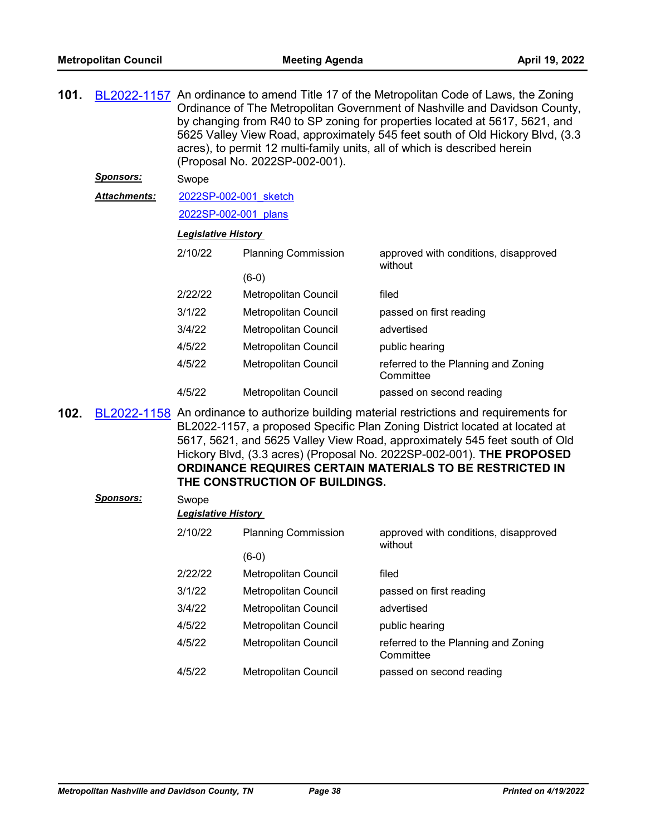| 101. |                  | BL2022-1157 An ordinance to amend Title 17 of the Metropolitan Code of Laws, the Zoning<br>Ordinance of The Metropolitan Government of Nashville and Davidson County,<br>by changing from R40 to SP zoning for properties located at 5617, 5621, and<br>5625 Valley View Road, approximately 545 feet south of Old Hickory Blvd, (3.3)<br>acres), to permit 12 multi-family units, all of which is described herein<br>(Proposal No. 2022SP-002-001). |                                                                                                                                                                                                                                                                                                                                                                                             |                                                  |  |  |
|------|------------------|-------------------------------------------------------------------------------------------------------------------------------------------------------------------------------------------------------------------------------------------------------------------------------------------------------------------------------------------------------------------------------------------------------------------------------------------------------|---------------------------------------------------------------------------------------------------------------------------------------------------------------------------------------------------------------------------------------------------------------------------------------------------------------------------------------------------------------------------------------------|--------------------------------------------------|--|--|
|      | <u>Sponsors:</u> | Swope                                                                                                                                                                                                                                                                                                                                                                                                                                                 |                                                                                                                                                                                                                                                                                                                                                                                             |                                                  |  |  |
|      | Attachments:     | 2022SP-002-001 sketch                                                                                                                                                                                                                                                                                                                                                                                                                                 |                                                                                                                                                                                                                                                                                                                                                                                             |                                                  |  |  |
|      |                  | 2022SP-002-001 plans                                                                                                                                                                                                                                                                                                                                                                                                                                  |                                                                                                                                                                                                                                                                                                                                                                                             |                                                  |  |  |
|      |                  | <b>Legislative History</b>                                                                                                                                                                                                                                                                                                                                                                                                                            |                                                                                                                                                                                                                                                                                                                                                                                             |                                                  |  |  |
|      |                  | 2/10/22                                                                                                                                                                                                                                                                                                                                                                                                                                               | <b>Planning Commission</b>                                                                                                                                                                                                                                                                                                                                                                  | approved with conditions, disapproved<br>without |  |  |
|      |                  |                                                                                                                                                                                                                                                                                                                                                                                                                                                       | $(6-0)$                                                                                                                                                                                                                                                                                                                                                                                     |                                                  |  |  |
|      |                  | 2/22/22                                                                                                                                                                                                                                                                                                                                                                                                                                               | Metropolitan Council                                                                                                                                                                                                                                                                                                                                                                        | filed                                            |  |  |
|      |                  | 3/1/22                                                                                                                                                                                                                                                                                                                                                                                                                                                | Metropolitan Council                                                                                                                                                                                                                                                                                                                                                                        | passed on first reading                          |  |  |
|      |                  | 3/4/22                                                                                                                                                                                                                                                                                                                                                                                                                                                | Metropolitan Council                                                                                                                                                                                                                                                                                                                                                                        | advertised                                       |  |  |
|      |                  | 4/5/22                                                                                                                                                                                                                                                                                                                                                                                                                                                | Metropolitan Council                                                                                                                                                                                                                                                                                                                                                                        | public hearing                                   |  |  |
|      |                  | 4/5/22                                                                                                                                                                                                                                                                                                                                                                                                                                                | Metropolitan Council                                                                                                                                                                                                                                                                                                                                                                        | referred to the Planning and Zoning<br>Committee |  |  |
|      |                  | 4/5/22                                                                                                                                                                                                                                                                                                                                                                                                                                                | Metropolitan Council                                                                                                                                                                                                                                                                                                                                                                        | passed on second reading                         |  |  |
| 102. |                  | THE CONSTRUCTION OF BUILDINGS.                                                                                                                                                                                                                                                                                                                                                                                                                        | BL2022-1158 An ordinance to authorize building material restrictions and requirements for<br>BL2022-1157, a proposed Specific Plan Zoning District located at located at<br>5617, 5621, and 5625 Valley View Road, approximately 545 feet south of Old<br>Hickory Blvd, (3.3 acres) (Proposal No. 2022SP-002-001). THE PROPOSED<br>ORDINANCE REQUIRES CERTAIN MATERIALS TO BE RESTRICTED IN |                                                  |  |  |
|      | <b>Sponsors:</b> | Swope                                                                                                                                                                                                                                                                                                                                                                                                                                                 |                                                                                                                                                                                                                                                                                                                                                                                             |                                                  |  |  |
|      |                  | <b>Legislative History</b>                                                                                                                                                                                                                                                                                                                                                                                                                            |                                                                                                                                                                                                                                                                                                                                                                                             |                                                  |  |  |
|      |                  | 2/10/22                                                                                                                                                                                                                                                                                                                                                                                                                                               | <b>Planning Commission</b>                                                                                                                                                                                                                                                                                                                                                                  | approved with conditions, disapproved<br>without |  |  |
|      |                  |                                                                                                                                                                                                                                                                                                                                                                                                                                                       | $(6-0)$                                                                                                                                                                                                                                                                                                                                                                                     |                                                  |  |  |
|      |                  | 2/22/22                                                                                                                                                                                                                                                                                                                                                                                                                                               | Metropolitan Council                                                                                                                                                                                                                                                                                                                                                                        | filed                                            |  |  |
|      |                  | 3/1/22                                                                                                                                                                                                                                                                                                                                                                                                                                                | Metropolitan Council                                                                                                                                                                                                                                                                                                                                                                        | passed on first reading                          |  |  |
|      |                  | 3/4/22                                                                                                                                                                                                                                                                                                                                                                                                                                                | Metropolitan Council                                                                                                                                                                                                                                                                                                                                                                        | advertised                                       |  |  |
|      |                  | 4/5/22                                                                                                                                                                                                                                                                                                                                                                                                                                                | Metropolitan Council                                                                                                                                                                                                                                                                                                                                                                        | public hearing                                   |  |  |
|      |                  | 4/5/22                                                                                                                                                                                                                                                                                                                                                                                                                                                | Metropolitan Council                                                                                                                                                                                                                                                                                                                                                                        | referred to the Planning and Zoning<br>Committee |  |  |

4/5/22 Metropolitan Council passed on second reading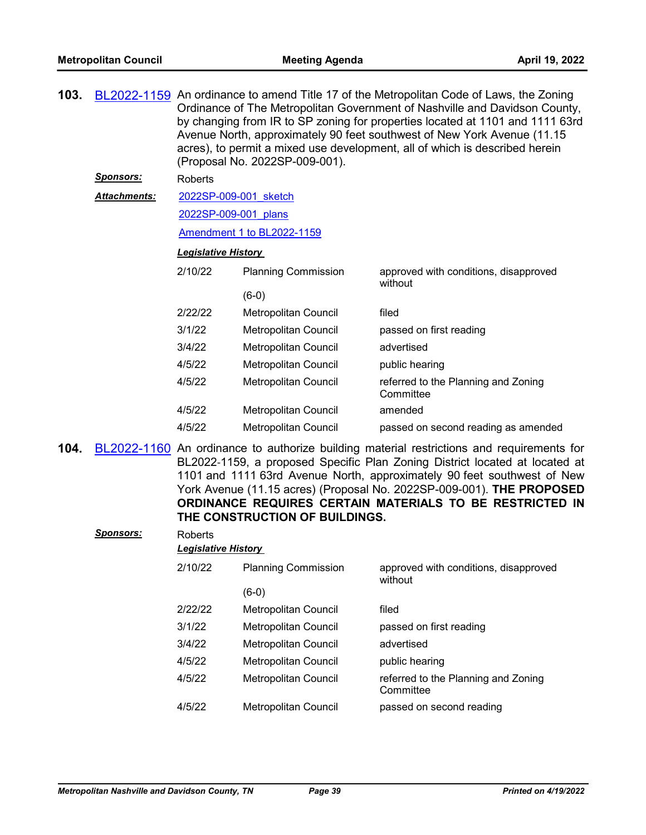| 103. |                     | (Proposal No. 2022SP-009-001). | BL2022-1159 An ordinance to amend Title 17 of the Metropolitan Code of Laws, the Zoning<br>Ordinance of The Metropolitan Government of Nashville and Davidson County,<br>by changing from IR to SP zoning for properties located at 1101 and 1111 63rd<br>Avenue North, approximately 90 feet southwest of New York Avenue (11.15<br>acres), to permit a mixed use development, all of which is described herein |                                                  |
|------|---------------------|--------------------------------|------------------------------------------------------------------------------------------------------------------------------------------------------------------------------------------------------------------------------------------------------------------------------------------------------------------------------------------------------------------------------------------------------------------|--------------------------------------------------|
|      | <u>Sponsors:</u>    | <b>Roberts</b>                 |                                                                                                                                                                                                                                                                                                                                                                                                                  |                                                  |
|      | <b>Attachments:</b> | 2022SP-009-001 sketch          |                                                                                                                                                                                                                                                                                                                                                                                                                  |                                                  |
|      |                     | 2022SP-009-001 plans           |                                                                                                                                                                                                                                                                                                                                                                                                                  |                                                  |
|      |                     |                                | Amendment 1 to BL2022-1159                                                                                                                                                                                                                                                                                                                                                                                       |                                                  |
|      |                     | <b>Legislative History</b>     |                                                                                                                                                                                                                                                                                                                                                                                                                  |                                                  |
|      |                     | 2/10/22                        | <b>Planning Commission</b>                                                                                                                                                                                                                                                                                                                                                                                       | approved with conditions, disapproved<br>without |
|      |                     |                                | $(6-0)$                                                                                                                                                                                                                                                                                                                                                                                                          |                                                  |
|      |                     | 2/22/22                        | Metropolitan Council                                                                                                                                                                                                                                                                                                                                                                                             | filed                                            |
|      |                     | 3/1/22                         | Metropolitan Council                                                                                                                                                                                                                                                                                                                                                                                             | passed on first reading                          |
|      |                     | 3/4/22                         | Metropolitan Council                                                                                                                                                                                                                                                                                                                                                                                             | advertised                                       |
|      |                     | 4/5/22                         | Metropolitan Council                                                                                                                                                                                                                                                                                                                                                                                             | public hearing                                   |
|      |                     | 4/5/22                         | Metropolitan Council                                                                                                                                                                                                                                                                                                                                                                                             | referred to the Planning and Zoning<br>Committee |
|      |                     | 4/5/22                         | Metropolitan Council                                                                                                                                                                                                                                                                                                                                                                                             | amended                                          |
|      |                     | 4/5/22                         | Metropolitan Council                                                                                                                                                                                                                                                                                                                                                                                             | passed on second reading as amended              |
|      |                     |                                |                                                                                                                                                                                                                                                                                                                                                                                                                  |                                                  |

**104.** [BL2022-1160](http://nashville.legistar.com/gateway.aspx?m=l&id=/matter.aspx?key=14174) An ordinance to authorize building material restrictions and requirements for BL2022-1159, a proposed Specific Plan Zoning District located at located at 1101 and 1111 63rd Avenue North, approximately 90 feet southwest of New York Avenue (11.15 acres) (Proposal No. 2022SP-009-001). **THE PROPOSED ORDINANCE REQUIRES CERTAIN MATERIALS TO BE RESTRICTED IN THE CONSTRUCTION OF BUILDINGS.**

| <b>Sponsors:</b> | Roberts<br><b>Legislative History</b> |                            |                                                  |  |  |  |
|------------------|---------------------------------------|----------------------------|--------------------------------------------------|--|--|--|
|                  | 2/10/22                               | <b>Planning Commission</b> | approved with conditions, disapproved<br>without |  |  |  |
|                  |                                       | $(6-0)$                    |                                                  |  |  |  |
|                  | 2/22/22                               | Metropolitan Council       | filed                                            |  |  |  |
|                  | 3/1/22                                | Metropolitan Council       | passed on first reading                          |  |  |  |
|                  | 3/4/22                                | Metropolitan Council       | advertised                                       |  |  |  |
|                  | 4/5/22                                | Metropolitan Council       | public hearing                                   |  |  |  |
|                  | 4/5/22                                | Metropolitan Council       | referred to the Planning and Zoning<br>Committee |  |  |  |
|                  | 4/5/22                                | Metropolitan Council       | passed on second reading                         |  |  |  |
|                  |                                       |                            |                                                  |  |  |  |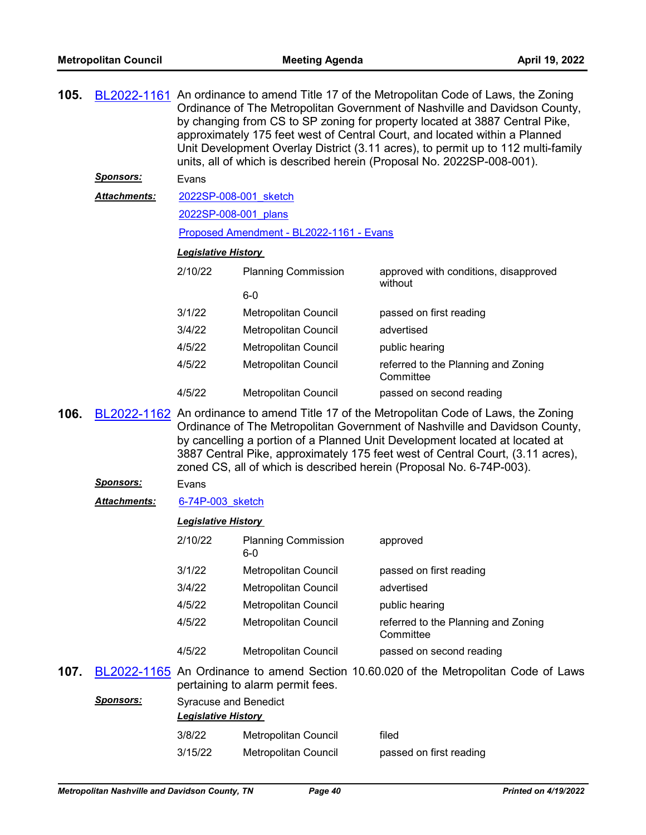|      |                     | BL2022-1161 An ordinance to amend Title 17 of the Metropolitan Code of Laws, the Zoning<br>Ordinance of The Metropolitan Government of Nashville and Davidson County,<br>by changing from CS to SP zoning for property located at 3887 Central Pike,<br>approximately 175 feet west of Central Court, and located within a Planned<br>Unit Development Overlay District (3.11 acres), to permit up to 112 multi-family<br>units, all of which is described herein (Proposal No. 2022SP-008-001). |                                  |                                                                                                                                                                                                                                       |  |  |
|------|---------------------|--------------------------------------------------------------------------------------------------------------------------------------------------------------------------------------------------------------------------------------------------------------------------------------------------------------------------------------------------------------------------------------------------------------------------------------------------------------------------------------------------|----------------------------------|---------------------------------------------------------------------------------------------------------------------------------------------------------------------------------------------------------------------------------------|--|--|
|      | <u>Sponsors:</u>    | Evans                                                                                                                                                                                                                                                                                                                                                                                                                                                                                            |                                  |                                                                                                                                                                                                                                       |  |  |
|      | Attachments:        | 2022SP-008-001 sketch                                                                                                                                                                                                                                                                                                                                                                                                                                                                            |                                  |                                                                                                                                                                                                                                       |  |  |
|      |                     | 2022SP-008-001 plans                                                                                                                                                                                                                                                                                                                                                                                                                                                                             |                                  |                                                                                                                                                                                                                                       |  |  |
|      |                     | Proposed Amendment - BL2022-1161 - Evans                                                                                                                                                                                                                                                                                                                                                                                                                                                         |                                  |                                                                                                                                                                                                                                       |  |  |
|      |                     | <b>Legislative History</b>                                                                                                                                                                                                                                                                                                                                                                                                                                                                       |                                  |                                                                                                                                                                                                                                       |  |  |
|      |                     | 2/10/22                                                                                                                                                                                                                                                                                                                                                                                                                                                                                          | <b>Planning Commission</b>       | approved with conditions, disapproved<br>without                                                                                                                                                                                      |  |  |
|      |                     |                                                                                                                                                                                                                                                                                                                                                                                                                                                                                                  | $6-0$                            |                                                                                                                                                                                                                                       |  |  |
|      |                     | 3/1/22                                                                                                                                                                                                                                                                                                                                                                                                                                                                                           | Metropolitan Council             | passed on first reading                                                                                                                                                                                                               |  |  |
|      |                     | 3/4/22                                                                                                                                                                                                                                                                                                                                                                                                                                                                                           | Metropolitan Council             | advertised                                                                                                                                                                                                                            |  |  |
|      |                     | 4/5/22                                                                                                                                                                                                                                                                                                                                                                                                                                                                                           | Metropolitan Council             | public hearing                                                                                                                                                                                                                        |  |  |
|      |                     | 4/5/22                                                                                                                                                                                                                                                                                                                                                                                                                                                                                           | Metropolitan Council             | referred to the Planning and Zoning<br>Committee                                                                                                                                                                                      |  |  |
|      |                     | 4/5/22                                                                                                                                                                                                                                                                                                                                                                                                                                                                                           | Metropolitan Council             | passed on second reading                                                                                                                                                                                                              |  |  |
| 106. |                     |                                                                                                                                                                                                                                                                                                                                                                                                                                                                                                  |                                  | BL2022-1162 An ordinance to amend Title 17 of the Metropolitan Code of Laws, the Zoning<br>Ordinance of The Metropolitan Government of Nashville and Davidson County,                                                                 |  |  |
|      |                     |                                                                                                                                                                                                                                                                                                                                                                                                                                                                                                  |                                  | by cancelling a portion of a Planned Unit Development located at located at<br>3887 Central Pike, approximately 175 feet west of Central Court, (3.11 acres),<br>zoned CS, all of which is described herein (Proposal No. 6-74P-003). |  |  |
|      | <u>Sponsors:</u>    | Evans                                                                                                                                                                                                                                                                                                                                                                                                                                                                                            |                                  |                                                                                                                                                                                                                                       |  |  |
|      | <b>Attachments:</b> | 6-74P-003 sketch                                                                                                                                                                                                                                                                                                                                                                                                                                                                                 |                                  |                                                                                                                                                                                                                                       |  |  |
|      |                     | <b>Legislative History</b><br>2/10/22                                                                                                                                                                                                                                                                                                                                                                                                                                                            | <b>Planning Commission</b>       | approved                                                                                                                                                                                                                              |  |  |
|      |                     |                                                                                                                                                                                                                                                                                                                                                                                                                                                                                                  | 6-0                              |                                                                                                                                                                                                                                       |  |  |
|      |                     | 3/1/22                                                                                                                                                                                                                                                                                                                                                                                                                                                                                           | Metropolitan Council             | passed on first reading                                                                                                                                                                                                               |  |  |
|      |                     | 3/4/22                                                                                                                                                                                                                                                                                                                                                                                                                                                                                           | Metropolitan Council             | advertised                                                                                                                                                                                                                            |  |  |
|      |                     | 4/5/22                                                                                                                                                                                                                                                                                                                                                                                                                                                                                           | Metropolitan Council             | public hearing                                                                                                                                                                                                                        |  |  |
|      |                     | 4/5/22                                                                                                                                                                                                                                                                                                                                                                                                                                                                                           | Metropolitan Council             | referred to the Planning and Zoning<br>Committee                                                                                                                                                                                      |  |  |
|      |                     | 4/5/22                                                                                                                                                                                                                                                                                                                                                                                                                                                                                           | Metropolitan Council             | passed on second reading                                                                                                                                                                                                              |  |  |
| 107. |                     |                                                                                                                                                                                                                                                                                                                                                                                                                                                                                                  | pertaining to alarm permit fees. | BL2022-1165 An Ordinance to amend Section 10.60.020 of the Metropolitan Code of Laws                                                                                                                                                  |  |  |
|      | <u>Sponsors:</u>    | <b>Syracuse and Benedict</b><br><b>Legislative History</b>                                                                                                                                                                                                                                                                                                                                                                                                                                       |                                  |                                                                                                                                                                                                                                       |  |  |
|      |                     | 3/8/22                                                                                                                                                                                                                                                                                                                                                                                                                                                                                           | Metropolitan Council             | filed                                                                                                                                                                                                                                 |  |  |